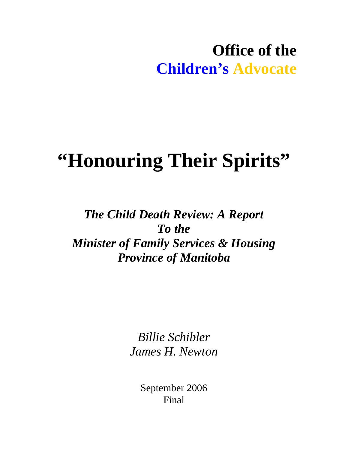## **Office of the Children's Advocate**

# **"Honouring Their Spirits"**

## *The Child Death Review: A Report To the Minister of Family Services & Housing Province of Manitoba*

*Billie Schibler James H. Newton* 

> September 2006 Final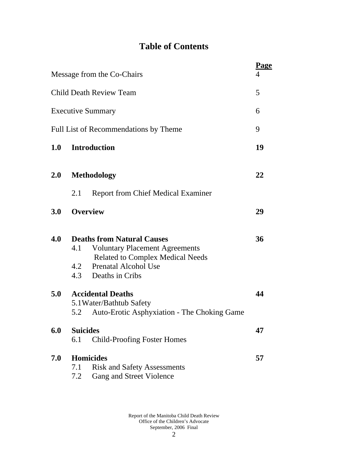## **Table of Contents**

|     |                        | Message from the Co-Chairs                                                                                                                                               | Page<br>4 |
|-----|------------------------|--------------------------------------------------------------------------------------------------------------------------------------------------------------------------|-----------|
|     |                        | <b>Child Death Review Team</b>                                                                                                                                           | 5         |
|     |                        | <b>Executive Summary</b>                                                                                                                                                 | 6         |
|     |                        | Full List of Recommendations by Theme                                                                                                                                    | 9         |
| 1.0 |                        | <b>Introduction</b>                                                                                                                                                      | 19        |
| 2.0 |                        | <b>Methodology</b>                                                                                                                                                       | 22        |
|     | 2.1                    | <b>Report from Chief Medical Examiner</b>                                                                                                                                |           |
| 3.0 |                        | <b>Overview</b>                                                                                                                                                          | 29        |
| 4.0 | 4.1                    | <b>Deaths from Natural Causes</b><br><b>Voluntary Placement Agreements</b><br><b>Related to Complex Medical Needs</b><br>4.2 Prenatal Alcohol Use<br>4.3 Deaths in Cribs | 36        |
| 5.0 |                        | <b>Accidental Deaths</b><br>5.1 Water/Bathtub Safety<br>5.2 Auto-Erotic Asphyxiation - The Choking Game                                                                  | 44        |
| 6.0 | <b>Suicides</b><br>6.1 | <b>Child-Proofing Foster Homes</b>                                                                                                                                       | 47        |
| 7.0 | 7.1<br>7.2             | <b>Homicides</b><br><b>Risk and Safety Assessments</b><br>Gang and Street Violence                                                                                       | 57        |
|     |                        |                                                                                                                                                                          |           |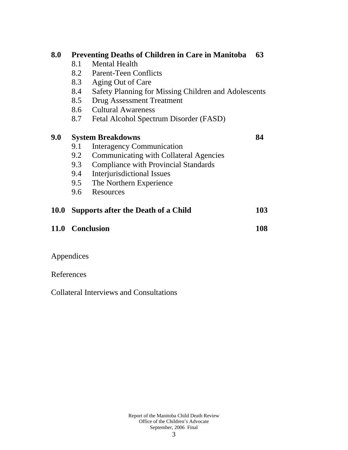| 8.0         | <b>Preventing Deaths of Children in Care in Manitoba</b><br>63 |                                                      |     |  |  |  |
|-------------|----------------------------------------------------------------|------------------------------------------------------|-----|--|--|--|
|             | 8.1                                                            | <b>Mental Health</b>                                 |     |  |  |  |
|             | 8.2                                                            | <b>Parent-Teen Conflicts</b>                         |     |  |  |  |
|             | 8.3                                                            | Aging Out of Care                                    |     |  |  |  |
|             | 8.4                                                            | Safety Planning for Missing Children and Adolescents |     |  |  |  |
|             | <b>Drug Assessment Treatment</b><br>8.5                        |                                                      |     |  |  |  |
|             | 8.6                                                            | <b>Cultural Awareness</b>                            |     |  |  |  |
|             | 8.7                                                            | Fetal Alcohol Spectrum Disorder (FASD)               |     |  |  |  |
| 9.0         | <b>System Breakdowns</b>                                       |                                                      |     |  |  |  |
|             | 9.1                                                            | <b>Interagency Communication</b>                     |     |  |  |  |
|             | 9.2                                                            | <b>Communicating with Collateral Agencies</b>        |     |  |  |  |
|             | 9.3                                                            | <b>Compliance with Provincial Standards</b>          |     |  |  |  |
|             | 9.4                                                            | Interjurisdictional Issues                           |     |  |  |  |
|             | 9.5                                                            | The Northern Experience                              |     |  |  |  |
|             | 9.6                                                            | Resources                                            |     |  |  |  |
| <b>10.0</b> |                                                                | <b>Supports after the Death of a Child</b>           | 103 |  |  |  |
|             |                                                                | 11.0 Conclusion                                      | 108 |  |  |  |
|             |                                                                |                                                      |     |  |  |  |

## Appendices

## References

Collateral Interviews and Consultations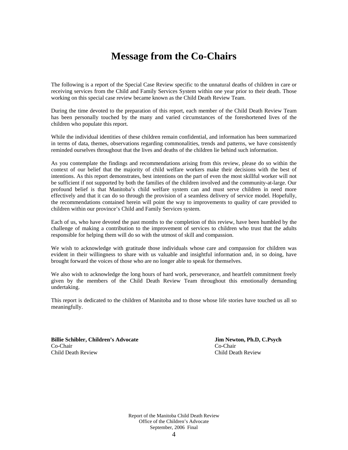## **Message from the Co-Chairs**

The following is a report of the Special Case Review specific to the unnatural deaths of children in care or receiving services from the Child and Family Services System within one year prior to their death. Those working on this special case review became known as the Child Death Review Team.

During the time devoted to the preparation of this report, each member of the Child Death Review Team has been personally touched by the many and varied circumstances of the foreshortened lives of the children who populate this report.

While the individual identities of these children remain confidential, and information has been summarized in terms of data, themes, observations regarding commonalities, trends and patterns, we have consistently reminded ourselves throughout that the lives and deaths of the children lie behind such information.

As you contemplate the findings and recommendations arising from this review, please do so within the context of our belief that the majority of child welfare workers make their decisions with the best of intentions. As this report demonstrates, best intentions on the part of even the most skillful worker will not be sufficient if not supported by both the families of the children involved and the community-at-large. Our profound belief is that Manitoba's child welfare system can and must serve children in need more effectively and that it can do so through the provision of a seamless delivery of service model. Hopefully, the recommendations contained herein will point the way to improvements to quality of care provided to children within our province's Child and Family Services system.

Each of us, who have devoted the past months to the completion of this review, have been humbled by the challenge of making a contribution to the improvement of services to children who trust that the adults responsible for helping them will do so with the utmost of skill and compassion.

We wish to acknowledge with gratitude those individuals whose care and compassion for children was evident in their willingness to share with us valuable and insightful information and, in so doing, have brought forward the voices of those who are no longer able to speak for themselves.

We also wish to acknowledge the long hours of hard work, perseverance, and heartfelt commitment freely given by the members of the Child Death Review Team throughout this emotionally demanding undertaking.

This report is dedicated to the children of Manitoba and to those whose life stories have touched us all so meaningfully.

**Billie Schibler, Children's Advocate Jim Newton, Ph.D, C.Psych**  Co-Chair Co-Chair Child Death Review Child Death Review

Report of the Manitoba Child Death Review Office of the Children's Advocate September, 2006 Final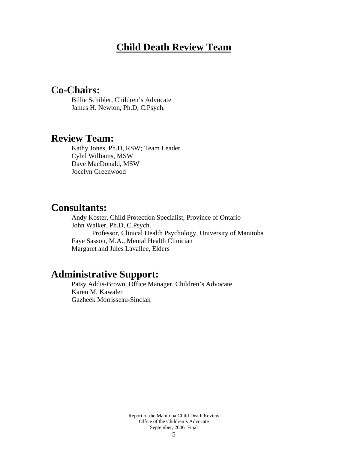## **Child Death Review Team**

## **Co-Chairs:**

Billie Schibler, Children's Advocate James H. Newton, Ph.D, C.Psych.

## **Review Team:**

Kathy Jones, Ph.D, RSW; Team Leader Cybil Williams, MSW Dave MacDonald, MSW Jocelyn Greenwood

**Consultants:**<br>Andy Koster, Child Protection Specialist, Province of Ontario John Walker, Ph.D, C.Psych. Professor, Clinical Health Psychology, University of Manitoba Faye Sasson, M.A., Mental Health Clinician Margaret and Jules Lavallee, Elders

## **Administrative Support:**

Patsy Addis-Brown, Office Manager, Children's Advocate Karen M. Kawaler Gazheek Morrisseau-Sinclair

> Report of the Manitoba Child Death Review Office of the Children's Advocate September, 2006 Final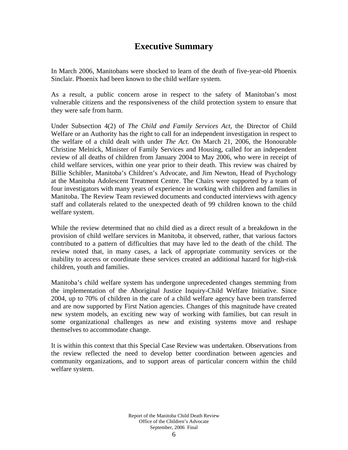## **Executive Summary**

In March 2006, Manitobans were shocked to learn of the death of five-year-old Phoenix Sinclair. Phoenix had been known to the child welfare system.

As a result, a public concern arose in respect to the safety of Manitoban's most vulnerable citizens and the responsiveness of the child protection system to ensure that they were safe from harm.

Under Subsection 4(2) of *The Child and Family Services Act,* the Director of Child Welfare or an Authority has the right to call for an independent investigation in respect to the welfare of a child dealt with under *The Act.* On March 21, 2006, the Honourable Christine Melnick, Minister of Family Services and Housing, called for an independent review of all deaths of children from January 2004 to May 2006, who were in receipt of child welfare services, within one year prior to their death. This review was chaired by Billie Schibler, Manitoba's Children's Advocate, and Jim Newton, Head of Psychology at the Manitoba Adolescent Treatment Centre. The Chairs were supported by a team of four investigators with many years of experience in working with children and families in Manitoba. The Review Team reviewed documents and conducted interviews with agency staff and collaterals related to the unexpected death of 99 children known to the child welfare system.

While the review determined that no child died as a direct result of a breakdown in the provision of child welfare services in Manitoba, it observed, rather, that various factors contributed to a pattern of difficulties that may have led to the death of the child. The review noted that, in many cases, a lack of appropriate community services or the inability to access or coordinate these services created an additional hazard for high-risk children, youth and families.

Manitoba's child welfare system has undergone unprecedented changes stemming from the implementation of the Aboriginal Justice Inquiry-Child Welfare Initiative. Since 2004, up to 70% of children in the care of a child welfare agency have been transferred and are now supported by First Nation agencies. Changes of this magnitude have created new system models, an exciting new way of working with families, but can result in some organizational challenges as new and existing systems move and reshape themselves to accommodate change.

It is within this context that this Special Case Review was undertaken. Observations from the review reflected the need to develop better coordination between agencies and community organizations, and to support areas of particular concern within the child welfare system.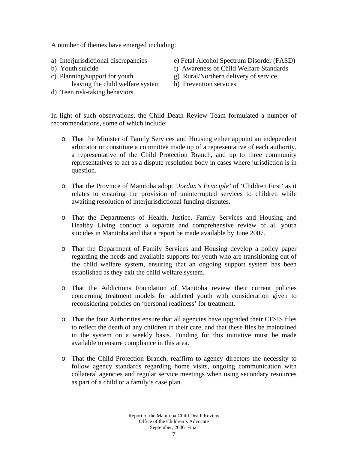A number of themes have emerged including:

- 
- 
- leaving the child welfare system h) Prevention services
- d) Teen risk-taking behaviors
- a) Interjurisdictional discrepancies e) Fetal Alcohol Spectrum Disorder (FASD)
- b) Youth suicide f) Awareness of Child Welfare Standards
- c) Planning/support for youth  $g$ ) Rural/Northern delivery of service
	-

In light of such observations, the Child Death Review Team formulated a number of recommendations, some of which include:

- o That the Minister of Family Services and Housing either appoint an independent arbitrator or constitute a committee made up of a representative of each authority, a representative of the Child Protection Branch, and up to three community representatives to act as a dispute resolution body in cases where jurisdiction is in question.
- o That the Province of Manitoba adopt '*Jordan's Principle'* of 'Children First' as it relates to ensuring the provision of uninterrupted services to children while awaiting resolution of interjurisdictional funding disputes.
- o That the Departments of Health, Justice, Family Services and Housing and Healthy Living conduct a separate and comprehensive review of all youth suicides in Manitoba and that a report be made available by June 2007.
- o That the Department of Family Services and Housing develop a policy paper regarding the needs and available supports for youth who are transitioning out of the child welfare system, ensuring that an ongoing support system has been established as they exit the child welfare system.
- o That the Addictions Foundation of Manitoba review their current policies concerning treatment models for addicted youth with consideration given to reconsidering policies on 'personal readiness' for treatment.
- o That the four Authorities ensure that all agencies have upgraded their CFSIS files to reflect the death of any children in their care, and that these files be maintained in the system on a weekly basis. Funding for this initiative must be made available to ensure compliance in this area.
- o That the Child Protection Branch, reaffirm to agency directors the necessity to follow agency standards regarding home visits, ongoing communication with collateral agencies and regular service meetings when using secondary resources as part of a child or a family's case plan.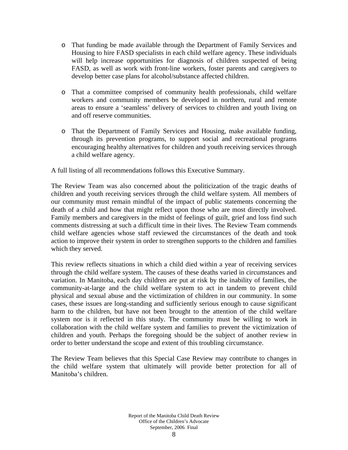- o That funding be made available through the Department of Family Services and Housing to hire FASD specialists in each child welfare agency. These individuals will help increase opportunities for diagnosis of children suspected of being FASD, as well as work with front-line workers, foster parents and caregivers to develop better case plans for alcohol/substance affected children.
- o That a committee comprised of community health professionals, child welfare workers and community members be developed in northern, rural and remote areas to ensure a 'seamless' delivery of services to children and youth living on and off reserve communities.
- o That the Department of Family Services and Housing, make available funding, through its prevention programs, to support social and recreational programs encouraging healthy alternatives for children and youth receiving services through a child welfare agency.

A full listing of all recommendations follows this Executive Summary.

The Review Team was also concerned about the politicization of the tragic deaths of children and youth receiving services through the child welfare system. All members of our community must remain mindful of the impact of public statements concerning the death of a child and how that might reflect upon those who are most directly involved. Family members and caregivers in the midst of feelings of guilt, grief and loss find such comments distressing at such a difficult time in their lives. The Review Team commends child welfare agencies whose staff reviewed the circumstances of the death and took action to improve their system in order to strengthen supports to the children and families which they served.

This review reflects situations in which a child died within a year of receiving services through the child welfare system. The causes of these deaths varied in circumstances and variation. In Manitoba, each day children are put at risk by the inability of families, the community-at-large and the child welfare system to act in tandem to prevent child physical and sexual abuse and the victimization of children in our community. In some cases, these issues are long-standing and sufficiently serious enough to cause significant harm to the children, but have not been brought to the attention of the child welfare system nor is it reflected in this study. The community must be willing to work in collaboration with the child welfare system and families to prevent the victimization of children and youth. Perhaps the foregoing should be the subject of another review in order to better understand the scope and extent of this troubling circumstance.

The Review Team believes that this Special Case Review may contribute to changes in the child welfare system that ultimately will provide better protection for all of Manitoba's children.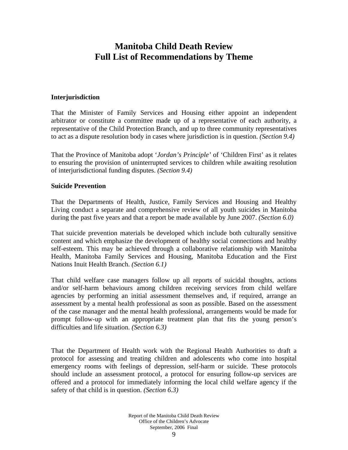## **Manitoba Child Death Review Full List of Recommendations by Theme**

#### **Interjurisdiction**

That the Minister of Family Services and Housing either appoint an independent arbitrator or constitute a committee made up of a representative of each authority, a representative of the Child Protection Branch, and up to three community representatives to act as a dispute resolution body in cases where jurisdiction is in question. *(Section 9.4)*

That the Province of Manitoba adopt '*Jordan's Principle'* of 'Children First' as it relates to ensuring the provision of uninterrupted services to children while awaiting resolution of interjurisdictional funding disputes. *(Section 9.4)* 

#### **Suicide Prevention**

That the Departments of Health, Justice, Family Services and Housing and Healthy Living conduct a separate and comprehensive review of all youth suicides in Manitoba during the past five years and that a report be made available by June 2007. *(Section 6.0)*

That suicide prevention materials be developed which include both culturally sensitive content and which emphasize the development of healthy social connections and healthy self-esteem. This may be achieved through a collaborative relationship with Manitoba Health, Manitoba Family Services and Housing, Manitoba Education and the First Nations Inuit Health Branch. *(Section 6.1)*

That child welfare case managers follow up all reports of suicidal thoughts, actions and/or self-harm behaviours among children receiving services from child welfare agencies by performing an initial assessment themselves and, if required, arrange an assessment by a mental health professional as soon as possible. Based on the assessment of the case manager and the mental health professional, arrangements would be made for prompt follow-up with an appropriate treatment plan that fits the young person's difficulties and life situation. *(Section 6.3)*

That the Department of Health work with the Regional Health Authorities to draft a protocol for assessing and treating children and adolescents who come into hospital emergency rooms with feelings of depression, self-harm or suicide. These protocols should include an assessment protocol, a protocol for ensuring follow-up services are offered and a protocol for immediately informing the local child welfare agency if the safety of that child is in question. *(Section 6.3)*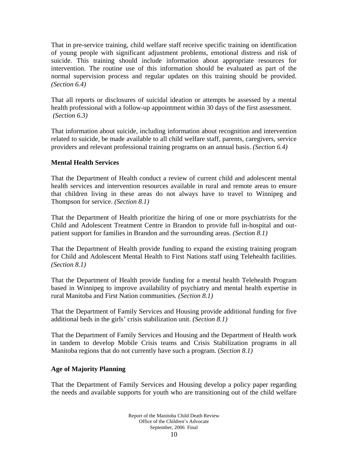That in pre-service training, child welfare staff receive specific training on identification of young people with significant adjustment problems, emotional distress and risk of suicide. This training should include information about appropriate resources for intervention. The routine use of this information should be evaluated as part of the normal supervision process and regular updates on this training should be provided. *(Section 6.4)* 

That all reports or disclosures of suicidal ideation or attempts be assessed by a mental health professional with a follow-up appointment within 30 days of the first assessment. *(Section 6.3)* 

That information about suicide, including information about recognition and intervention related to suicide, be made available to all child welfare staff, parents, caregivers, service providers and relevant professional training programs on an annual basis. *(Section 6.4)* 

### **Mental Health Services**

That the Department of Health conduct a review of current child and adolescent mental health services and intervention resources available in rural and remote areas to ensure that children living in these areas do not always have to travel to Winnipeg and Thompson for service. *(Section 8.1)*

That the Department of Health prioritize the hiring of one or more psychiatrists for the Child and Adolescent Treatment Centre in Brandon to provide full in-hospital and outpatient support for families in Brandon and the surrounding areas. *(Section 8.1)* 

That the Department of Health provide funding to expand the existing training program for Child and Adolescent Mental Health to First Nations staff using Telehealth facilities. *(Section 8.1)* 

That the Department of Health provide funding for a mental health Telehealth Program based in Winnipeg to improve availability of psychiatry and mental health expertise in rural Manitoba and First Nation communities*. (Section 8.1)* 

That the Department of Family Services and Housing provide additional funding for five additional beds in the girls' crisis stabilization unit. *(Section 8.1)* 

That the Department of Family Services and Housing and the Department of Health work in tandem to develop Mobile Crisis teams and Crisis Stabilization programs in all Manitoba regions that do not currently have such a program. (*Section 8.1)* 

### **Age of Majority Planning**

That the Department of Family Services and Housing develop a policy paper regarding the needs and available supports for youth who are transitioning out of the child welfare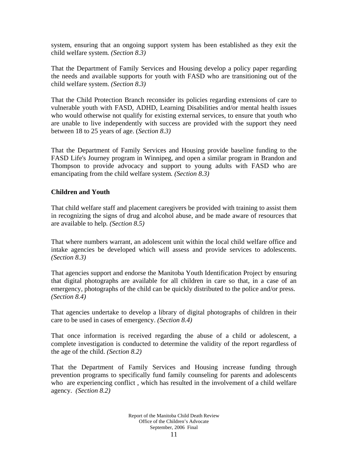system, ensuring that an ongoing support system has been established as they exit the child welfare system*. (Section 8.3)* 

That the Department of Family Services and Housing develop a policy paper regarding the needs and available supports for youth with FASD who are transitioning out of the child welfare system. *(Section 8.3)* 

That the Child Protection Branch reconsider its policies regarding extensions of care to vulnerable youth with FASD, ADHD, Learning Disabilities and/or mental health issues who would otherwise not qualify for existing external services, to ensure that youth who are unable to live independently with success are provided with the support they need between 18 to 25 years of age. (*Section 8.3)* 

That the Department of Family Services and Housing provide baseline funding to the FASD Life's Journey program in Winnipeg, and open a similar program in Brandon and Thompson to provide advocacy and support to young adults with FASD who are emancipating from the child welfare system*. (Section 8.3)* 

### **Children and Youth**

That child welfare staff and placement caregivers be provided with training to assist them in recognizing the signs of drug and alcohol abuse, and be made aware of resources that are available to help*. (Section 8.5)* 

That where numbers warrant, an adolescent unit within the local child welfare office and intake agencies be developed which will assess and provide services to adolescents. *(Section 8.3)* 

That agencies support and endorse the Manitoba Youth Identification Project by ensuring that digital photographs are available for all children in care so that, in a case of an emergency, photographs of the child can be quickly distributed to the police and/or press. *(Section 8.4)* 

That agencies undertake to develop a library of digital photographs of children in their care to be used in cases of emergency. *(Section 8.4)* 

That once information is received regarding the abuse of a child or adolescent, a complete investigation is conducted to determine the validity of the report regardless of the age of the child. *(Section 8.2)* 

That the Department of Family Services and Housing increase funding through prevention programs to specifically fund family counseling for parents and adolescents who are experiencing conflict , which has resulted in the involvement of a child welfare agency. *(Section 8.2)*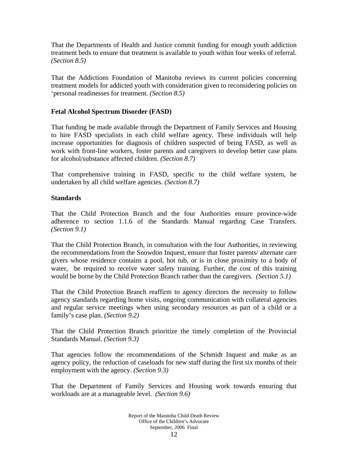That the Departments of Health and Justice commit funding for enough youth addiction treatment beds to ensure that treatment is available to youth within four weeks of referral. *(Section 8.5)* 

That the Addictions Foundation of Manitoba reviews its current policies concerning treatment models for addicted youth with consideration given to reconsidering policies on 'personal readinesses for treatment. *(Section 8.5)* 

#### **Fetal Alcohol Spectrum Disorder (FASD)**

That funding be made available through the Department of Family Services and Housing to hire FASD specialists in each child welfare agency. These individuals will help increase opportunities for diagnosis of children suspected of being FASD, as well as work with front-line workers, foster parents and caregivers to develop better case plans for alcohol/substance affected children. *(Section 8.7)* 

That comprehensive training in FASD, specific to the child welfare system, be undertaken by all child welfare agencies*. (Section 8.7)* 

#### **Standards**

That the Child Protection Branch and the four Authorities ensure province-wide adherence to section 1.1.6 of the Standards Manual regarding Case Transfers. *(Section 9.1)* 

That the Child Protection Branch, in consultation with the four Authorities, in reviewing the recommendations from the Snowdon Inquest, ensure that foster parents/ alternate care givers whose residence contains a pool, hot tub, or is in close proximity to a body of water, be required to receive water safety training. Further, the cost of this training would be borne by the Child Protection Branch rather than the caregivers. *(Section 5.1)* 

That the Child Protection Branch reaffirm to agency directors the necessity to follow agency standards regarding home visits, ongoing communication with collateral agencies and regular service meetings when using secondary resources as part of a child or a family's case plan. *(Section 9.2)* 

That the Child Protection Branch prioritize the timely completion of the Provincial Standards Manual. *(Section 9.3)* 

That agencies follow the recommendations of the Schmidt Inquest and make as an agency policy, the reduction of caseloads for new staff during the first six months of their employment with the agency. *(Section 9.3)* 

That the Department of Family Services and Housing work towards ensuring that workloads are at a manageable level. *(Section 9.6)*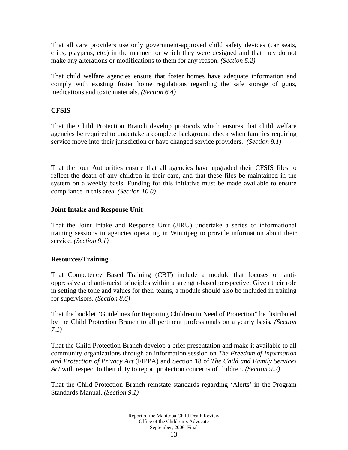That all care providers use only government-approved child safety devices (car seats, cribs, playpens, etc.) in the manner for which they were designed and that they do not make any alterations or modifications to them for any reason. *(Section 5.2)* 

That child welfare agencies ensure that foster homes have adequate information and comply with existing foster home regulations regarding the safe storage of guns, medications and toxic materials*. (Section 6.4)* 

### **CFSIS**

That the Child Protection Branch develop protocols which ensures that child welfare agencies be required to undertake a complete background check when families requiring service move into their jurisdiction or have changed service providers. *(Section 9.1)* 

That the four Authorities ensure that all agencies have upgraded their CFSIS files to reflect the death of any children in their care, and that these files be maintained in the system on a weekly basis. Funding for this initiative must be made available to ensure compliance in this area. *(Section 10.0)* 

#### **Joint Intake and Response Unit**

That the Joint Intake and Response Unit (JIRU) undertake a series of informational training sessions in agencies operating in Winnipeg to provide information about their service*. (Section 9.1)* 

#### **Resources/Training**

That Competency Based Training (CBT) include a module that focuses on antioppressive and anti-racist principles within a strength-based perspective. Given their role in setting the tone and values for their teams, a module should also be included in training for supervisors. *(Section 8.6)* 

That the booklet "Guidelines for Reporting Children in Need of Protection" be distributed by the Child Protection Branch to all pertinent professionals on a yearly basis*. (Section 7.1)* 

That the Child Protection Branch develop a brief presentation and make it available to all community organizations through an information session on *The Freedom of Information and Protection of Privacy Act* (FIPPA) and Section 18 of *The Child and Family Services Act* with respect to their duty to report protection concerns of children. *(Section 9.2)* 

That the Child Protection Branch reinstate standards regarding 'Alerts' in the Program Standards Manual. *(Section 9.1)*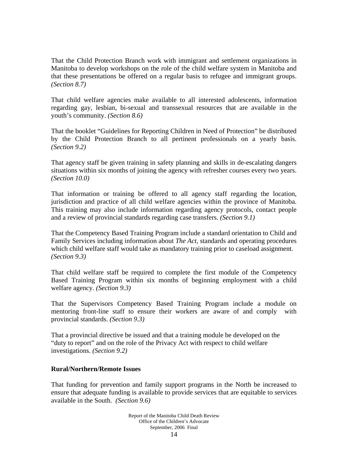That the Child Protection Branch work with immigrant and settlement organizations in Manitoba to develop workshops on the role of the child welfare system in Manitoba and that these presentations be offered on a regular basis to refugee and immigrant groups. *(Section 8.7)* 

That child welfare agencies make available to all interested adolescents, information regarding gay, lesbian, bi-sexual and transsexual resources that are available in the youth's community. *(Section 8.6)* 

That the booklet "Guidelines for Reporting Children in Need of Protection" be distributed by the Child Protection Branch to all pertinent professionals on a yearly basis. *(Section 9.2)* 

That agency staff be given training in safety planning and skills in de-escalating dangers situations within six months of joining the agency with refresher courses every two years. *(Section 10.0)* 

That information or training be offered to all agency staff regarding the location, jurisdiction and practice of all child welfare agencies within the province of Manitoba. This training may also include information regarding agency protocols, contact people and a review of provincial standards regarding case transfers. *(Section 9.1)* 

That the Competency Based Training Program include a standard orientation to Child and Family Services including information about *The Act*, standards and operating procedures which child welfare staff would take as mandatory training prior to caseload assignment. *(Section 9.3)* 

That child welfare staff be required to complete the first module of the Competency Based Training Program within six months of beginning employment with a child welfare agency. *(Section 9.3)* 

That the Supervisors Competency Based Training Program include a module on mentoring front-line staff to ensure their workers are aware of and comply with provincial standards. *(Section 9.3)* 

That a provincial directive be issued and that a training module be developed on the "duty to report" and on the role of the Privacy Act with respect to child welfare investigations. *(Section 9.2)*

#### **Rural/Northern/Remote Issues**

That funding for prevention and family support programs in the North be increased to ensure that adequate funding is available to provide services that are equitable to services available in the South. *(Section 9.6)*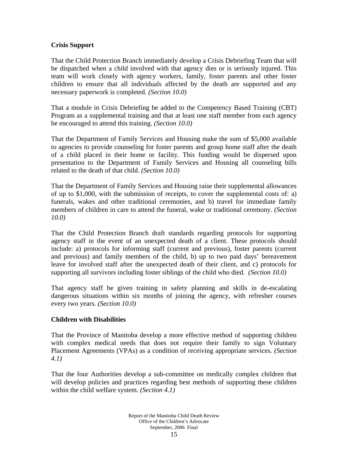#### **Crisis Support**

That the Child Protection Branch immediately develop a Crisis Debriefing Team that will be dispatched when a child involved with that agency dies or is seriously injured. This team will work closely with agency workers, family, foster parents and other foster children to ensure that all individuals affected by the death are supported and any necessary paperwork is completed. *(Section 10.0)* 

That a module in Crisis Debriefing be added to the Competency Based Training (CBT) Program as a supplemental training and that at least one staff member from each agency be encouraged to attend this training. *(Section 10.0)* 

That the Department of Family Services and Housing make the sum of \$5,000 available to agencies to provide counseling for foster parents and group home staff after the death of a child placed in their home or facility. This funding would be dispersed upon presentation to the Department of Family Services and Housing all counseling bills related to the death of that child. *(Section 10.0)* 

That the Department of Family Services and Housing raise their supplemental allowances of up to \$1,000, with the submission of receipts, to cover the supplemental costs of: a) funerals, wakes and other traditional ceremonies, and b) travel for immediate family members of children in care to attend the funeral, wake or traditional ceremony. *(Section 10.0)* 

That the Child Protection Branch draft standards regarding protocols for supporting agency staff in the event of an unexpected death of a client. These protocols should include: a) protocols for informing staff (current and previous), foster parents (current and previous) and family members of the child, b) up to two paid days' bereavement leave for involved staff after the unexpected death of their client, and c) protocols for supporting all survivors including foster siblings of the child who died. *(Section 10.0)* 

That agency staff be given training in safety planning and skills in de-escalating dangerous situations within six months of joining the agency, with refresher courses every two years. *(Section 10.0)*

#### **Children with Disabilities**

That the Province of Manitoba develop a more effective method of supporting children with complex medical needs that does not require their family to sign Voluntary Placement Agreements (VPAs) as a condition of receiving appropriate services. *(Section 4.1)* 

That the four Authorities develop a sub-committee on medically complex children that will develop policies and practices regarding best methods of supporting these children within the child welfare system. *(Section 4.1)*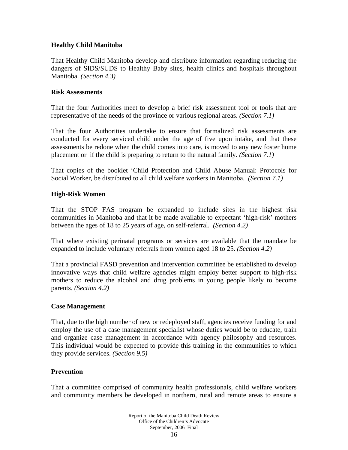#### **Healthy Child Manitoba**

That Healthy Child Manitoba develop and distribute information regarding reducing the dangers of SIDS/SUDS to Healthy Baby sites, health clinics and hospitals throughout Manitoba. *(Section 4.3)* 

#### **Risk Assessments**

That the four Authorities meet to develop a brief risk assessment tool or tools that are representative of the needs of the province or various regional areas. *(Section 7.1)* 

That the four Authorities undertake to ensure that formalized risk assessments are conducted for every serviced child under the age of five upon intake, and that these assessments be redone when the child comes into care, is moved to any new foster home placement or if the child is preparing to return to the natural family. *(Section 7.1)* 

That copies of the booklet 'Child Protection and Child Abuse Manual: Protocols for Social Worker, be distributed to all child welfare workers in Manitoba. *(Section 7.1)* 

#### **High-Risk Women**

That the STOP FAS program be expanded to include sites in the highest risk communities in Manitoba and that it be made available to expectant 'high-risk' mothers between the ages of 18 to 25 years of age, on self-referral. *(Section 4.2)* 

That where existing perinatal programs or services are available that the mandate be expanded to include voluntary referrals from women aged 18 to 25. *(Section 4.2)* 

That a provincial FASD prevention and intervention committee be established to develop innovative ways that child welfare agencies might employ better support to high-risk mothers to reduce the alcohol and drug problems in young people likely to become parents. *(Section 4.2)*

#### **Case Management**

That, due to the high number of new or redeployed staff, agencies receive funding for and employ the use of a case management specialist whose duties would be to educate, train and organize case management in accordance with agency philosophy and resources. This individual would be expected to provide this training in the communities to which they provide services. *(Section 9.5)* 

#### **Prevention**

That a committee comprised of community health professionals, child welfare workers and community members be developed in northern, rural and remote areas to ensure a

> Report of the Manitoba Child Death Review Office of the Children's Advocate September, 2006 Final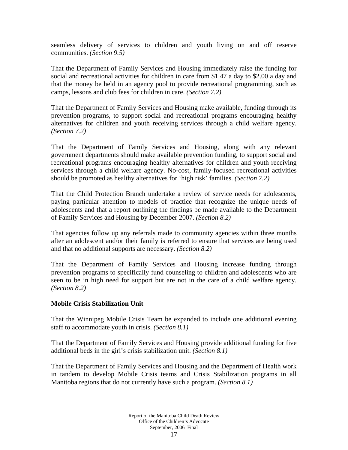seamless delivery of services to children and youth living on and off reserve communities. *(Section 9.5)* 

That the Department of Family Services and Housing immediately raise the funding for social and recreational activities for children in care from \$1.47 a day to \$2.00 a day and that the money be held in an agency pool to provide recreational programming, such as camps, lessons and club fees for children in care. *(Section 7.2)* 

That the Department of Family Services and Housing make available, funding through its prevention programs, to support social and recreational programs encouraging healthy alternatives for children and youth receiving services through a child welfare agency. *(Section 7.2)* 

That the Department of Family Services and Housing, along with any relevant government departments should make available prevention funding, to support social and recreational programs encouraging healthy alternatives for children and youth receiving services through a child welfare agency. No-cost, family-focused recreational activities should be promoted as healthy alternatives for 'high risk' families. *(Section 7.2)* 

That the Child Protection Branch undertake a review of service needs for adolescents, paying particular attention to models of practice that recognize the unique needs of adolescents and that a report outlining the findings be made available to the Department of Family Services and Housing by December 2007. *(Section 8.2)* 

That agencies follow up any referrals made to community agencies within three months after an adolescent and/or their family is referred to ensure that services are being used and that no additional supports are necessary. *(Section 8.2)*

That the Department of Family Services and Housing increase funding through prevention programs to specifically fund counseling to children and adolescents who are seen to be in high need for support but are not in the care of a child welfare agency. *(Section 8.2)*

### **Mobile Crisis Stabilization Unit**

That the Winnipeg Mobile Crisis Team be expanded to include one additional evening staff to accommodate youth in crisis. *(Section 8.1)* 

That the Department of Family Services and Housing provide additional funding for five additional beds in the girl's crisis stabilization unit. *(Section 8.1)* 

That the Department of Family Services and Housing and the Department of Health work in tandem to develop Mobile Crisis teams and Crisis Stabilization programs in all Manitoba regions that do not currently have such a program. *(Section 8.1)*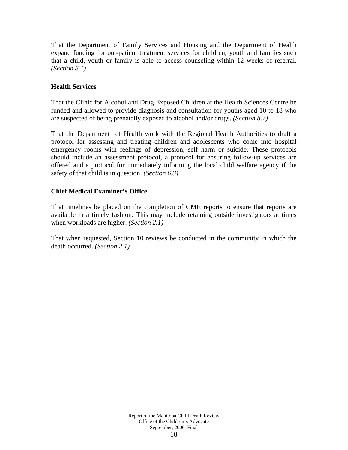That the Department of Family Services and Housing and the Department of Health expand funding for out-patient treatment services for children, youth and families such that a child, youth or family is able to access counseling within 12 weeks of referral. *(Section 8.1)* 

#### **Health Services**

That the Clinic for Alcohol and Drug Exposed Children at the Health Sciences Centre be funded and allowed to provide diagnosis and consultation for youths aged 10 to 18 who are suspected of being prenatally exposed to alcohol and/or drugs. *(Section 8.7)* 

That the Department of Health work with the Regional Health Authorities to draft a protocol for assessing and treating children and adolescents who come into hospital emergency rooms with feelings of depression, self harm or suicide. These protocols should include an assessment protocol, a protocol for ensuring follow-up services are offered and a protocol for immediately informing the local child welfare agency if the safety of that child is in question. *(Section 6.3)* 

#### **Chief Medical Examiner's Office**

That timelines be placed on the completion of CME reports to ensure that reports are available in a timely fashion. This may include retaining outside investigators at times when workloads are higher. *(Section 2.1)* 

That when requested, Section 10 reviews be conducted in the community in which the death occurred. *(Section 2.1)*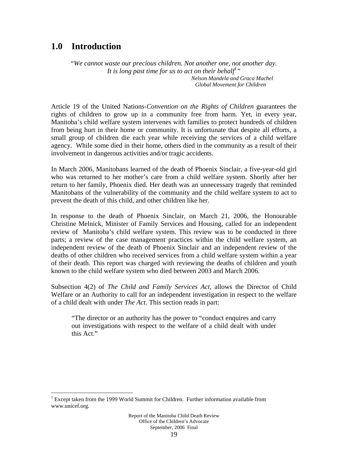## **1.0 Introduction**

 $\overline{a}$ 

"*We cannot waste our precious children. Not another one, not another day.*  It is long past time for us to act on their behalf<sup>1</sup>"  *Nelson Mandela and Graca Machel Global Movement for Children* 

Article 19 of the United Nations-*Convention on the Rights of Children* guarantees the rights of children to grow up in a community free from harm. Yet, in every year, Manitoba's child welfare system intervenes with families to protect hundreds of children from being hurt in their home or community. It is unfortunate that despite all efforts, a small group of children die each year while receiving the services of a child welfare agency. While some died in their home, others died in the community as a result of their involvement in dangerous activities and/or tragic accidents.

In March 2006, Manitobans learned of the death of Phoenix Sinclair, a five-year-old girl who was returned to her mother's care from a child welfare system. Shortly after her return to her family, Phoenix died. Her death was an unnecessary tragedy that reminded Manitobans of the vulnerability of the community and the child welfare system to act to prevent the death of this child, and other children like her.

In response to the death of Phoenix Sinclair, on March 21, 2006, the Honourable Christine Melnick, Minister of Family Services and Housing, called for an independent review of Manitoba's child welfare system. This review was to be conducted in three parts; a review of the case management practices within the child welfare system, an independent review of the death of Phoenix Sinclair and an independent review of the deaths of other children who received services from a child welfare system within a year of their death. This report was charged with reviewing the deaths of children and youth known to the child welfare system who died between 2003 and March 2006.

Subsection 4(2) of *The Child and Family Services Act,* allows the Director of Child Welfare or an Authority to call for an independent investigation in respect to the welfare of a child dealt with under *The Act*. This section reads in part:

"The director or an authority has the power to "conduct enquires and carry out investigations with respect to the welfare of a child dealt with under this Act."

<sup>&</sup>lt;sup>1</sup> Except taken from the 1999 World Summit for Children. Further information available from www.unicef.org.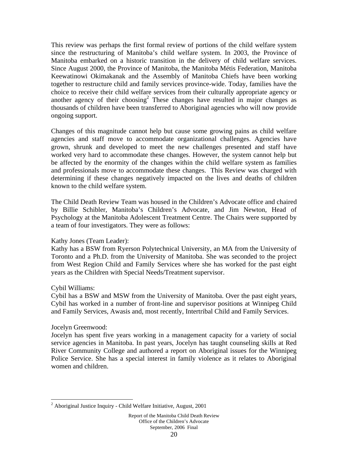This review was perhaps the first formal review of portions of the child welfare system since the restructuring of Manitoba's child welfare system. In 2003, the Province of Manitoba embarked on a historic transition in the delivery of child welfare services. Since August 2000, the Province of Manitoba, the Manitoba Métis Federation, Manitoba Keewatinowi Okimakanak and the Assembly of Manitoba Chiefs have been working together to restructure child and family services province-wide. Today, families have the choice to receive their child welfare services from their culturally appropriate agency or another agency of their choosing<sup>2</sup> These changes have resulted in major changes as thousands of children have been transferred to Aboriginal agencies who will now provide ongoing support.

Changes of this magnitude cannot help but cause some growing pains as child welfare agencies and staff move to accommodate organizational challenges. Agencies have grown, shrunk and developed to meet the new challenges presented and staff have worked very hard to accommodate these changes. However, the system cannot help but be affected by the enormity of the changes within the child welfare system as families and professionals move to accommodate these changes. This Review was charged with determining if these changes negatively impacted on the lives and deaths of children known to the child welfare system.

The Child Death Review Team was housed in the Children's Advocate office and chaired by Billie Schibler, Manitoba's Children's Advocate, and Jim Newton, Head of Psychology at the Manitoba Adolescent Treatment Centre. The Chairs were supported by a team of four investigators. They were as follows:

#### Kathy Jones (Team Leader):

Kathy has a BSW from Ryerson Polytechnical University, an MA from the University of Toronto and a Ph.D. from the University of Manitoba. She was seconded to the project from West Region Child and Family Services where she has worked for the past eight years as the Children with Special Needs/Treatment supervisor.

#### Cybil Williams:

Cybil has a BSW and MSW from the University of Manitoba. Over the past eight years, Cybil has worked in a number of front-line and supervisor positions at Winnipeg Child and Family Services, Awasis and, most recently, Intertribal Child and Family Services.

#### Jocelyn Greenwood:

 $\overline{a}$ 

Jocelyn has spent five years working in a management capacity for a variety of social service agencies in Manitoba. In past years, Jocelyn has taught counseling skills at Red River Community College and authored a report on Aboriginal issues for the Winnipeg Police Service. She has a special interest in family violence as it relates to Aboriginal women and children.

<sup>&</sup>lt;sup>2</sup> Aboriginal Justice Inquiry - Child Welfare Initiative, August, 2001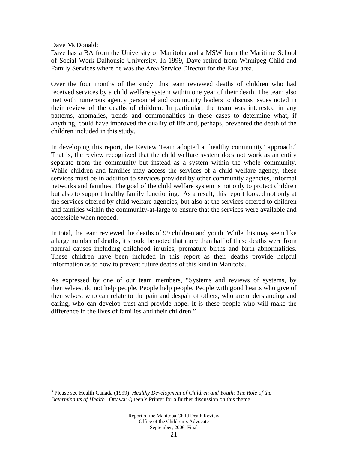#### Dave McDonald:

 $\overline{a}$ 

Dave has a BA from the University of Manitoba and a MSW from the Maritime School of Social Work-Dalhousie University. In 1999, Dave retired from Winnipeg Child and Family Services where he was the Area Service Director for the East area.

Over the four months of the study, this team reviewed deaths of children who had received services by a child welfare system within one year of their death. The team also met with numerous agency personnel and community leaders to discuss issues noted in their review of the deaths of children. In particular, the team was interested in any patterns, anomalies, trends and commonalities in these cases to determine what, if anything, could have improved the quality of life and, perhaps, prevented the death of the children included in this study.

In developing this report, the Review Team adopted a 'healthy community' approach.<sup>3</sup> That is, the review recognized that the child welfare system does not work as an entity separate from the community but instead as a system within the whole community. While children and families may access the services of a child welfare agency, these services must be in addition to services provided by other community agencies, informal networks and families. The goal of the child welfare system is not only to protect children but also to support healthy family functioning. As a result, this report looked not only at the services offered by child welfare agencies, but also at the services offered to children and families within the community-at-large to ensure that the services were available and accessible when needed.

In total, the team reviewed the deaths of 99 children and youth. While this may seem like a large number of deaths, it should be noted that more than half of these deaths were from natural causes including childhood injuries, premature births and birth abnormalities. These children have been included in this report as their deaths provide helpful information as to how to prevent future deaths of this kind in Manitoba.

As expressed by one of our team members, "Systems and reviews of systems, by themselves, do not help people. People help people. People with good hearts who give of themselves, who can relate to the pain and despair of others, who are understanding and caring, who can develop trust and provide hope. It is these people who will make the difference in the lives of families and their children."

<sup>3</sup> Please see Health Canada (1999). *Healthy Development of Children and Youth: The Role of the Determinants of Health.* Ottawa: Queen's Printer for a further discussion on this theme.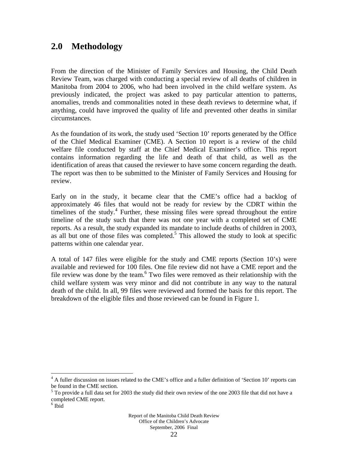## **2.0 Methodology**

From the direction of the Minister of Family Services and Housing, the Child Death Review Team, was charged with conducting a special review of all deaths of children in Manitoba from 2004 to 2006, who had been involved in the child welfare system. As previously indicated, the project was asked to pay particular attention to patterns, anomalies, trends and commonalities noted in these death reviews to determine what, if anything, could have improved the quality of life and prevented other deaths in similar circumstances.

As the foundation of its work, the study used 'Section 10' reports generated by the Office of the Chief Medical Examiner (CME). A Section 10 report is a review of the child welfare file conducted by staff at the Chief Medical Examiner's office. This report contains information regarding the life and death of that child, as well as the identification of areas that caused the reviewer to have some concern regarding the death. The report was then to be submitted to the Minister of Family Services and Housing for review.

Early on in the study, it became clear that the CME's office had a backlog of approximately 46 files that would not be ready for review by the CDRT within the timelines of the study.<sup>4</sup> Further, these missing files were spread throughout the entire timeline of the study such that there was not one year with a completed set of CME reports. As a result, the study expanded its mandate to include deaths of children in 2003, as all but one of those files was completed.<sup>5</sup> This allowed the study to look at specific patterns within one calendar year.

A total of 147 files were eligible for the study and CME reports (Section 10's) were available and reviewed for 100 files. One file review did not have a CME report and the file review was done by the team.<sup>6</sup> Two files were removed as their relationship with the child welfare system was very minor and did not contribute in any way to the natural death of the child. In all, 99 files were reviewed and formed the basis for this report. The breakdown of the eligible files and those reviewed can be found in Figure 1.

1

<sup>&</sup>lt;sup>4</sup> A fuller discussion on issues related to the CME's office and a fuller definition of 'Section 10' reports can be found in the CME section.

<sup>&</sup>lt;sup>5</sup> To provide a full data set for 2003 the study did their own review of the one 2003 file that did not have a completed CME report.

<sup>6</sup> Ibid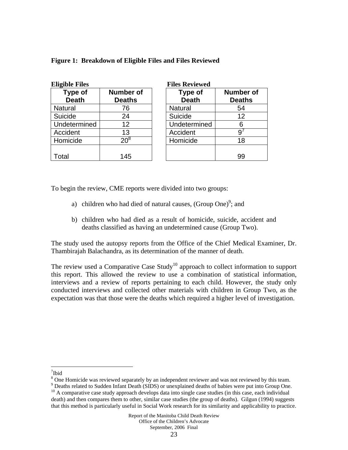| <b>Eligible Files</b>   |                                   | <b>Files Reviewed</b>          |                                   |  |  |
|-------------------------|-----------------------------------|--------------------------------|-----------------------------------|--|--|
| Type of<br><b>Death</b> | <b>Number of</b><br><b>Deaths</b> | <b>Type of</b><br><b>Death</b> | <b>Number of</b><br><b>Deaths</b> |  |  |
| <b>Natural</b>          | 76                                | <b>Natural</b>                 | 54                                |  |  |
| Suicide                 | 24                                | Suicide                        | 12                                |  |  |
| Undetermined            | 12                                | Undetermined                   | 6                                 |  |  |
| Accident                | 13                                | Accident                       |                                   |  |  |
| Homicide                | $20^8$                            | Homicide                       | 18                                |  |  |
|                         |                                   |                                |                                   |  |  |
| Гоtal                   | 145                               |                                | 99                                |  |  |

**Figure 1: Breakdown of Eligible Files and Files Reviewed** 

To begin the review, CME reports were divided into two groups:

- a) children who had died of natural causes, (Group One)<sup>9</sup>; and
- b) children who had died as a result of homicide, suicide, accident and deaths classified as having an undetermined cause (Group Two).

The study used the autopsy reports from the Office of the Chief Medical Examiner, Dr. Thambirajah Balachandra, as its determination of the manner of death.

The review used a Comparative Case Study<sup>10</sup> approach to collect information to support this report. This allowed the review to use a combination of statistical information, interviews and a review of reports pertaining to each child. However, the study only conducted interviews and collected other materials with children in Group Two, as the expectation was that those were the deaths which required a higher level of investigation.

 $\overline{a}$ 7 Ibid

<sup>&</sup>lt;sup>8</sup> One Homicide was reviewed separately by an independent reviewer and was not reviewed by this team.

<sup>&</sup>lt;sup>9</sup> Deaths related to Sudden Infant Death (SIDS) or unexplained deaths of babies were put into Group One.

 $10$  A comparative case study approach develops data into single case studies (in this case, each individual death) and then compares them to other, similar case studies (the group of deaths). Gilgun (1994) suggests that this method is particularly useful in Social Work research for its similarity and applicability to practice.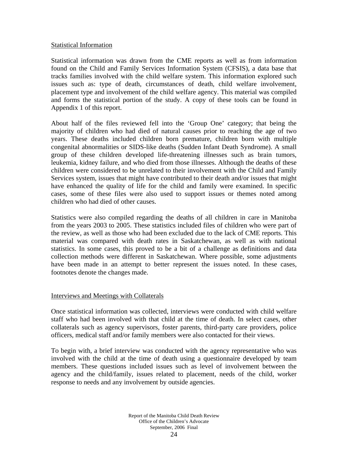#### Statistical Information

Statistical information was drawn from the CME reports as well as from information found on the Child and Family Services Information System (CFSIS), a data base that tracks families involved with the child welfare system. This information explored such issues such as: type of death, circumstances of death, child welfare involvement, placement type and involvement of the child welfare agency. This material was compiled and forms the statistical portion of the study. A copy of these tools can be found in Appendix 1 of this report.

About half of the files reviewed fell into the 'Group One' category; that being the majority of children who had died of natural causes prior to reaching the age of two years. These deaths included children born premature, children born with multiple congenital abnormalities or SIDS-like deaths (Sudden Infant Death Syndrome). A small group of these children developed life-threatening illnesses such as brain tumors, leukemia, kidney failure, and who died from those illnesses. Although the deaths of these children were considered to be unrelated to their involvement with the Child and Family Services system, issues that might have contributed to their death and/or issues that might have enhanced the quality of life for the child and family were examined. In specific cases, some of these files were also used to support issues or themes noted among children who had died of other causes.

Statistics were also compiled regarding the deaths of all children in care in Manitoba from the years 2003 to 2005. These statistics included files of children who were part of the review, as well as those who had been excluded due to the lack of CME reports. This material was compared with death rates in Saskatchewan, as well as with national statistics. In some cases, this proved to be a bit of a challenge as definitions and data collection methods were different in Saskatchewan. Where possible, some adjustments have been made in an attempt to better represent the issues noted. In these cases, footnotes denote the changes made.

#### Interviews and Meetings with Collaterals

Once statistical information was collected, interviews were conducted with child welfare staff who had been involved with that child at the time of death. In select cases, other collaterals such as agency supervisors, foster parents, third-party care providers, police officers, medical staff and/or family members were also contacted for their views.

To begin with, a brief interview was conducted with the agency representative who was involved with the child at the time of death using a questionnaire developed by team members. These questions included issues such as level of involvement between the agency and the child/family, issues related to placement, needs of the child, worker response to needs and any involvement by outside agencies.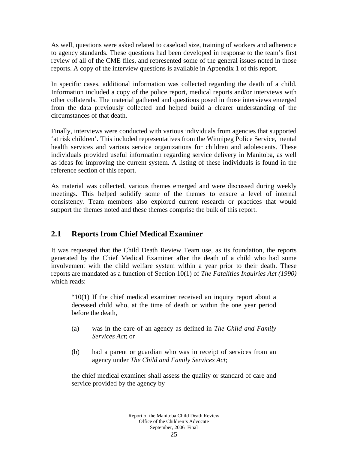As well, questions were asked related to caseload size, training of workers and adherence to agency standards. These questions had been developed in response to the team's first review of all of the CME files, and represented some of the general issues noted in those reports. A copy of the interview questions is available in Appendix 1 of this report.

In specific cases, additional information was collected regarding the death of a child. Information included a copy of the police report, medical reports and/or interviews with other collaterals. The material gathered and questions posed in those interviews emerged from the data previously collected and helped build a clearer understanding of the circumstances of that death.

Finally, interviews were conducted with various individuals from agencies that supported 'at risk children'. This included representatives from the Winnipeg Police Service, mental health services and various service organizations for children and adolescents. These individuals provided useful information regarding service delivery in Manitoba, as well as ideas for improving the current system. A listing of these individuals is found in the reference section of this report.

As material was collected, various themes emerged and were discussed during weekly meetings. This helped solidify some of the themes to ensure a level of internal consistency. Team members also explored current research or practices that would support the themes noted and these themes comprise the bulk of this report.

### **2.1 Reports from Chief Medical Examiner**

It was requested that the Child Death Review Team use, as its foundation, the reports generated by the Chief Medical Examiner after the death of a child who had some involvement with the child welfare system within a year prior to their death. These reports are mandated as a function of Section 10(1) of *The Fatalities Inquiries Act (1990)* which reads:

"10(1) If the chief medical examiner received an inquiry report about a deceased child who, at the time of death or within the one year period before the death,

- (a) was in the care of an agency as defined in *The Child and Family Services Act*; or
- (b) had a parent or guardian who was in receipt of services from an agency under *The Child and Family Services Act*;

the chief medical examiner shall assess the quality or standard of care and service provided by the agency by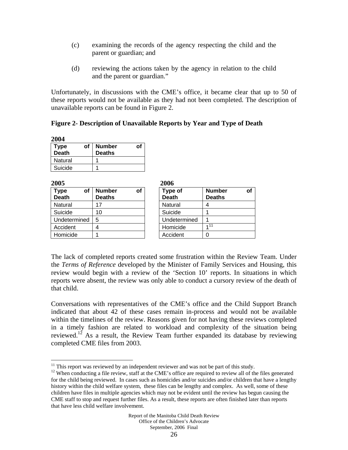- (c) examining the records of the agency respecting the child and the parent or guardian; and
- (d) reviewing the actions taken by the agency in relation to the child and the parent or guardian."

Unfortunately, in discussions with the CME's office, it became clear that up to 50 of these reports would not be available as they had not been completed. The description of unavailable reports can be found in Figure 2.

**Figure 2- Description of Unavailable Reports by Year and Type of Death** 

| 2004                 |    |                                |    |  |  |
|----------------------|----|--------------------------------|----|--|--|
| <b>Type</b><br>Death | οf | <b>Number</b><br><b>Deaths</b> | Οt |  |  |
| Natural              |    |                                |    |  |  |
| Suicide              |    |                                |    |  |  |

| 2005                              |                                |    | 2006 |                         |          |
|-----------------------------------|--------------------------------|----|------|-------------------------|----------|
| <b>Type</b><br>of<br><b>Death</b> | <b>Number</b><br><b>Deaths</b> | Οf |      | Type of<br><b>Death</b> | Νu<br>De |
| Natural                           | 17                             |    |      | Natural                 |          |
| Suicide                           | 10                             |    |      | Suicide                 |          |
| Undetermined                      | 5                              |    |      | Undetermined            |          |
| Accident                          |                                |    |      | Homicide                | 411      |
| Homicide                          |                                |    |      | Accident                |          |

| 2006                    |               |  |
|-------------------------|---------------|--|
| Type of<br><b>Death</b> | <b>Number</b> |  |
|                         | <b>Deaths</b> |  |
| Natural                 |               |  |
| Suicide                 |               |  |
| Undetermined            |               |  |
| Homicide                | $1^{11}$      |  |
| Accident                |               |  |

The lack of completed reports created some frustration within the Review Team. Under the *Terms of Reference* developed by the Minister of Family Services and Housing, this review would begin with a review of the 'Section 10' reports. In situations in which reports were absent, the review was only able to conduct a cursory review of the death of that child.

Conversations with representatives of the CME's office and the Child Support Branch indicated that about 42 of these cases remain in-process and would not be available within the timelines of the review. Reasons given for not having these reviews completed in a timely fashion are related to workload and complexity of the situation being reviewed.<sup>12</sup> As a result, the Review Team further expanded its database by reviewing completed CME files from 2003.

 $\overline{a}$  $11$  This report was reviewed by an independent reviewer and was not be part of this study.

<sup>&</sup>lt;sup>12</sup> When conducting a file review, staff at the CME's office are required to review all of the files generated for the child being reviewed. In cases such as homicides and/or suicides and/or children that have a lengthy history within the child welfare system, these files can be lengthy and complex. As well, some of these children have files in multiple agencies which may not be evident until the review has begun causing the CME staff to stop and request further files. As a result, these reports are often finished later than reports that have less child welfare involvement.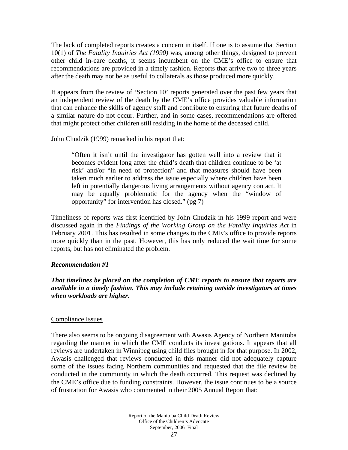The lack of completed reports creates a concern in itself. If one is to assume that Section 10(1) of *The Fatality Inquiries Act (1990)* was, among other things, designed to prevent other child in-care deaths, it seems incumbent on the CME's office to ensure that recommendations are provided in a timely fashion. Reports that arrive two to three years after the death may not be as useful to collaterals as those produced more quickly.

It appears from the review of 'Section 10' reports generated over the past few years that an independent review of the death by the CME's office provides valuable information that can enhance the skills of agency staff and contribute to ensuring that future deaths of a similar nature do not occur. Further, and in some cases, recommendations are offered that might protect other children still residing in the home of the deceased child.

John Chudzik (1999) remarked in his report that:

"Often it isn't until the investigator has gotten well into a review that it becomes evident long after the child's death that children continue to be 'at risk' and/or "in need of protection" and that measures should have been taken much earlier to address the issue especially where children have been left in potentially dangerous living arrangements without agency contact. It may be equally problematic for the agency when the "window of opportunity" for intervention has closed." (pg 7)

Timeliness of reports was first identified by John Chudzik in his 1999 report and were discussed again in the *Findings of the Working Group on the Fatality Inquiries Act* in February 2001. This has resulted in some changes to the CME's office to provide reports more quickly than in the past. However, this has only reduced the wait time for some reports, but has not eliminated the problem.

#### *Recommendation #1*

*That timelines be placed on the completion of CME reports to ensure that reports are available in a timely fashion. This may include retaining outside investigators at times when workloads are higher.* 

#### Compliance Issues

There also seems to be ongoing disagreement with Awasis Agency of Northern Manitoba regarding the manner in which the CME conducts its investigations. It appears that all reviews are undertaken in Winnipeg using child files brought in for that purpose. In 2002, Awasis challenged that reviews conducted in this manner did not adequately capture some of the issues facing Northern communities and requested that the file review be conducted in the community in which the death occurred. This request was declined by the CME's office due to funding constraints. However, the issue continues to be a source of frustration for Awasis who commented in their 2005 Annual Report that: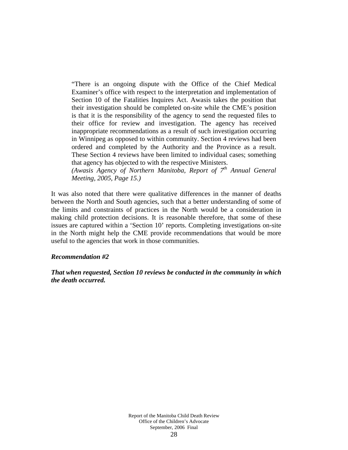"There is an ongoing dispute with the Office of the Chief Medical Examiner's office with respect to the interpretation and implementation of Section 10 of the Fatalities Inquires Act. Awasis takes the position that their investigation should be completed on-site while the CME's position is that it is the responsibility of the agency to send the requested files to their office for review and investigation. The agency has received inappropriate recommendations as a result of such investigation occurring in Winnipeg as opposed to within community. Section 4 reviews had been ordered and completed by the Authority and the Province as a result. These Section 4 reviews have been limited to individual cases; something that agency has objected to with the respective Ministers.

*(Awasis Agency of Northern Manitoba, Report of 7th Annual General Meeting, 2005, Page 15.)* 

It was also noted that there were qualitative differences in the manner of deaths between the North and South agencies, such that a better understanding of some of the limits and constraints of practices in the North would be a consideration in making child protection decisions. It is reasonable therefore, that some of these issues are captured within a 'Section 10' reports. Completing investigations on-site in the North might help the CME provide recommendations that would be more useful to the agencies that work in those communities.

#### *Recommendation #2*

*That when requested, Section 10 reviews be conducted in the community in which the death occurred.*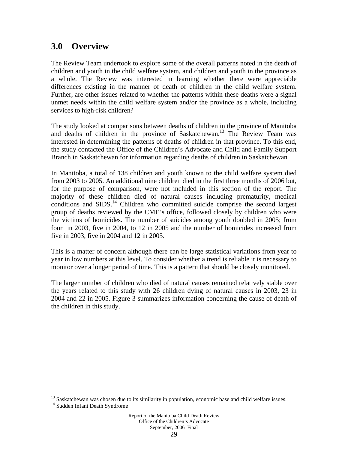## **3.0 Overview**

The Review Team undertook to explore some of the overall patterns noted in the death of children and youth in the child welfare system, and children and youth in the province as a whole. The Review was interested in learning whether there were appreciable differences existing in the manner of death of children in the child welfare system. Further, are other issues related to whether the patterns within these deaths were a signal unmet needs within the child welfare system and/or the province as a whole, including services to high-risk children?

The study looked at comparisons between deaths of children in the province of Manitoba and deaths of children in the province of Saskatchewan.<sup>13</sup> The Review Team was interested in determining the patterns of deaths of children in that province. To this end, the study contacted the Office of the Children's Advocate and Child and Family Support Branch in Saskatchewan for information regarding deaths of children in Saskatchewan.

In Manitoba, a total of 138 children and youth known to the child welfare system died from 2003 to 2005. An additional nine children died in the first three months of 2006 but, for the purpose of comparison, were not included in this section of the report. The majority of these children died of natural causes including prematurity, medical conditions and SIDS.<sup>14</sup> Children who committed suicide comprise the second largest group of deaths reviewed by the CME's office, followed closely by children who were the victims of homicides. The number of suicides among youth doubled in 2005; from four in 2003, five in 2004, to 12 in 2005 and the number of homicides increased from five in 2003, five in 2004 and 12 in 2005.

This is a matter of concern although there can be large statistical variations from year to year in low numbers at this level. To consider whether a trend is reliable it is necessary to monitor over a longer period of time. This is a pattern that should be closely monitored.

The larger number of children who died of natural causes remained relatively stable over the years related to this study with 26 children dying of natural causes in 2003, 23 in 2004 and 22 in 2005. Figure 3 summarizes information concerning the cause of death of the children in this study.

 $\overline{a}$ 

 $13$  Saskatchewan was chosen due to its similarity in population, economic base and child welfare issues.  $14$  Sudden Infant Death Syndrome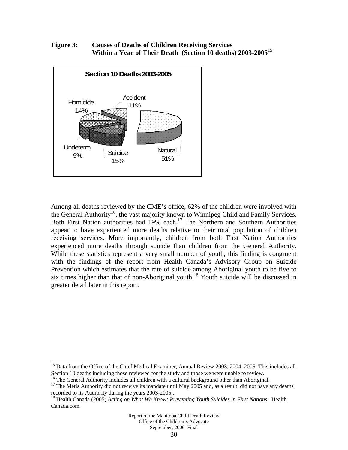**Figure 3: Causes of Deaths of Children Receiving Services Within a Year of Their Death (Section 10 deaths) 2003-2005**<sup>15</sup>



Among all deaths reviewed by the CME's office, 62% of the children were involved with the General Authority<sup>16</sup>, the vast majority known to Winnipeg Child and Family Services. Both First Nation authorities had 19% each.<sup>17</sup> The Northern and Southern Authorities appear to have experienced more deaths relative to their total population of children receiving services. More importantly, children from both First Nation Authorities experienced more deaths through suicide than children from the General Authority. While these statistics represent a very small number of youth, this finding is congruent with the findings of the report from Health Canada's Advisory Group on Suicide Prevention which estimates that the rate of suicide among Aboriginal youth to be five to six times higher than that of non-Aboriginal youth.<sup>18</sup> Youth suicide will be discussed in greater detail later in this report.

 $\overline{a}$ 

<sup>&</sup>lt;sup>15</sup> Data from the Office of the Chief Medical Examiner, Annual Review 2003, 2004, 2005. This includes all Section 10 deaths including those reviewed for the study and those we were unable to review.

<sup>&</sup>lt;sup>16</sup> The General Authority includes all children with a cultural background other than Aboriginal.

 $17$  The Métis Authority did not receive its mandate until May 2005 and, as a result, did not have any deaths recorded to its Authority during the years 2003-2005..

<sup>18</sup> Health Canada (2005) *Acting on What We Know: Preventing Youth Suicides in First Nations.* Health Canada.com.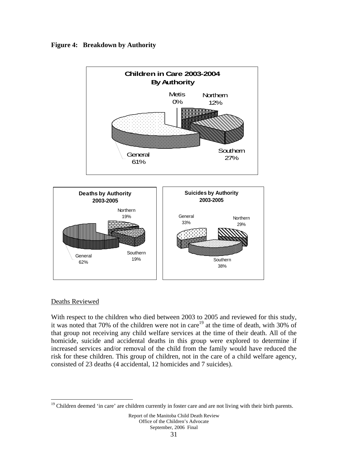



#### Deaths Reviewed

 $\overline{a}$ 

With respect to the children who died between 2003 to 2005 and reviewed for this study, it was noted that 70% of the children were not in care<sup>19</sup> at the time of death, with 30% of that group not receiving any child welfare services at the time of their death. All of the homicide, suicide and accidental deaths in this group were explored to determine if increased services and/or removal of the child from the family would have reduced the risk for these children. This group of children, not in the care of a child welfare agency, consisted of 23 deaths (4 accidental, 12 homicides and 7 suicides).

<sup>&</sup>lt;sup>19</sup> Children deemed 'in care' are children currently in foster care and are not living with their birth parents.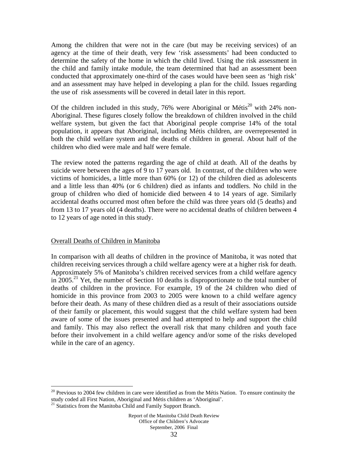Among the children that were not in the care (but may be receiving services) of an agency at the time of their death, very few 'risk assessments' had been conducted to determine the safety of the home in which the child lived. Using the risk assessment in the child and family intake module, the team determined that had an assessment been conducted that approximately one-third of the cases would have been seen as 'high risk' and an assessment may have helped in developing a plan for the child. Issues regarding the use of risk assessments will be covered in detail later in this report.

Of the children included in this study, 76% were Aboriginal or  $Métis<sup>20</sup>$  with 24% non-Aboriginal. These figures closely follow the breakdown of children involved in the child welfare system, but given the fact that Aboriginal people comprise 14% of the total population, it appears that Aboriginal, including Métis children, are overrepresented in both the child welfare system and the deaths of children in general. About half of the children who died were male and half were female.

The review noted the patterns regarding the age of child at death. All of the deaths by suicide were between the ages of 9 to 17 years old. In contrast, of the children who were victims of homicides, a little more than 60% (or 12) of the children died as adolescents and a little less than 40% (or 6 children) died as infants and toddlers. No child in the group of children who died of homicide died between 4 to 14 years of age. Similarly accidental deaths occurred most often before the child was three years old (5 deaths) and from 13 to 17 years old (4 deaths). There were no accidental deaths of children between 4 to 12 years of age noted in this study.

#### Overall Deaths of Children in Manitoba

In comparison with all deaths of children in the province of Manitoba, it was noted that children receiving services through a child welfare agency were at a higher risk for death. Approximately 5% of Manitoba's children received services from a child welfare agency in  $2005.<sup>21</sup>$  Yet, the number of Section 10 deaths is disproportionate to the total number of deaths of children in the province. For example, 19 of the 24 children who died of homicide in this province from 2003 to 2005 were known to a child welfare agency before their death. As many of these children died as a result of their associations outside of their family or placement, this would suggest that the child welfare system had been aware of some of the issues presented and had attempted to help and support the child and family. This may also reflect the overall risk that many children and youth face before their involvement in a child welfare agency and/or some of the risks developed while in the care of an agency.

 $\overline{a}$ 

 $20$  Previous to 2004 few children in care were identified as from the Métis Nation. To ensure continuity the study coded all First Nation, Aboriginal and Métis children as 'Aboriginal'.

<sup>&</sup>lt;sup>21</sup> Statistics from the Manitoba Child and Family Support Branch.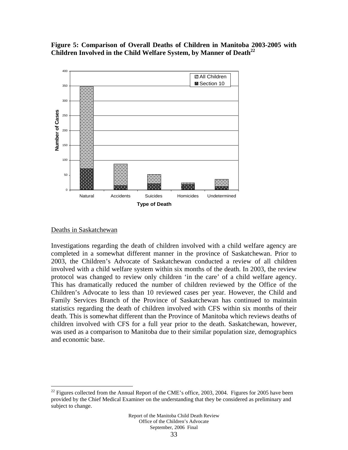**Figure 5: Comparison of Overall Deaths of Children in Manitoba 2003-2005 with**  Children Involved in the Child Welfare System, by Manner of Death<sup>22</sup>



#### Deaths in Saskatchewan

 $\overline{a}$ 

Investigations regarding the death of children involved with a child welfare agency are completed in a somewhat different manner in the province of Saskatchewan. Prior to 2003, the Children's Advocate of Saskatchewan conducted a review of all children involved with a child welfare system within six months of the death. In 2003, the review protocol was changed to review only children 'in the care' of a child welfare agency. This has dramatically reduced the number of children reviewed by the Office of the Children's Advocate to less than 10 reviewed cases per year. However, the Child and Family Services Branch of the Province of Saskatchewan has continued to maintain statistics regarding the death of children involved with CFS within six months of their death. This is somewhat different than the Province of Manitoba which reviews deaths of children involved with CFS for a full year prior to the death. Saskatchewan, however, was used as a comparison to Manitoba due to their similar population size, demographics and economic base.

<sup>&</sup>lt;sup>22</sup> Figures collected from the Annual Report of the CME's office, 2003, 2004. Figures for 2005 have been provided by the Chief Medical Examiner on the understanding that they be considered as preliminary and subject to change.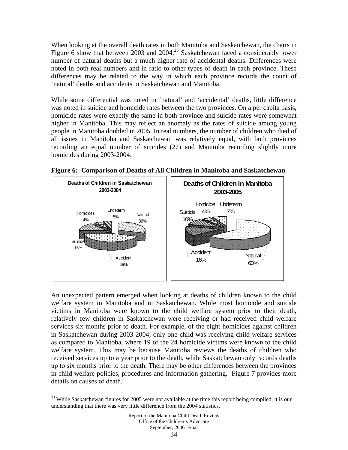When looking at the overall death rates in both Manitoba and Saskatchewan, the charts in Figure 6 show that between 2003 and 2004,<sup>23</sup> Saskatchewan faced a considerably lower number of natural deaths but a much higher rate of accidental deaths. Differences were noted in both real numbers and in ratio to other types of death in each province. These differences may be related to the way in which each province records the count of 'natural' deaths and accidents in Saskatchewan and Manitoba.

While some differential was noted in 'natural' and 'accidental' deaths, little difference was noted in suicide and homicide rates between the two provinces. On a per capita basis, homicide rates were exactly the same in both province and suicide rates were somewhat higher in Manitoba. This may reflect an anomaly as the rates of suicide among young people in Manitoba doubled in 2005. In real numbers, the number of children who died of all issues in Manitoba and Saskatchewan was relatively equal, with both provinces recording an equal number of suicides (27) and Manitoba recording slightly more homicides during 2003-2004.



**Figure 6: Comparison of Deaths of All Children in Manitoba and Saskatchewan** 

An unexpected pattern emerged when looking at deaths of children known to the child welfare system in Manitoba and in Saskatchewan. While most homicide and suicide victims in Manitoba were known to the child welfare system prior to their death, relatively few children in Saskatchewan were receiving or had received child welfare services six months prior to death. For example, of the eight homicides against children in Saskatchewan during 2003-2004, only one child was receiving child welfare services as compared to Manitoba, where 19 of the 24 homicide victims were known to the child welfare system. This may be because Manitoba reviews the deaths of children who received services up to a year prior to the death, while Saskatchewan only records deaths up to six months prior to the death. There may be other differences between the provinces in child welfare policies, procedures and information gathering. Figure 7 provides more details on causes of death.

1

<sup>&</sup>lt;sup>23</sup> While Saskatchewan figures for 2005 were not available at the time this report being compiled, it is our understanding that there was very little difference from the 2004 statistics.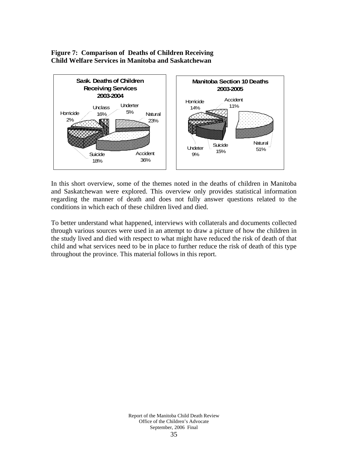### **Figure 7: Comparison of Deaths of Children Receiving Child Welfare Services in Manitoba and Saskatchewan**



In this short overview, some of the themes noted in the deaths of children in Manitoba and Saskatchewan were explored. This overview only provides statistical information regarding the manner of death and does not fully answer questions related to the conditions in which each of these children lived and died.

To better understand what happened, interviews with collaterals and documents collected through various sources were used in an attempt to draw a picture of how the children in the study lived and died with respect to what might have reduced the risk of death of that child and what services need to be in place to further reduce the risk of death of this type throughout the province. This material follows in this report.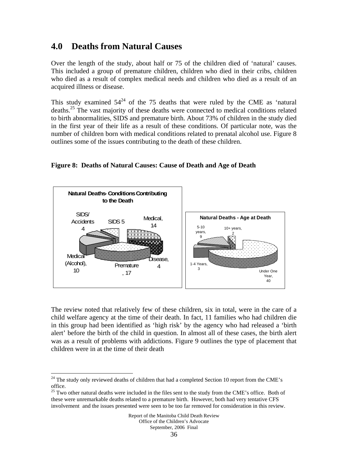### **4.0 Deaths from Natural Causes**

Over the length of the study, about half or 75 of the children died of 'natural' causes. This included a group of premature children, children who died in their cribs, children who died as a result of complex medical needs and children who died as a result of an acquired illness or disease.

This study examined  $54^{24}$  of the 75 deaths that were ruled by the CME as 'natural deaths.<sup>25</sup> The vast majority of these deaths were connected to medical conditions related to birth abnormalities, SIDS and premature birth. About 73% of children in the study died in the first year of their life as a result of these conditions. Of particular note, was the number of children born with medical conditions related to prenatal alcohol use. Figure 8 outlines some of the issues contributing to the death of these children.





The review noted that relatively few of these children, six in total, were in the care of a child welfare agency at the time of their death. In fact, 11 families who had children die in this group had been identified as 'high risk' by the agency who had released a 'birth alert' before the birth of the child in question. In almost all of these cases, the birth alert was as a result of problems with addictions. Figure 9 outlines the type of placement that children were in at the time of their death

1

 $24$  The study only reviewed deaths of children that had a completed Section 10 report from the CME's office.

<sup>&</sup>lt;sup>25</sup> Two other natural deaths were included in the files sent to the study from the CME's office. Both of these were unremarkable deaths related to a premature birth. However, both had very tentative CFS involvement and the issues presented were seen to be too far removed for consideration in this review.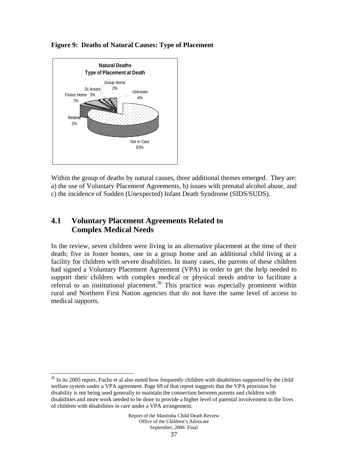

 $\overline{a}$ 

### **Figure 9: Deaths of Natural Causes: Type of Placement**

Within the group of deaths by natural causes, three additional themes emerged. They are: a) the use of Voluntary Placement Agreements, b) issues with prenatal alcohol abuse, and c) the incidence of Sudden (Unexpected) Infant Death Syndrome (SIDS/SUDS).

# **4.1 Voluntary Placement Agreements Related to Complex Medical Needs**

In the review, seven children were living in an alternative placement at the time of their death; five in foster homes, one in a group home and an additional child living at a facility for children with severe disabilities. In many cases, the parents of these children had signed a Voluntary Placement Agreement (VPA) in order to get the help needed to support their children with complex medical or physical needs and/or to facilitate a referral to an institutional placement.<sup>26</sup> This practice was especially prominent within rural and Northern First Nation agencies that do not have the same level of access to medical supports.

 $26$  In its 2005 report, Fuchs et al also noted how frequently children with disabilities supported by the child welfare system under a VPA agreement. Page 69 of that report suggests that the VPA provision for disability is not being used generally to maintain the connection between parents and children with disabilities and more work needed to be done to provide a higher level of parental involvement in the lives of children with disabilities in care under a VPA arrangement.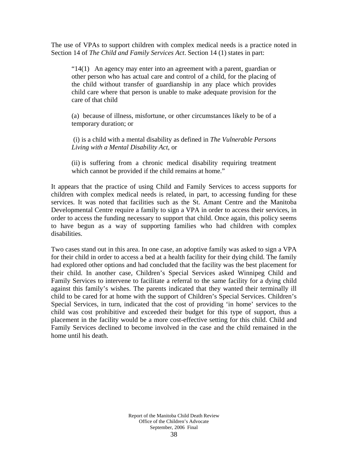The use of VPAs to support children with complex medical needs is a practice noted in Section 14 of *The Child and Family Services Act*. Section 14 (1) states in part:

" $14(1)$  An agency may enter into an agreement with a parent, guardian or other person who has actual care and control of a child, for the placing of the child without transfer of guardianship in any place which provides child care where that person is unable to make adequate provision for the care of that child

(a) because of illness, misfortune, or other circumstances likely to be of a temporary duration; or

 (i) is a child with a mental disability as defined in *The Vulnerable Persons Living with a Mental Disability Act*, or

(ii) is suffering from a chronic medical disability requiring treatment which cannot be provided if the child remains at home."

It appears that the practice of using Child and Family Services to access supports for children with complex medical needs is related, in part, to accessing funding for these services. It was noted that facilities such as the St. Amant Centre and the Manitoba Developmental Centre require a family to sign a VPA in order to access their services, in order to access the funding necessary to support that child. Once again, this policy seems to have begun as a way of supporting families who had children with complex disabilities.

Two cases stand out in this area. In one case, an adoptive family was asked to sign a VPA for their child in order to access a bed at a health facility for their dying child. The family had explored other options and had concluded that the facility was the best placement for their child. In another case, Children's Special Services asked Winnipeg Child and Family Services to intervene to facilitate a referral to the same facility for a dying child against this family's wishes. The parents indicated that they wanted their terminally ill child to be cared for at home with the support of Children's Special Services. Children's Special Services, in turn, indicated that the cost of providing 'in home' services to the child was cost prohibitive and exceeded their budget for this type of support, thus a placement in the facility would be a more cost-effective setting for this child. Child and Family Services declined to become involved in the case and the child remained in the home until his death.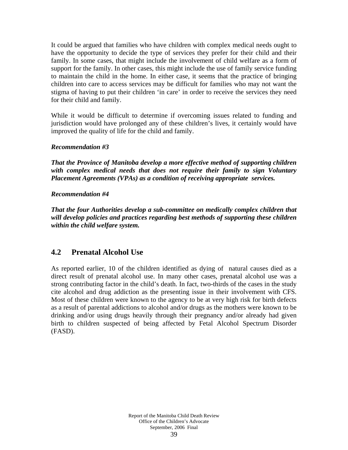It could be argued that families who have children with complex medical needs ought to have the opportunity to decide the type of services they prefer for their child and their family. In some cases, that might include the involvement of child welfare as a form of support for the family. In other cases, this might include the use of family service funding to maintain the child in the home. In either case, it seems that the practice of bringing children into care to access services may be difficult for families who may not want the stigma of having to put their children 'in care' in order to receive the services they need for their child and family.

While it would be difficult to determine if overcoming issues related to funding and jurisdiction would have prolonged any of these children's lives, it certainly would have improved the quality of life for the child and family.

## *Recommendation #3*

*That the Province of Manitoba develop a more effective method of supporting children with complex medical needs that does not require their family to sign Voluntary Placement Agreements (VPAs) as a condition of receiving appropriate services.* 

## *Recommendation #4*

*That the four Authorities develop a sub-committee on medically complex children that will develop policies and practices regarding best methods of supporting these children within the child welfare system.* 

## **4.2 Prenatal Alcohol Use**

As reported earlier, 10 of the children identified as dying of natural causes died as a direct result of prenatal alcohol use. In many other cases, prenatal alcohol use was a strong contributing factor in the child's death. In fact, two-thirds of the cases in the study cite alcohol and drug addiction as the presenting issue in their involvement with CFS. Most of these children were known to the agency to be at very high risk for birth defects as a result of parental addictions to alcohol and/or drugs as the mothers were known to be drinking and/or using drugs heavily through their pregnancy and/or already had given birth to children suspected of being affected by Fetal Alcohol Spectrum Disorder (FASD).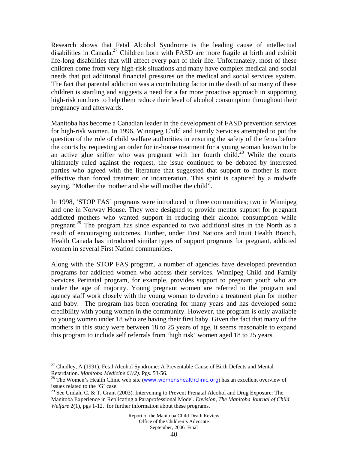Research shows that Fetal Alcohol Syndrome is the leading cause of intellectual disabilities in Canada.<sup>27</sup> Children born with FASD are more fragile at birth and exhibit life-long disabilities that will affect every part of their life. Unfortunately, most of these children come from very high-risk situations and many have complex medical and social needs that put additional financial pressures on the medical and social services system. The fact that parental addiction was a contributing factor in the death of so many of these children is startling and suggests a need for a far more proactive approach in supporting high-risk mothers to help them reduce their level of alcohol consumption throughout their pregnancy and afterwards.

Manitoba has become a Canadian leader in the development of FASD prevention services for high-risk women. In 1996, Winnipeg Child and Family Services attempted to put the question of the role of child welfare authorities in ensuring the safety of the fetus before the courts by requesting an order for in-house treatment for a young woman known to be an active glue sniffer who was pregnant with her fourth child.<sup>28</sup> While the courts ultimately ruled against the request, the issue continued to be debated by interested parties who agreed with the literature that suggested that support to mother is more effective than forced treatment or incarceration. This spirit is captured by a midwife saying, "Mother the mother and she will mother the child".

In 1998, 'STOP FAS' programs were introduced in three communities; two in Winnipeg and one in Norway House. They were designed to provide mentor support for pregnant addicted mothers who wanted support in reducing their alcohol consumption while pregnant.29 The program has since expanded to two additional sites in the North as a result of encouraging outcomes. Further, under First Nations and Inuit Health Branch, Health Canada has introduced similar types of support programs for pregnant, addicted women in several First Nation communities.

Along with the STOP FAS program, a number of agencies have developed prevention programs for addicted women who access their services. Winnipeg Child and Family Services Perinatal program, for example, provides support to pregnant youth who are under the age of majority. Young pregnant women are referred to the program and agency staff work closely with the young woman to develop a treatment plan for mother and baby. The program has been operating for many years and has developed some credibility with young women in the community. However, the program is only available to young women under 18 who are having their first baby. Given the fact that many of the mothers in this study were between 18 to 25 years of age, it seems reasonable to expand this program to include self referrals from 'high risk' women aged 18 to 25 years.

<u>.</u>

<sup>&</sup>lt;sup>27</sup> Chudley, A (1991), Fetal Alcohol Syndrome: A Preventable Cause of Birth Defects and Mental Retardation. *Manitoba Medicine* 61(2). Pgs. 53-56.

<sup>&</sup>lt;sup>28</sup> The Women's Health Clinic web site (www.womenshealthclinic.org) has an excellent overview of issues related to the 'G' case.

<sup>&</sup>lt;sup>29</sup> See Umlah, C. & T. Grant (2003). Intervening to Prevent Prenatal Alcohol and Drug Exposure: The Manitoba Experience in Replicating a Paraprofessional Model. *Envision, The Manitoba Journal of Child Welfare* 2(1), pgs 1-12. for further information about these programs.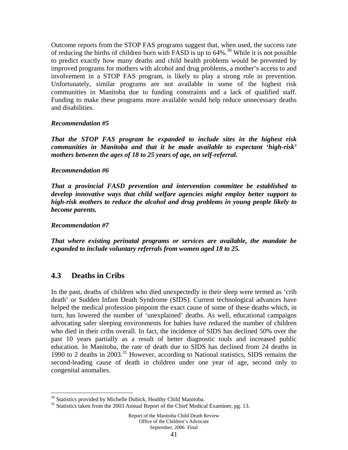Outcome reports from the STOP FAS programs suggest that, when used, the success rate of reducing the births of children born with FASD is up to  $64\%$ <sup>30</sup>. While it is not possible to predict exactly how many deaths and child health problems would be prevented by improved programs for mothers with alcohol and drug problems, a mother's access to and involvement in a STOP FAS program, is likely to play a strong role in prevention. Unfortunately, similar programs are not available in some of the highest risk communities in Manitoba due to funding constraints and a lack of qualified staff. Funding to make these programs more available would help reduce unnecessary deaths and disabilities.

### *Recommendation #5*

*That the STOP FAS program be expanded to include sites in the highest risk communities in Manitoba and that it be made available to expectant 'high-risk' mothers between the ages of 18 to 25 years of age, on self-referral.* 

### *Recommendation #6*

*That a provincial FASD prevention and intervention committee be established to develop innovative ways that child welfare agencies might employ better support to high-risk mothers to reduce the alcohol and drug problems in young people likely to become parents.* 

### *Recommendation #7*

*That where existing perinatal programs or services are available, the mandate be expanded to include voluntary referrals from women aged 18 to 25.* 

## **4.3 Deaths in Cribs**

1

In the past, deaths of children who died unexpectedly in their sleep were termed as 'crib death' or Sudden Infant Death Syndrome (SIDS). Current technological advances have helped the medical profession pinpoint the exact cause of some of these deaths which, in turn, has lowered the number of 'unexplained' deaths. As well, educational campaigns advocating safer sleeping environments for babies have reduced the number of children who died in their cribs overall. In fact, the incidence of SIDS has declined 50% over the past 10 years partially as a result of better diagnostic tools and increased public education. In Manitoba, the rate of death due to SIDS has declined from 24 deaths in 1990 to 2 deaths in 2003.<sup>31</sup> However, according to National statistics, SIDS remains the second-leading cause of death in children under one year of age, second only to congenital anomalies.

<sup>&</sup>lt;sup>30</sup> Statistics provided by Michelle Dubick, Healthy Child Manitoba.

<sup>&</sup>lt;sup>31</sup> Statistics taken from the 2003 Annual Report of the Chief Medical Examiner, pg. 13.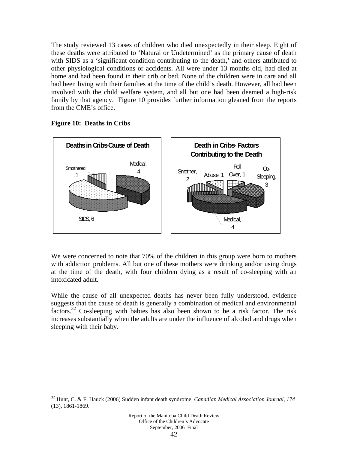The study reviewed 13 cases of children who died unexpectedly in their sleep. Eight of these deaths were attributed to 'Natural or Undetermined' as the primary cause of death with SIDS as a 'significant condition contributing to the death,' and others attributed to other physiological conditions or accidents. All were under 13 months old, had died at home and had been found in their crib or bed. None of the children were in care and all had been living with their families at the time of the child's death. However, all had been involved with the child welfare system, and all but one had been deemed a high-risk family by that agency. Figure 10 provides further information gleaned from the reports from the CME's office.



### **Figure 10: Deaths in Cribs**

 $\overline{a}$ 

We were concerned to note that 70% of the children in this group were born to mothers with addiction problems. All but one of these mothers were drinking and/or using drugs at the time of the death, with four children dying as a result of co-sleeping with an intoxicated adult.

While the cause of all unexpected deaths has never been fully understood, evidence suggests that the cause of death is generally a combination of medical and environmental factors.32 Co-sleeping with babies has also been shown to be a risk factor. The risk increases substantially when the adults are under the influence of alcohol and drugs when sleeping with their baby.

<sup>32</sup> Hunt, C. & F. Hauck (2006) Sudden infant death syndrome. *Canadian Medical Association Journal, 174*  (13), 1861-1869.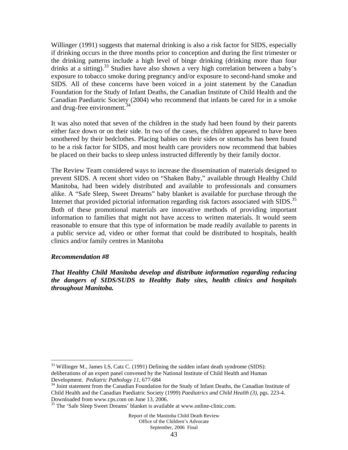Willinger (1991) suggests that maternal drinking is also a risk factor for SIDS, especially if drinking occurs in the three months prior to conception and during the first trimester or the drinking patterns include a high level of binge drinking (drinking more than four drinks at a sitting).<sup>33</sup> Studies have also shown a very high correlation between a baby's exposure to tobacco smoke during pregnancy and/or exposure to second-hand smoke and SIDS. All of these concerns have been voiced in a joint statement by the Canadian Foundation for the Study of Infant Deaths, the Canadian Institute of Child Health and the Canadian Paediatric Society (2004) who recommend that infants be cared for in a smoke and drug-free environment.<sup>34</sup>

It was also noted that seven of the children in the study had been found by their parents either face down or on their side. In two of the cases, the children appeared to have been smothered by their bedclothes. Placing babies on their sides or stomachs has been found to be a risk factor for SIDS, and most health care providers now recommend that babies be placed on their backs to sleep unless instructed differently by their family doctor.

The Review Team considered ways to increase the dissemination of materials designed to prevent SIDS. A recent short video on "Shaken Baby," available through Healthy Child Manitoba, had been widely distributed and available to professionals and consumers alike. A "Safe Sleep, Sweet Dreams" baby blanket is available for purchase through the Internet that provided pictorial information regarding risk factors associated with SIDS.<sup>35</sup> Both of these promotional materials are innovative methods of providing important information to families that might not have access to written materials. It would seem reasonable to ensure that this type of information be made readily available to parents in a public service ad, video or other format that could be distributed to hospitals, health clinics and/or family centres in Manitoba

### *Recommendation #8*

<u>.</u>

*That Healthy Child Manitoba develop and distribute information regarding reducing the dangers of SIDS/SUDS to Healthy Baby sites, health clinics and hospitals throughout Manitoba.* 

 $33$  Willinger M., James LS, Catz C. (1991) Defining the sudden infant death syndrome (SIDS): deliberations of an expert panel convened by the National Institute of Child Health and Human<br>Development. *Pediatric Pathology 11*, 677-684

<sup>&</sup>lt;sup>34</sup> Joint statement from the Canadian Foundation for the Study of Infant Deaths, the Canadian Institute of Child Health and the Canadian Paediatric Society (1999) *Paediatrics and Child Health (3),* pgs. 223-4. Downloaded from www.cps.com on June 13, 2006.

<sup>&</sup>lt;sup>35</sup> The 'Safe Sleep Sweet Dreams' blanket is available at www.online-clinic.com.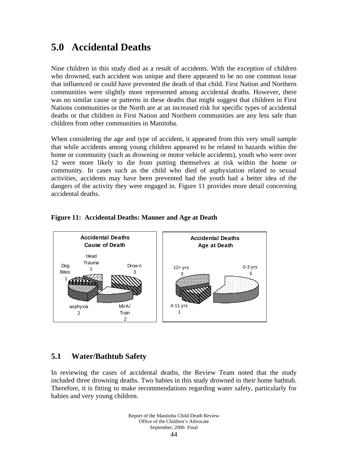# **5.0 Accidental Deaths**

Nine children in this study died as a result of accidents. With the exception of children who drowned, each accident was unique and there appeared to be no one common issue that influenced or could have prevented the death of that child. First Nation and Northern communities were slightly more represented among accidental deaths. However, there was no similar cause or patterns in these deaths that might suggest that children in First Nations communities or the North are at an increased risk for specific types of accidental deaths or that children in First Nation and Northern communities are any less safe than children from other communities in Manitoba.

When considering the age and type of accident, it appeared from this very small sample that while accidents among young children appeared to be related to hazards within the home or community (such as drowning or motor vehicle accidents), youth who were over 12 were more likely to die from putting themselves at risk within the home or community. In cases such as the child who died of asphyxiation related to sexual activities, accidents may have been prevented had the youth had a better idea of the dangers of the activity they were engaged in. Figure 11 provides more detail concerning accidental deaths.



### **Figure 11: Accidental Deaths: Manner and Age at Death**

## **5.1 Water/Bathtub Safety**

In reviewing the cases of accidental deaths, the Review Team noted that the study included three drowning deaths. Two babies in this study drowned in their home bathtub. Therefore, it is fitting to make recommendations regarding water safety, particularly for babies and very young children.

> Report of the Manitoba Child Death Review Office of the Children's Advocate September, 2006 Final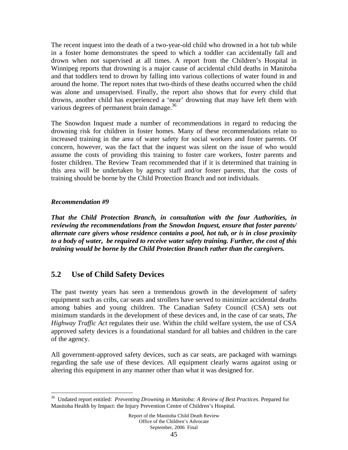The recent inquest into the death of a two-year-old child who drowned in a hot tub while in a foster home demonstrates the speed to which a toddler can accidentally fall and drown when not supervised at all times. A report from the Children's Hospital in Winnipeg reports that drowning is a major cause of accidental child deaths in Manitoba and that toddlers tend to drown by falling into various collections of water found in and around the home. The report notes that two-thirds of these deaths occurred when the child was alone and unsupervised. Finally, the report also shows that for every child that drowns, another child has experienced a 'near' drowning that may have left them with various degrees of permanent brain damage.<sup>36</sup>

The Snowdon Inquest made a number of recommendations in regard to reducing the drowning risk for children in foster homes. Many of these recommendations relate to increased training in the area of water safety for social workers and foster parents. Of concern, however, was the fact that the inquest was silent on the issue of who would assume the costs of providing this training to foster care workers, foster parents and foster children. The Review Team recommended that if it is determined that training in this area will be undertaken by agency staff and/or foster parents, that the costs of training should be borne by the Child Protection Branch and not individuals.

## *Recommendation #9*

 $\overline{a}$ 

*That the Child Protection Branch, in consultation with the four Authorities, in reviewing the recommendations from the Snowdon Inquest, ensure that foster parents/ alternate care givers whose residence contains a pool, hot tub, or is in close proximity to a body of water, be required to receive water safety training. Further, the cost of this training would be borne by the Child Protection Branch rather than the caregivers.* 

# **5.2 Use of Child Safety Devices**

The past twenty years has seen a tremendous growth in the development of safety equipment such as cribs, car seats and strollers have served to minimize accidental deaths among babies and young children. The Canadian Safety Council (CSA) sets out minimum standards in the development of these devices and, in the case of car seats, *The Highway Traffic Act* regulates their use. Within the child welfare system, the use of CSA approved safety devices is a foundational standard for all babies and children in the care of the agency.

All government-approved safety devices, such as car seats, are packaged with warnings regarding the safe use of these devices. All equipment clearly warns against using or altering this equipment in any manner other than what it was designed for.

<sup>36</sup> Undated report entitled: *Preventing Drowning in Manitoba: A Review of Best Practices*. Prepared for Manitoba Health by Impact: the Injury Prevention Centre of Children's Hospital.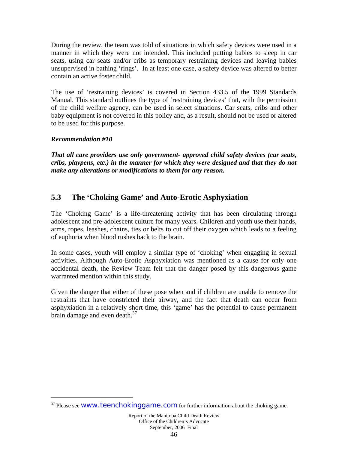During the review, the team was told of situations in which safety devices were used in a manner in which they were not intended. This included putting babies to sleep in car seats, using car seats and/or cribs as temporary restraining devices and leaving babies unsupervised in bathing 'rings'. In at least one case, a safety device was altered to better contain an active foster child.

The use of 'restraining devices' is covered in Section 433.5 of the 1999 Standards Manual. This standard outlines the type of 'restraining devices' that, with the permission of the child welfare agency, can be used in select situations. Car seats, cribs and other baby equipment is not covered in this policy and, as a result, should not be used or altered to be used for this purpose.

## *Recommendation #10*

 $\overline{a}$ 

*That all care providers use only government- approved child safety devices (car seats, cribs, playpens, etc.) in the manner for which they were designed and that they do not make any alterations or modifications to them for any reason.* 

# **5.3 The 'Choking Game' and Auto-Erotic Asphyxiation**

The 'Choking Game' is a life-threatening activity that has been circulating through adolescent and pre-adolescent culture for many years. Children and youth use their hands, arms, ropes, leashes, chains, ties or belts to cut off their oxygen which leads to a feeling of euphoria when blood rushes back to the brain.

In some cases, youth will employ a similar type of 'choking' when engaging in sexual activities. Although Auto-Erotic Asphyxiation was mentioned as a cause for only one accidental death, the Review Team felt that the danger posed by this dangerous game warranted mention within this study.

Given the danger that either of these pose when and if children are unable to remove the restraints that have constricted their airway, and the fact that death can occur from asphyxiation in a relatively short time, this 'game' has the potential to cause permanent brain damage and even death. $37$ 

 $37$  Please see WWW.teenchokinggame.com for further information about the choking game.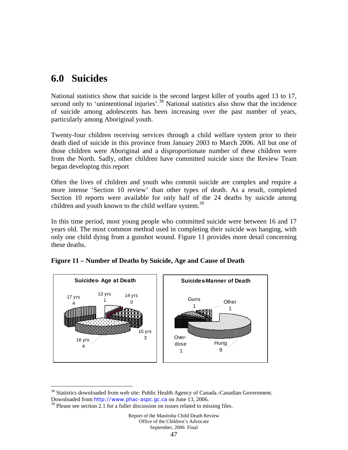# **6.0 Suicides**

 $\overline{a}$ 

National statistics show that suicide is the second largest killer of youths aged 13 to 17, second only to 'unintentional injuries'.<sup>38</sup> National statistics also show that the incidence of suicide among adolescents has been increasing over the past number of years, particularly among Aboriginal youth.

Twenty-four children receiving services through a child welfare system prior to their death died of suicide in this province from January 2003 to March 2006. All but one of those children were Aboriginal and a disproportionate number of these children were from the North. Sadly, other children have committed suicide since the Review Team began developing this report

Often the lives of children and youth who commit suicide are complex and require a more intense 'Section 10 review' than other types of death. As a result, completed Section 10 reports were available for only half of the 24 deaths by suicide among children and youth known to the child welfare system.<sup>39</sup>

In this time period, most young people who committed suicide were between 16 and 17 years old. The most common method used in completing their suicide was hanging, with only one child dying from a gunshot wound. Figure 11 provides more detail concerning these deaths.



**Figure 11 – Number of Deaths by Suicide, Age and Cause of Death** 

<sup>38</sup> Statistics downloaded from web site: Public Health Agency of Canada.-Canadian Government. Downloaded from http://www.phac-aspc.gc.ca on June 13, 2006.

 $39$  Please see section 2.1 for a fuller discussion on issues related to missing files.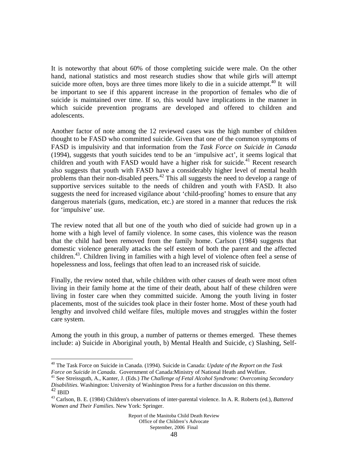It is noteworthy that about 60% of those completing suicide were male. On the other hand, national statistics and most research studies show that while girls will attempt suicide more often, boys are three times more likely to die in a suicide attempt.<sup>40</sup> It will be important to see if this apparent increase in the proportion of females who die of suicide is maintained over time. If so, this would have implications in the manner in which suicide prevention programs are developed and offered to children and adolescents.

Another factor of note among the 12 reviewed cases was the high number of children thought to be FASD who committed suicide. Given that one of the common symptoms of FASD is impulsivity and that information from the *Task Force on Suicide in Canada* (1994), suggests that youth suicides tend to be an 'impulsive act', it seems logical that children and youth with FASD would have a higher risk for suicide.<sup>41</sup> Recent research also suggests that youth with FASD have a considerably higher level of mental health problems than their non-disabled peers.<sup>42</sup> This all suggests the need to develop a range of supportive services suitable to the needs of children and youth with FASD. It also suggests the need for increased vigilance about 'child-proofing' homes to ensure that any dangerous materials (guns, medication, etc.) are stored in a manner that reduces the risk for 'impulsive' use.

The review noted that all but one of the youth who died of suicide had grown up in a home with a high level of family violence. In some cases, this violence was the reason that the child had been removed from the family home. Carlson (1984) suggests that domestic violence generally attacks the self esteem of both the parent and the affected children.<sup>43</sup>. Children living in families with a high level of violence often feel a sense of hopelessness and loss, feelings that often lead to an increased risk of suicide.

Finally, the review noted that, while children with other causes of death were most often living in their family home at the time of their death, about half of these children were living in foster care when they committed suicide. Among the youth living in foster placements, most of the suicides took place in their foster home. Most of these youth had lengthy and involved child welfare files, multiple moves and struggles within the foster care system.

Among the youth in this group, a number of patterns or themes emerged. These themes include: a) Suicide in Aboriginal youth, b) Mental Health and Suicide, c) Slashing, Self-

 $\overline{a}$ 

<sup>&</sup>lt;sup>40</sup> The Task Force on Suicide in Canada. (1994). Suicide in Canada: *Update of the Report on the Task Force on Suicide in Canada*. Government of Canada: Ministry of National Heath and Welfare.

*Force on Suicide in Canada:*<br><sup>41</sup> See Streissguth, A., Kanter, J. (Eds.) *The Challenge of Fetal Alcohol Syndrome: Overcoming Secondary Disabilities.* Washington: University of Washington Press for a further discussion on this theme.

<sup>&</sup>lt;sup>43</sup> Carlson, B. E. (1984) Children's observations of inter-parental violence. In A. R. Roberts (ed.), *Battered Women and Their Families*. New York: Springer.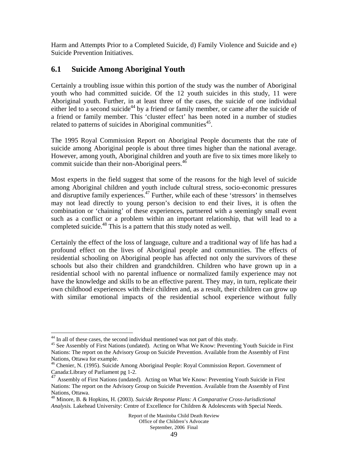Harm and Attempts Prior to a Completed Suicide, d) Family Violence and Suicide and e) Suicide Prevention Initiatives.

# **6.1 Suicide Among Aboriginal Youth**

Certainly a troubling issue within this portion of the study was the number of Aboriginal youth who had committed suicide. Of the 12 youth suicides in this study, 11 were Aboriginal youth. Further, in at least three of the cases, the suicide of one individual either led to a second suicide<sup>44</sup> by a friend or family member, or came after the suicide of a friend or family member. This 'cluster effect' has been noted in a number of studies related to patterns of suicides in Aboriginal communities<sup>45</sup>.

The 1995 Royal Commission Report on Aboriginal People documents that the rate of suicide among Aboriginal people is about three times higher than the national average. However, among youth, Aboriginal children and youth are five to six times more likely to commit suicide than their non-Aboriginal peers.<sup>46</sup>

Most experts in the field suggest that some of the reasons for the high level of suicide among Aboriginal children and youth include cultural stress, socio-economic pressures and disruptive family experiences.<sup>47</sup> Further, while each of these 'stressors' in themselves may not lead directly to young person's decision to end their lives, it is often the combination or 'chaining' of these experiences, partnered with a seemingly small event such as a conflict or a problem within an important relationship, that will lead to a completed suicide.<sup>48</sup> This is a pattern that this study noted as well.

Certainly the effect of the loss of language, culture and a traditional way of life has had a profound effect on the lives of Aboriginal people and communities. The effects of residential schooling on Aboriginal people has affected not only the survivors of these schools but also their children and grandchildren. Children who have grown up in a residential school with no parental influence or normalized family experience may not have the knowledge and skills to be an effective parent. They may, in turn, replicate their own childhood experiences with their children and, as a result, their children can grow up with similar emotional impacts of the residential school experience without fully

1

<sup>&</sup>lt;sup>44</sup> In all of these cases, the second individual mentioned was not part of this study.

<sup>&</sup>lt;sup>45</sup> See Assembly of First Nations (undated). Acting on What We Know: Preventing Youth Suicide in First Nations: The report on the Advisory Group on Suicide Prevention. Available from the Assembly of First Nations, Ottawa for example.

<sup>46</sup> Chenier, N. (1995). Suicide Among Aboriginal People: Royal Commission Report. Government of Canada:Library of Parliament pg 1-2.

<sup>&</sup>lt;sup>47</sup> Assembly of First Nations (undated). Acting on What We Know: Preventing Youth Suicide in First Nations: The report on the Advisory Group on Suicide Prevention. Available from the Assembly of First Nations, Ottawa.

<sup>48</sup> Minore, B. & Hopkins, H. (2003). *Suicide Response Plans: A Comparative Cross-Jurisdictional Analysis.* Lakehead University: Centre of Excellence for Children & Adolescents with Special Needs.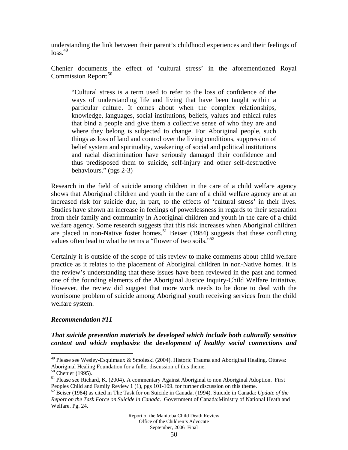understanding the link between their parent's childhood experiences and their feelings of  $\log s$ <sup>49</sup>

Chenier documents the effect of 'cultural stress' in the aforementioned Royal Commission Report:<sup>50</sup>

"Cultural stress is a term used to refer to the loss of confidence of the ways of understanding life and living that have been taught within a particular culture. It comes about when the complex relationships, knowledge, languages, social institutions, beliefs, values and ethical rules that bind a people and give them a collective sense of who they are and where they belong is subjected to change. For Aboriginal people, such things as loss of land and control over the living conditions, suppression of belief system and spirituality, weakening of social and political institutions and racial discrimination have seriously damaged their confidence and thus predisposed them to suicide, self-injury and other self-destructive behaviours." (pgs 2-3)

Research in the field of suicide among children in the care of a child welfare agency shows that Aboriginal children and youth in the care of a child welfare agency are at an increased risk for suicide due, in part, to the effects of 'cultural stress' in their lives. Studies have shown an increase in feelings of powerlessness in regards to their separation from their family and community in Aboriginal children and youth in the care of a child welfare agency. Some research suggests that this risk increases when Aboriginal children are placed in non-Native foster homes.<sup>51</sup> Beiser (1984) suggests that these conflicting values often lead to what he terms a "flower of two soils."<sup>52</sup>

Certainly it is outside of the scope of this review to make comments about child welfare practice as it relates to the placement of Aboriginal children in non-Native homes. It is the review's understanding that these issues have been reviewed in the past and formed one of the founding elements of the Aboriginal Justice Inquiry-Child Welfare Initiative*.* However, the review did suggest that more work needs to be done to deal with the worrisome problem of suicide among Aboriginal youth receiving services from the child welfare system.

### *Recommendation #11*

*That suicide prevention materials be developed which include both culturally sensitive content and which emphasize the development of healthy social connections and* 

 $\overline{a}$ 

<sup>&</sup>lt;sup>49</sup> Please see Wesley-Esquimaux & Smoleski (2004). Historic Trauma and Aboriginal Healing. Ottawa: Aboriginal Healing Foundation for a fuller discussion of this theme.

 $50$  Chenier (1995).

<sup>&</sup>lt;sup>51</sup> Please see Richard, K. (2004). A commentary Against Aboriginal to non Aboriginal Adoption. First Peoples Child and Family Review 1 (1), pgs 101-109. for further discussion on this theme.

<sup>52</sup> Beiser (1984) as cited in The Task for on Suicide in Canada. (1994). Suicide in Canada: *Update of the Report on the Task Force on Suicide in Canada*. Government of Canada:Ministry of National Heath and Welfare. Pg. 24.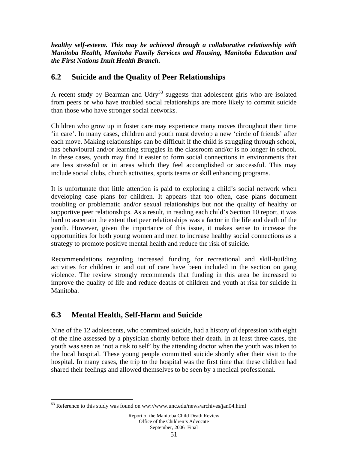*healthy self-esteem. This may be achieved through a collaborative relationship with Manitoba Health, Manitoba Family Services and Housing, Manitoba Education and the First Nations Inuit Health Branch.* 

# **6.2 Suicide and the Quality of Peer Relationships**

A recent study by Bearman and Udry<sup>53</sup> suggests that adolescent girls who are isolated from peers or who have troubled social relationships are more likely to commit suicide than those who have stronger social networks.

Children who grow up in foster care may experience many moves throughout their time 'in care'. In many cases, children and youth must develop a new 'circle of friends' after each move. Making relationships can be difficult if the child is struggling through school, has behavioural and/or learning struggles in the classroom and/or is no longer in school. In these cases, youth may find it easier to form social connections in environments that are less stressful or in areas which they feel accomplished or successful. This may include social clubs, church activities, sports teams or skill enhancing programs.

It is unfortunate that little attention is paid to exploring a child's social network when developing case plans for children. It appears that too often, case plans document troubling or problematic and/or sexual relationships but not the quality of healthy or supportive peer relationships. As a result, in reading each child's Section 10 report, it was hard to ascertain the extent that peer relationships was a factor in the life and death of the youth. However, given the importance of this issue, it makes sense to increase the opportunities for both young women and men to increase healthy social connections as a strategy to promote positive mental health and reduce the risk of suicide.

Recommendations regarding increased funding for recreational and skill-building activities for children in and out of care have been included in the section on gang violence. The review strongly recommends that funding in this area be increased to improve the quality of life and reduce deaths of children and youth at risk for suicide in Manitoba.

# **6.3 Mental Health, Self-Harm and Suicide**

 $\overline{a}$ 

Nine of the 12 adolescents, who committed suicide, had a history of depression with eight of the nine assessed by a physician shortly before their death. In at least three cases, the youth was seen as 'not a risk to self' by the attending doctor when the youth was taken to the local hospital. These young people committed suicide shortly after their visit to the hospital. In many cases, the trip to the hospital was the first time that these children had shared their feelings and allowed themselves to be seen by a medical professional.

<sup>53</sup> Reference to this study was found on ww://www.unc.edu/news/archives/jan04.html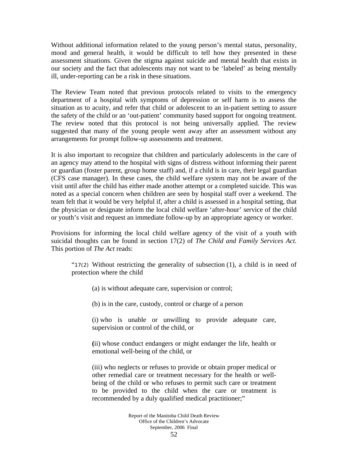Without additional information related to the young person's mental status, personality, mood and general health, it would be difficult to tell how they presented in these assessment situations. Given the stigma against suicide and mental health that exists in our society and the fact that adolescents may not want to be 'labeled' as being mentally ill, under-reporting can be a risk in these situations.

The Review Team noted that previous protocols related to visits to the emergency department of a hospital with symptoms of depression or self harm is to assess the situation as to acuity, and refer that child or adolescent to an in-patient setting to assure the safety of the child or an 'out-patient' community based support for ongoing treatment. The review noted that this protocol is not being universally applied. The review suggested that many of the young people went away after an assessment without any arrangements for prompt follow-up assessments and treatment.

It is also important to recognize that children and particularly adolescents in the care of an agency may attend to the hospital with signs of distress without informing their parent or guardian (foster parent, group home staff) and, if a child is in care, their legal guardian (CFS case manager). In these cases, the child welfare system may not be aware of the visit until after the child has either made another attempt or a completed suicide. This was noted as a special concern when children are seen by hospital staff over a weekend. The team felt that it would be very helpful if, after a child is assessed in a hospital setting, that the physician or designate inform the local child welfare 'after-hour' service of the child or youth's visit and request an immediate follow-up by an appropriate agency or worker.

Provisions for informing the local child welfare agency of the visit of a youth with suicidal thoughts can be found in section 17(2) of *The Child and Family Services Act.* This portion of *The Act* reads:

"17(2) Without restricting the generality of subsection (1), a child is in need of protection where the child

(a) is without adequate care, supervision or control;

(b) is in the care, custody, control or charge of a person

(i) who is unable or unwilling to provide adequate care, supervision or control of the child, or

**(**ii) whose conduct endangers or might endanger the life, health or emotional well-being of the child, or

(iii) who neglects or refuses to provide or obtain proper medical or other remedial care or treatment necessary for the health or wellbeing of the child or who refuses to permit such care or treatment to be provided to the child when the care or treatment is recommended by a duly qualified medical practitioner;"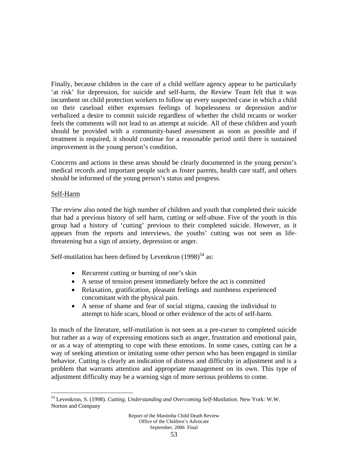Finally, because children in the care of a child welfare agency appear to be particularly 'at risk' for depression, for suicide and self-harm, the Review Team felt that it was incumbent on child protection workers to follow up every suspected case in which a child on their caseload either expresses feelings of hopelessness or depression and/or verbalized a desire to commit suicide regardless of whether the child recants or worker feels the comments will not lead to an attempt at suicide. All of these children and youth should be provided with a community-based assessment as soon as possible and if treatment is required, it should continue for a reasonable period until there is sustained improvement in the young person's condition.

Concerns and actions in these areas should be clearly documented in the young person's medical records and important people such as foster parents, health care staff, and others should be informed of the young person's status and progress.

## Self-Harm

 $\overline{a}$ 

The review also noted the high number of children and youth that completed their suicide that had a previous history of self harm, cutting or self-abuse. Five of the youth in this group had a history of 'cutting' previous to their completed suicide. However, as it appears from the reports and interviews, the youths' cutting was not seen as lifethreatening but a sign of anxiety, depression or anger.

Self-mutilation has been defined by Levenkron  $(1998)^{54}$  as:

- Recurrent cutting or burning of one's skin
- A sense of tension present immediately before the act is committed
- Relaxation, gratification, pleasant feelings and numbness experienced concomitant with the physical pain.
- A sense of shame and fear of social stigma, causing the individual to attempt to hide scars, blood or other evidence of the acts of self-harm.

In much of the literature, self-mutilation is not seen as a pre-curser to completed suicide but rather as a way of expressing emotions such as anger, frustration and emotional pain, or as a way of attempting to cope with these emotions. In some cases, cutting can be a way of seeking attention or imitating some other person who has been engaged in similar behavior. Cutting is clearly an indication of distress and difficulty in adjustment and is a problem that warrants attention and appropriate management on its own. This type of adjustment difficulty may be a warning sign of more serious problems to come.

<sup>54</sup> Levenkron, S. (1998). *Cutting, Understanding and Overcoming Self-Mutilation.* New York: W.W. Norton and Company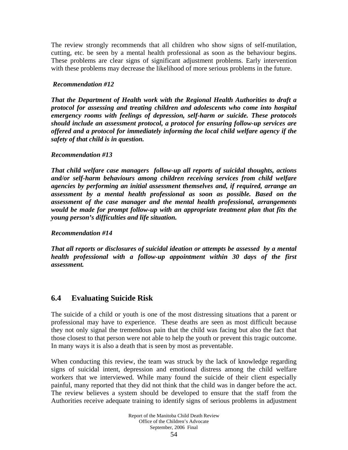The review strongly recommends that all children who show signs of self-mutilation, cutting, etc. be seen by a mental health professional as soon as the behaviour begins. These problems are clear signs of significant adjustment problems. Early intervention with these problems may decrease the likelihood of more serious problems in the future.

## *Recommendation #12*

*That the Department of Health work with the Regional Health Authorities to draft a protocol for assessing and treating children and adolescents who come into hospital emergency rooms with feelings of depression, self-harm or suicide. These protocols should include an assessment protocol, a protocol for ensuring follow-up services are offered and a protocol for immediately informing the local child welfare agency if the safety of that child is in question.* 

## *Recommendation #13*

*That child welfare case managers follow-up all reports of suicidal thoughts, actions and/or self-harm behaviours among children receiving services from child welfare agencies by performing an initial assessment themselves and, if required, arrange an assessment by a mental health professional as soon as possible. Based on the assessment of the case manager and the mental health professional, arrangements would be made for prompt follow-up with an appropriate treatment plan that fits the young person's difficulties and life situation.* 

### *Recommendation #14*

*That all reports or disclosures of suicidal ideation or attempts be assessed by a mental health professional with a follow-up appointment within 30 days of the first assessment.* 

# **6.4 Evaluating Suicide Risk**

The suicide of a child or youth is one of the most distressing situations that a parent or professional may have to experience. These deaths are seen as most difficult because they not only signal the tremendous pain that the child was facing but also the fact that those closest to that person were not able to help the youth or prevent this tragic outcome. In many ways it is also a death that is seen by most as preventable.

When conducting this review, the team was struck by the lack of knowledge regarding signs of suicidal intent, depression and emotional distress among the child welfare workers that we interviewed. While many found the suicide of their client especially painful, many reported that they did not think that the child was in danger before the act. The review believes a system should be developed to ensure that the staff from the Authorities receive adequate training to identify signs of serious problems in adjustment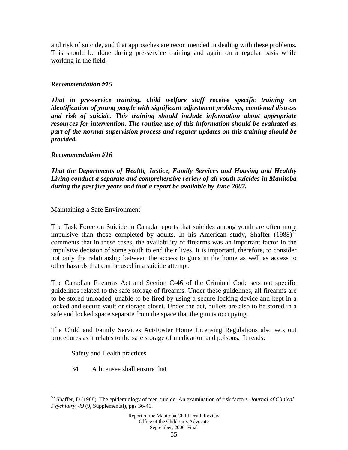and risk of suicide, and that approaches are recommended in dealing with these problems. This should be done during pre-service training and again on a regular basis while working in the field.

## *Recommendation #15*

*That in pre-service training, child welfare staff receive specific training on identification of young people with significant adjustment problems, emotional distress and risk of suicide. This training should include information about appropriate resources for intervention. The routine use of this information should be evaluated as part of the normal supervision process and regular updates on this training should be provided.* 

### *Recommendation #16*

*That the Departments of Health, Justice, Family Services and Housing and Healthy Living conduct a separate and comprehensive review of all youth suicides in Manitoba during the past five years and that a report be available by June 2007.* 

### Maintaining a Safe Environment

The Task Force on Suicide in Canada reports that suicides among youth are often more impulsive than those completed by adults. In his American study, Shaffer  $(1988)^{55}$ comments that in these cases, the availability of firearms was an important factor in the impulsive decision of some youth to end their lives. It is important, therefore, to consider not only the relationship between the access to guns in the home as well as access to other hazards that can be used in a suicide attempt.

The Canadian Firearms Act and Section C-46 of the Criminal Code sets out specific guidelines related to the safe storage of firearms. Under these guidelines, all firearms are to be stored unloaded, unable to be fired by using a secure locking device and kept in a locked and secure vault or storage closet. Under the act, bullets are also to be stored in a safe and locked space separate from the space that the gun is occupying.

The Child and Family Services Act/Foster Home Licensing Regulations also sets out procedures as it relates to the safe storage of medication and poisons. It reads:

Safety and Health practices

1

34 A licensee shall ensure that

<sup>55</sup> Shaffer, D (1988). The epidemiology of teen suicide: An examination of risk factors. *Journal of Clinical Psychiatry, 49* (9, Supplemental), pgs 36-41.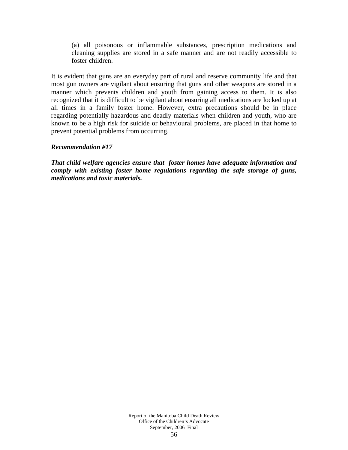(a) all poisonous or inflammable substances, prescription medications and cleaning supplies are stored in a safe manner and are not readily accessible to foster children.

It is evident that guns are an everyday part of rural and reserve community life and that most gun owners are vigilant about ensuring that guns and other weapons are stored in a manner which prevents children and youth from gaining access to them. It is also recognized that it is difficult to be vigilant about ensuring all medications are locked up at all times in a family foster home. However, extra precautions should be in place regarding potentially hazardous and deadly materials when children and youth, who are known to be a high risk for suicide or behavioural problems, are placed in that home to prevent potential problems from occurring.

## *Recommendation #17*

*That child welfare agencies ensure that foster homes have adequate information and comply with existing foster home regulations regarding the safe storage of guns, medications and toxic materials.*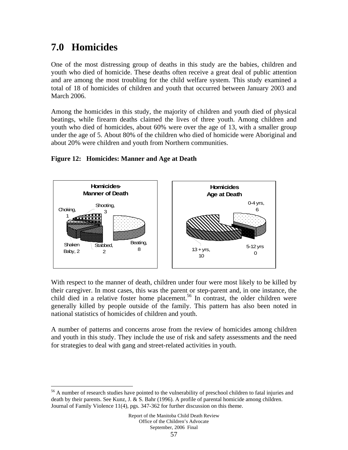# **7.0 Homicides**

1

One of the most distressing group of deaths in this study are the babies, children and youth who died of homicide. These deaths often receive a great deal of public attention and are among the most troubling for the child welfare system. This study examined a total of 18 of homicides of children and youth that occurred between January 2003 and March 2006.

Among the homicides in this study, the majority of children and youth died of physical beatings, while firearm deaths claimed the lives of three youth. Among children and youth who died of homicides, about 60% were over the age of 13, with a smaller group under the age of 5. About 80% of the children who died of homicide were Aboriginal and about 20% were children and youth from Northern communities.

## **Figure 12: Homicides: Manner and Age at Death**



With respect to the manner of death, children under four were most likely to be killed by their caregiver. In most cases, this was the parent or step-parent and, in one instance, the child died in a relative foster home placement.<sup>56</sup> In contrast, the older children were generally killed by people outside of the family. This pattern has also been noted in national statistics of homicides of children and youth.

A number of patterns and concerns arose from the review of homicides among children and youth in this study. They include the use of risk and safety assessments and the need for strategies to deal with gang and street-related activities in youth.

<sup>&</sup>lt;sup>56</sup> A number of research studies have pointed to the vulnerability of preschool children to fatal injuries and death by their parents. See Kunz, J. & S. Bahr (1996). A profile of parental homicide among children. Journal of Family Violence 11(4), pgs. 347-362 for further discussion on this theme.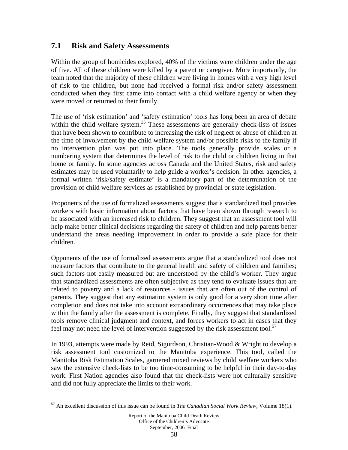## **7.1 Risk and Safety Assessments**

Within the group of homicides explored, 40% of the victims were children under the age of five. All of these children were killed by a parent or caregiver. More importantly, the team noted that the majority of these children were living in homes with a very high level of risk to the children, but none had received a formal risk and/or safety assessment conducted when they first came into contact with a child welfare agency or when they were moved or returned to their family.

The use of 'risk estimation' and 'safety estimation' tools has long been an area of debate within the child welfare system.<sup>35</sup> These assessments are generally check-lists of issues that have been shown to contribute to increasing the risk of neglect or abuse of children at the time of involvement by the child welfare system and/or possible risks to the family if no intervention plan was put into place. The tools generally provide scales or a numbering system that determines the level of risk to the child or children living in that home or family. In some agencies across Canada and the United States, risk and safety estimates may be used voluntarily to help guide a worker's decision. In other agencies, a formal written 'risk/safety estimate' is a mandatory part of the determination of the provision of child welfare services as established by provincial or state legislation.

Proponents of the use of formalized assessments suggest that a standardized tool provides workers with basic information about factors that have been shown through research to be associated with an increased risk to children. They suggest that an assessment tool will help make better clinical decisions regarding the safety of children and help parents better understand the areas needing improvement in order to provide a safe place for their children.

Opponents of the use of formalized assessments argue that a standardized tool does not measure factors that contribute to the general health and safety of children and families; such factors not easily measured but are understood by the child's worker. They argue that standardized assessments are often subjective as they tend to evaluate issues that are related to poverty and a lack of resources - issues that are often out of the control of parents. They suggest that any estimation system is only good for a very short time after completion and does not take into account extraordinary occurrences that may take place within the family after the assessment is complete. Finally, they suggest that standardized tools remove clinical judgment and context, and forces workers to act in cases that they feel may not need the level of intervention suggested by the risk assessment tool.<sup>57</sup>

In 1993, attempts were made by Reid, Sigurdson, Christian-Wood & Wright to develop a risk assessment tool customized to the Manitoba experience. This tool, called the Manitoba Risk Estimation Scales, garnered mixed reviews by child welfare workers who saw the extensive check-lists to be too time-consuming to be helpful in their day-to-day work. First Nation agencies also found that the check-lists were not culturally sensitive and did not fully appreciate the limits to their work.

 $\overline{a}$ 

<sup>57</sup> An excellent discussion of this issue can be found in *The Canadian Social Work Review*, Volume 18(1).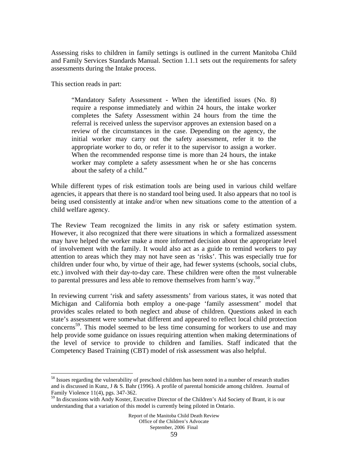Assessing risks to children in family settings is outlined in the current Manitoba Child and Family Services Standards Manual. Section 1.1.1 sets out the requirements for safety assessments during the Intake process.

This section reads in part:

1

"Mandatory Safety Assessment - When the identified issues (No. 8) require a response immediately and within 24 hours, the intake worker completes the Safety Assessment within 24 hours from the time the referral is received unless the supervisor approves an extension based on a review of the circumstances in the case. Depending on the agency, the initial worker may carry out the safety assessment, refer it to the appropriate worker to do, or refer it to the supervisor to assign a worker. When the recommended response time is more than 24 hours, the intake worker may complete a safety assessment when he or she has concerns about the safety of a child."

While different types of risk estimation tools are being used in various child welfare agencies, it appears that there is no standard tool being used. It also appears that no tool is being used consistently at intake and/or when new situations come to the attention of a child welfare agency.

The Review Team recognized the limits in any risk or safety estimation system. However, it also recognized that there were situations in which a formalized assessment may have helped the worker make a more informed decision about the appropriate level of involvement with the family. It would also act as a guide to remind workers to pay attention to areas which they may not have seen as 'risks'. This was especially true for children under four who, by virtue of their age, had fewer systems (schools, social clubs, etc.) involved with their day-to-day care. These children were often the most vulnerable to parental pressures and less able to remove themselves from harm's way.<sup>58</sup>

In reviewing current 'risk and safety assessments' from various states, it was noted that Michigan and California both employ a one-page 'family assessment' model that provides scales related to both neglect and abuse of children. Questions asked in each state's assessment were somewhat different and appeared to reflect local child protection concerns<sup>59</sup>. This model seemed to be less time consuming for workers to use and may help provide some guidance on issues requiring attention when making determinations of the level of service to provide to children and families. Staff indicated that the Competency Based Training (CBT) model of risk assessment was also helpful.

<sup>&</sup>lt;sup>58</sup> Issues regarding the vulnerability of preschool children has been noted in a number of research studies and is discussed in Kunz, J & S. Bahr (1996). A profile of parental homicide among children. Journal of Family Violence 11(4), pgs. 347-362.

<sup>&</sup>lt;sup>59</sup> In discussions with Andy Koster, Executive Director of the Children's Aid Society of Brant, it is our understanding that a variation of this model is currently being piloted in Ontario.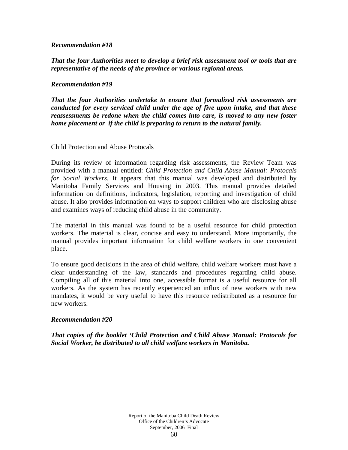### *Recommendation #18*

*That the four Authorities meet to develop a brief risk assessment tool or tools that are representative of the needs of the province or various regional areas.* 

### *Recommendation #19*

*That the four Authorities undertake to ensure that formalized risk assessments are conducted for every serviced child under the age of five upon intake, and that these reassessments be redone when the child comes into care, is moved to any new foster home placement or if the child is preparing to return to the natural family.* 

### Child Protection and Abuse Protocals

During its review of information regarding risk assessments, the Review Team was provided with a manual entitled: *Child Protection and Child Abuse Manual: Protocals for Social Workers.* It appears that this manual was developed and distributed by Manitoba Family Services and Housing in 2003. This manual provides detailed information on definitions, indicators, legislation, reporting and investigation of child abuse. It also provides information on ways to support children who are disclosing abuse and examines ways of reducing child abuse in the community.

The material in this manual was found to be a useful resource for child protection workers. The material is clear, concise and easy to understand. More importantly, the manual provides important information for child welfare workers in one convenient place.

To ensure good decisions in the area of child welfare, child welfare workers must have a clear understanding of the law, standards and procedures regarding child abuse. Compiling all of this material into one, accessible format is a useful resource for all workers. As the system has recently experienced an influx of new workers with new mandates, it would be very useful to have this resource redistributed as a resource for new workers.

### *Recommendation #20*

*That copies of the booklet 'Child Protection and Child Abuse Manual: Protocols for Social Worker, be distributed to all child welfare workers in Manitoba.*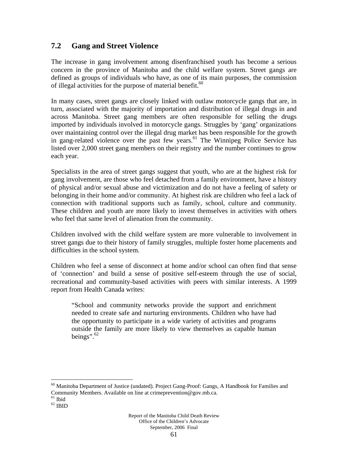# **7.2 Gang and Street Violence**

The increase in gang involvement among disenfranchised youth has become a serious concern in the province of Manitoba and the child welfare system. Street gangs are defined as groups of individuals who have, as one of its main purposes, the commission of illegal activities for the purpose of material benefit.<sup>60</sup>

In many cases, street gangs are closely linked with outlaw motorcycle gangs that are, in turn, associated with the majority of importation and distribution of illegal drugs in and across Manitoba. Street gang members are often responsible for selling the drugs imported by individuals involved in motorcycle gangs. Struggles by 'gang' organizations over maintaining control over the illegal drug market has been responsible for the growth in gang-related violence over the past few years.<sup>61</sup> The Winnipeg Police Service has listed over 2,000 street gang members on their registry and the number continues to grow each year.

Specialists in the area of street gangs suggest that youth, who are at the highest risk for gang involvement, are those who feel detached from a family environment, have a history of physical and/or sexual abuse and victimization and do not have a feeling of safety or belonging in their home and/or community. At highest risk are children who feel a lack of connection with traditional supports such as family, school, culture and community. These children and youth are more likely to invest themselves in activities with others who feel that same level of alienation from the community.

Children involved with the child welfare system are more vulnerable to involvement in street gangs due to their history of family struggles, multiple foster home placements and difficulties in the school system.

Children who feel a sense of disconnect at home and/or school can often find that sense of 'connection' and build a sense of positive self-esteem through the use of social, recreational and community-based activities with peers with similar interests. A 1999 report from Health Canada writes:

"School and community networks provide the support and enrichment needed to create safe and nurturing environments. Children who have had the opportunity to participate in a wide variety of activities and programs outside the family are more likely to view themselves as capable human beings".<sup>62</sup>

 $\overline{a}$ 

 $60$  Manitoba Department of Justice (undated). Project Gang-Proof: Gangs, A Handbook for Families and Community Members. Available on line at crime<br>prevention@gov.mb.ca.  $^{61}$  Ibid

 $^{62}$  IBID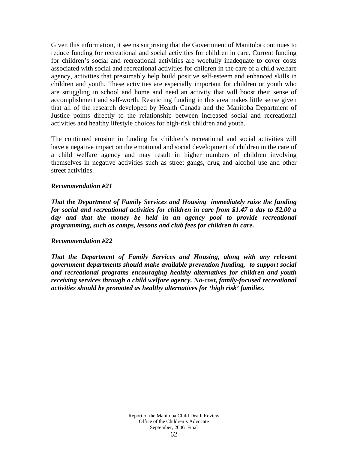Given this information, it seems surprising that the Government of Manitoba continues to reduce funding for recreational and social activities for children in care. Current funding for children's social and recreational activities are woefully inadequate to cover costs associated with social and recreational activities for children in the care of a child welfare agency, activities that presumably help build positive self-esteem and enhanced skills in children and youth. These activities are especially important for children or youth who are struggling in school and home and need an activity that will boost their sense of accomplishment and self-worth. Restricting funding in this area makes little sense given that all of the research developed by Health Canada and the Manitoba Department of Justice points directly to the relationship between increased social and recreational activities and healthy lifestyle choices for high-risk children and youth.

The continued erosion in funding for children's recreational and social activities will have a negative impact on the emotional and social development of children in the care of a child welfare agency and may result in higher numbers of children involving themselves in negative activities such as street gangs, drug and alcohol use and other street activities.

### *Recommendation #21*

*That the Department of Family Services and Housing immediately raise the funding for social and recreational activities for children in care from \$1.47 a day to \$2.00 a day and that the money be held in an agency pool to provide recreational programming, such as camps, lessons and club fees for children in care.* 

### *Recommendation #22*

*That the Department of Family Services and Housing, along with any relevant government departments should make available prevention funding, to support social and recreational programs encouraging healthy alternatives for children and youth receiving services through a child welfare agency. No-cost, family-focused recreational activities should be promoted as healthy alternatives for 'high risk' families.*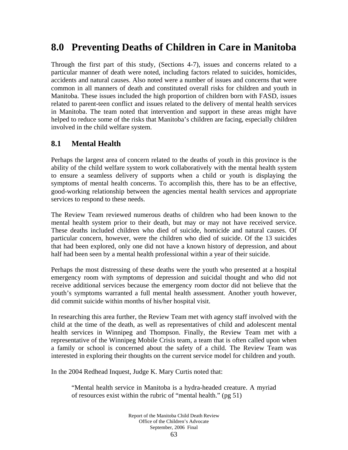# **8.0 Preventing Deaths of Children in Care in Manitoba**

Through the first part of this study, (Sections 4-7), issues and concerns related to a particular manner of death were noted, including factors related to suicides, homicides, accidents and natural causes. Also noted were a number of issues and concerns that were common in all manners of death and constituted overall risks for children and youth in Manitoba. These issues included the high proportion of children born with FASD, issues related to parent-teen conflict and issues related to the delivery of mental health services in Manitoba. The team noted that intervention and support in these areas might have helped to reduce some of the risks that Manitoba's children are facing, especially children involved in the child welfare system.

# **8.1 Mental Health**

Perhaps the largest area of concern related to the deaths of youth in this province is the ability of the child welfare system to work collaboratively with the mental health system to ensure a seamless delivery of supports when a child or youth is displaying the symptoms of mental health concerns. To accomplish this, there has to be an effective, good-working relationship between the agencies mental health services and appropriate services to respond to these needs.

The Review Team reviewed numerous deaths of children who had been known to the mental health system prior to their death, but may or may not have received service. These deaths included children who died of suicide, homicide and natural causes. Of particular concern, however, were the children who died of suicide. Of the 13 suicides that had been explored, only one did not have a known history of depression, and about half had been seen by a mental health professional within a year of their suicide.

Perhaps the most distressing of these deaths were the youth who presented at a hospital emergency room with symptoms of depression and suicidal thought and who did not receive additional services because the emergency room doctor did not believe that the youth's symptoms warranted a full mental health assessment. Another youth however, did commit suicide within months of his/her hospital visit.

In researching this area further, the Review Team met with agency staff involved with the child at the time of the death, as well as representatives of child and adolescent mental health services in Winnipeg and Thompson. Finally, the Review Team met with a representative of the Winnipeg Mobile Crisis team, a team that is often called upon when a family or school is concerned about the safety of a child. The Review Team was interested in exploring their thoughts on the current service model for children and youth.

In the 2004 Redhead Inquest, Judge K. Mary Curtis noted that:

"Mental health service in Manitoba is a hydra-headed creature. A myriad of resources exist within the rubric of "mental health." (pg 51)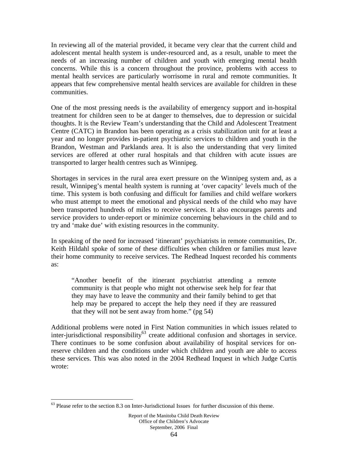In reviewing all of the material provided, it became very clear that the current child and adolescent mental health system is under-resourced and, as a result, unable to meet the needs of an increasing number of children and youth with emerging mental health concerns. While this is a concern throughout the province, problems with access to mental health services are particularly worrisome in rural and remote communities. It appears that few comprehensive mental health services are available for children in these communities.

One of the most pressing needs is the availability of emergency support and in-hospital treatment for children seen to be at danger to themselves, due to depression or suicidal thoughts. It is the Review Team's understanding that the Child and Adolescent Treatment Centre (CATC) in Brandon has been operating as a crisis stabilization unit for at least a year and no longer provides in-patient psychiatric services to children and youth in the Brandon, Westman and Parklands area. It is also the understanding that very limited services are offered at other rural hospitals and that children with acute issues are transported to larger health centres such as Winnipeg.

Shortages in services in the rural area exert pressure on the Winnipeg system and, as a result, Winnipeg's mental health system is running at 'over capacity' levels much of the time. This system is both confusing and difficult for families and child welfare workers who must attempt to meet the emotional and physical needs of the child who may have been transported hundreds of miles to receive services. It also encourages parents and service providers to under-report or minimize concerning behaviours in the child and to try and 'make due' with existing resources in the community.

In speaking of the need for increased 'itinerant' psychiatrists in remote communities, Dr. Keith Hildahl spoke of some of these difficulties when children or families must leave their home community to receive services. The Redhead Inquest recorded his comments as:

"Another benefit of the itinerant psychiatrist attending a remote community is that people who might not otherwise seek help for fear that they may have to leave the community and their family behind to get that help may be prepared to accept the help they need if they are reassured that they will not be sent away from home." (pg 54)

Additional problems were noted in First Nation communities in which issues related to inter-jurisdictional responsibility<sup>63</sup> create additional confusion and shortages in service. There continues to be some confusion about availability of hospital services for onreserve children and the conditions under which children and youth are able to access these services. This was also noted in the 2004 Redhead Inquest in which Judge Curtis wrote:

 $\overline{a}$ 

<sup>&</sup>lt;sup>63</sup> Please refer to the section 8.3 on Inter-Jurisdictional Issues for further discussion of this theme.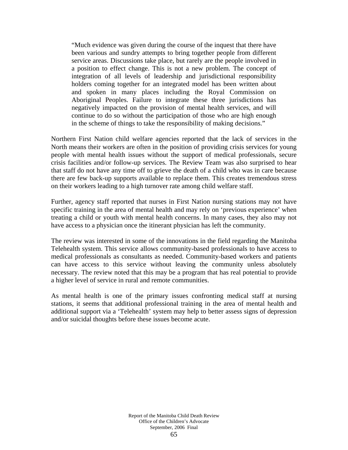"Much evidence was given during the course of the inquest that there have been various and sundry attempts to bring together people from different service areas. Discussions take place, but rarely are the people involved in a position to effect change. This is not a new problem. The concept of integration of all levels of leadership and jurisdictional responsibility holders coming together for an integrated model has been written about and spoken in many places including the Royal Commission on Aboriginal Peoples. Failure to integrate these three jurisdictions has negatively impacted on the provision of mental health services, and will continue to do so without the participation of those who are high enough in the scheme of things to take the responsibility of making decisions."

Northern First Nation child welfare agencies reported that the lack of services in the North means their workers are often in the position of providing crisis services for young people with mental health issues without the support of medical professionals, secure crisis facilities and/or follow-up services. The Review Team was also surprised to hear that staff do not have any time off to grieve the death of a child who was in care because there are few back-up supports available to replace them. This creates tremendous stress on their workers leading to a high turnover rate among child welfare staff.

Further, agency staff reported that nurses in First Nation nursing stations may not have specific training in the area of mental health and may rely on 'previous experience' when treating a child or youth with mental health concerns. In many cases, they also may not have access to a physician once the itinerant physician has left the community.

The review was interested in some of the innovations in the field regarding the Manitoba Telehealth system. This service allows community-based professionals to have access to medical professionals as consultants as needed. Community-based workers and patients can have access to this service without leaving the community unless absolutely necessary. The review noted that this may be a program that has real potential to provide a higher level of service in rural and remote communities.

As mental health is one of the primary issues confronting medical staff at nursing stations, it seems that additional professional training in the area of mental health and additional support via a 'Telehealth' system may help to better assess signs of depression and/or suicidal thoughts before these issues become acute.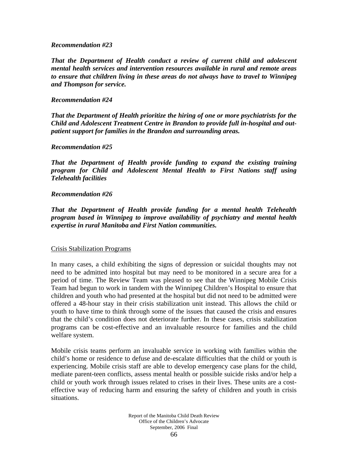### *Recommendation #23*

*That the Department of Health conduct a review of current child and adolescent mental health services and intervention resources available in rural and remote areas to ensure that children living in these areas do not always have to travel to Winnipeg and Thompson for service.* 

### *Recommendation #24*

*That the Department of Health prioritize the hiring of one or more psychiatrists for the Child and Adolescent Treatment Centre in Brandon to provide full in-hospital and outpatient support for families in the Brandon and surrounding areas.* 

### *Recommendation #25*

*That the Department of Health provide funding to expand the existing training program for Child and Adolescent Mental Health to First Nations staff using Telehealth facilities* 

### *Recommendation #26*

*That the Department of Health provide funding for a mental health Telehealth program based in Winnipeg to improve availability of psychiatry and mental health expertise in rural Manitoba and First Nation communities.* 

### Crisis Stabilization Programs

In many cases, a child exhibiting the signs of depression or suicidal thoughts may not need to be admitted into hospital but may need to be monitored in a secure area for a period of time. The Review Team was pleased to see that the Winnipeg Mobile Crisis Team had begun to work in tandem with the Winnipeg Children's Hospital to ensure that children and youth who had presented at the hospital but did not need to be admitted were offered a 48-hour stay in their crisis stabilization unit instead. This allows the child or youth to have time to think through some of the issues that caused the crisis and ensures that the child's condition does not deteriorate further. In these cases, crisis stabilization programs can be cost-effective and an invaluable resource for families and the child welfare system.

Mobile crisis teams perform an invaluable service in working with families within the child's home or residence to defuse and de-escalate difficulties that the child or youth is experiencing. Mobile crisis staff are able to develop emergency case plans for the child, mediate parent-teen conflicts, assess mental health or possible suicide risks and/or help a child or youth work through issues related to crises in their lives. These units are a costeffective way of reducing harm and ensuring the safety of children and youth in crisis situations.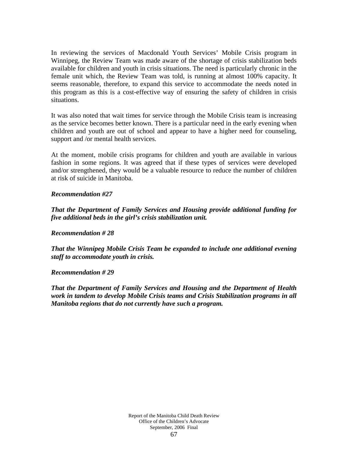In reviewing the services of Macdonald Youth Services' Mobile Crisis program in Winnipeg, the Review Team was made aware of the shortage of crisis stabilization beds available for children and youth in crisis situations. The need is particularly chronic in the female unit which, the Review Team was told, is running at almost 100% capacity. It seems reasonable, therefore, to expand this service to accommodate the needs noted in this program as this is a cost-effective way of ensuring the safety of children in crisis situations.

It was also noted that wait times for service through the Mobile Crisis team is increasing as the service becomes better known. There is a particular need in the early evening when children and youth are out of school and appear to have a higher need for counseling, support and /or mental health services.

At the moment, mobile crisis programs for children and youth are available in various fashion in some regions. It was agreed that if these types of services were developed and/or strengthened, they would be a valuable resource to reduce the number of children at risk of suicide in Manitoba.

### *Recommendation #27*

*That the Department of Family Services and Housing provide additional funding for five additional beds in the girl's crisis stabilization unit.* 

*Recommendation # 28* 

*That the Winnipeg Mobile Crisis Team be expanded to include one additional evening staff to accommodate youth in crisis.* 

*Recommendation # 29* 

*That the Department of Family Services and Housing and the Department of Health work in tandem to develop Mobile Crisis teams and Crisis Stabilization programs in all Manitoba regions that do not currently have such a program.*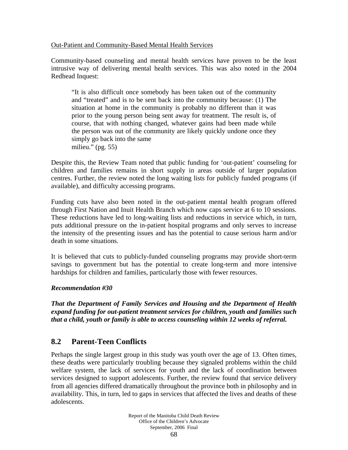## Out-Patient and Community-Based Mental Health Services

Community-based counseling and mental health services have proven to be the least intrusive way of delivering mental health services. This was also noted in the 2004 Redhead Inquest:

"It is also difficult once somebody has been taken out of the community and "treated" and is to be sent back into the community because: (1) The situation at home in the community is probably no different than it was prior to the young person being sent away for treatment. The result is, of course, that with nothing changed, whatever gains had been made while the person was out of the community are likely quickly undone once they simply go back into the same milieu." (pg. 55)

Despite this, the Review Team noted that public funding for 'out-patient' counseling for children and families remains in short supply in areas outside of larger population centres. Further, the review noted the long waiting lists for publicly funded programs (if available), and difficulty accessing programs.

Funding cuts have also been noted in the out-patient mental health program offered through First Nation and Inuit Health Branch which now caps service at 6 to 10 sessions. These reductions have led to long-waiting lists and reductions in service which, in turn, puts additional pressure on the in-patient hospital programs and only serves to increase the intensity of the presenting issues and has the potential to cause serious harm and/or death in some situations.

It is believed that cuts to publicly-funded counseling programs may provide short-term savings to government but has the potential to create long-term and more intensive hardships for children and families, particularly those with fewer resources.

### *Recommendation #30*

*That the Department of Family Services and Housing and the Department of Health expand funding for out-patient treatment services for children, youth and families such that a child, youth or family is able to access counseling within 12 weeks of referral.* 

# **8.2 Parent-Teen Conflicts**

Perhaps the single largest group in this study was youth over the age of 13. Often times, these deaths were particularly troubling because they signaled problems within the child welfare system, the lack of services for youth and the lack of coordination between services designed to support adolescents. Further, the review found that service delivery from all agencies differed dramatically throughout the province both in philosophy and in availability. This, in turn, led to gaps in services that affected the lives and deaths of these adolescents.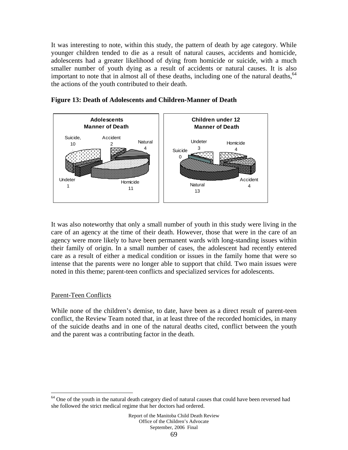It was interesting to note, within this study, the pattern of death by age category. While younger children tended to die as a result of natural causes, accidents and homicide, adolescents had a greater likelihood of dying from homicide or suicide, with a much smaller number of youth dying as a result of accidents or natural causes. It is also important to note that in almost all of these deaths, including one of the natural deaths,  $64$ the actions of the youth contributed to their death.



## **Figure 13: Death of Adolescents and Children-Manner of Death**

It was also noteworthy that only a small number of youth in this study were living in the care of an agency at the time of their death. However, those that were in the care of an agency were more likely to have been permanent wards with long-standing issues within their family of origin. In a small number of cases, the adolescent had recently entered care as a result of either a medical condition or issues in the family home that were so intense that the parents were no longer able to support that child. Two main issues were noted in this theme; parent-teen conflicts and specialized services for adolescents.

### Parent-Teen Conflicts

 $\overline{a}$ 

While none of the children's demise, to date, have been as a direct result of parent-teen conflict, the Review Team noted that, in at least three of the recorded homicides, in many of the suicide deaths and in one of the natural deaths cited, conflict between the youth and the parent was a contributing factor in the death.

<sup>&</sup>lt;sup>64</sup> One of the youth in the natural death category died of natural causes that could have been reversed had she followed the strict medical regime that her doctors had ordered.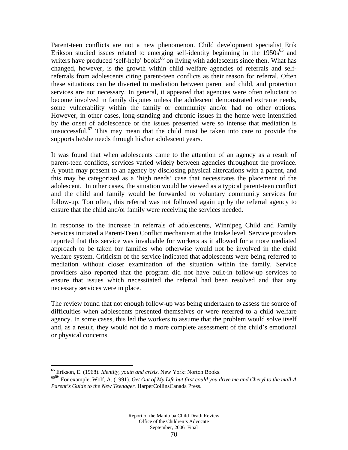Parent-teen conflicts are not a new phenomenon. Child development specialist Erik Erikson studied issues related to emerging self-identity beginning in the  $1950s^{65}$  and writers have produced 'self-help' books<sup> $66$ </sup> on living with adolescents since then. What has changed, however, is the growth within child welfare agencies of referrals and selfreferrals from adolescents citing parent-teen conflicts as their reason for referral. Often these situations can be diverted to mediation between parent and child, and protection services are not necessary. In general, it appeared that agencies were often reluctant to become involved in family disputes unless the adolescent demonstrated extreme needs, some vulnerability within the family or community and/or had no other options. However, in other cases, long-standing and chronic issues in the home were intensified by the onset of adolescence or the issues presented were so intense that mediation is unsuccessful.<sup>67</sup> This may mean that the child must be taken into care to provide the supports he/she needs through his/her adolescent years.

It was found that when adolescents came to the attention of an agency as a result of parent-teen conflicts, services varied widely between agencies throughout the province. A youth may present to an agency by disclosing physical altercations with a parent, and this may be categorized as a 'high needs' case that necessitates the placement of the adolescent. In other cases, the situation would be viewed as a typical parent-teen conflict and the child and family would be forwarded to voluntary community services for follow-up. Too often, this referral was not followed again up by the referral agency to ensure that the child and/or family were receiving the services needed.

In response to the increase in referrals of adolescents, Winnipeg Child and Family Services initiated a Parent-Teen Conflict mechanism at the Intake level. Service providers reported that this service was invaluable for workers as it allowed for a more mediated approach to be taken for families who otherwise would not be involved in the child welfare system. Criticism of the service indicated that adolescents were being referred to mediation without closer examination of the situation within the family. Service providers also reported that the program did not have built-in follow-up services to ensure that issues which necessitated the referral had been resolved and that any necessary services were in place.

The review found that not enough follow-up was being undertaken to assess the source of difficulties when adolescents presented themselves or were referred to a child welfare agency. In some cases, this led the workers to assume that the problem would solve itself and, as a result, they would not do a more complete assessment of the child's emotional or physical concerns.

1

<sup>&</sup>lt;sup>65</sup> Erikson, E. (1968). *Identity, youth and crisis*. New York: Norton Books.<br><sup>6666</sup> For example, Wolf, A. (1991). *Get Out of My Life but first could you drive me and Cheryl to the mall-A Parent's Guide to the New Teenager.* HarperCollinsCanada Press.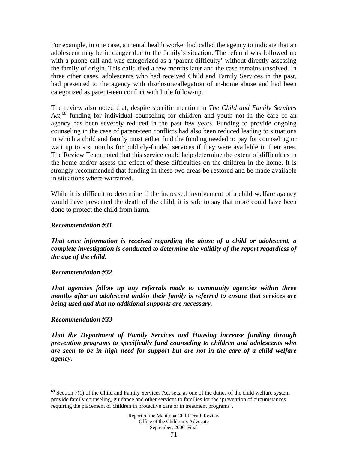For example, in one case, a mental health worker had called the agency to indicate that an adolescent may be in danger due to the family's situation. The referral was followed up with a phone call and was categorized as a 'parent difficulty' without directly assessing the family of origin. This child died a few months later and the case remains unsolved. In three other cases, adolescents who had received Child and Family Services in the past, had presented to the agency with disclosure/allegation of in-home abuse and had been categorized as parent-teen conflict with little follow-up.

The review also noted that, despite specific mention in *The Child and Family Services*  Act,<sup>68</sup> funding for individual counseling for children and youth not in the care of an agency has been severely reduced in the past few years. Funding to provide ongoing counseling in the case of parent-teen conflicts had also been reduced leading to situations in which a child and family must either find the funding needed to pay for counseling or wait up to six months for publicly-funded services if they were available in their area. The Review Team noted that this service could help determine the extent of difficulties in the home and/or assess the effect of these difficulties on the children in the home. It is strongly recommended that funding in these two areas be restored and be made available in situations where warranted.

While it is difficult to determine if the increased involvement of a child welfare agency would have prevented the death of the child, it is safe to say that more could have been done to protect the child from harm.

### *Recommendation #31*

*That once information is received regarding the abuse of a child or adolescent, a complete investigation is conducted to determine the validity of the report regardless of the age of the child.* 

### *Recommendation #32*

*That agencies follow up any referrals made to community agencies within three months after an adolescent and/or their family is referred to ensure that services are being used and that no additional supports are necessary.* 

### *Recommendation #33*

 $\overline{a}$ 

*That the Department of Family Services and Housing increase funding through prevention programs to specifically fund counseling to children and adolescents who are seen to be in high need for support but are not in the care of a child welfare agency.* 

 $68$  Section 7(1) of the Child and Family Services Act sets, as one of the duties of the child welfare system provide family counseling, guidance and other services to families for the 'prevention of circumstances requiring the placement of children in protective care or in treatment programs'.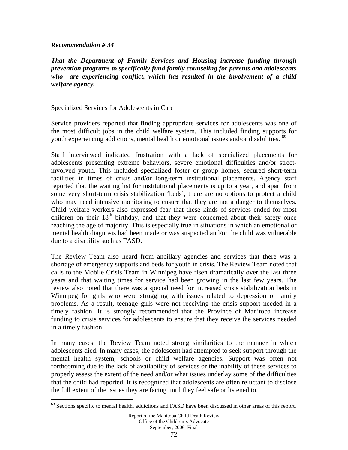### *Recommendation # 34*

 $\overline{a}$ 

*That the Department of Family Services and Housing increase funding through prevention programs to specifically fund family counseling for parents and adolescents who are experiencing conflict, which has resulted in the involvement of a child welfare agency.* 

### Specialized Services for Adolescents in Care

Service providers reported that finding appropriate services for adolescents was one of the most difficult jobs in the child welfare system. This included finding supports for youth experiencing addictions, mental health or emotional issues and/or disabilities. <sup>69</sup>

Staff interviewed indicated frustration with a lack of specialized placements for adolescents presenting extreme behaviors, severe emotional difficulties and/or streetinvolved youth. This included specialized foster or group homes, secured short-term facilities in times of crisis and/or long-term institutional placements. Agency staff reported that the waiting list for institutional placements is up to a year, and apart from some very short-term crisis stabilization 'beds', there are no options to protect a child who may need intensive monitoring to ensure that they are not a danger to themselves. Child welfare workers also expressed fear that these kinds of services ended for most children on their  $18<sup>th</sup>$  birthday, and that they were concerned about their safety once reaching the age of majority. This is especially true in situations in which an emotional or mental health diagnosis had been made or was suspected and/or the child was vulnerable due to a disability such as FASD.

The Review Team also heard from ancillary agencies and services that there was a shortage of emergency supports and beds for youth in crisis. The Review Team noted that calls to the Mobile Crisis Team in Winnipeg have risen dramatically over the last three years and that waiting times for service had been growing in the last few years. The review also noted that there was a special need for increased crisis stabilization beds in Winnipeg for girls who were struggling with issues related to depression or family problems. As a result, teenage girls were not receiving the crisis support needed in a timely fashion. It is strongly recommended that the Province of Manitoba increase funding to crisis services for adolescents to ensure that they receive the services needed in a timely fashion.

In many cases, the Review Team noted strong similarities to the manner in which adolescents died. In many cases, the adolescent had attempted to seek support through the mental health system, schools or child welfare agencies. Support was often not forthcoming due to the lack of availability of services or the inability of these services to properly assess the extent of the need and/or what issues underlay some of the difficulties that the child had reported. It is recognized that adolescents are often reluctant to disclose the full extent of the issues they are facing until they feel safe or listened to.

<sup>&</sup>lt;sup>69</sup> Sections specific to mental health, addictions and FASD have been discussed in other areas of this report.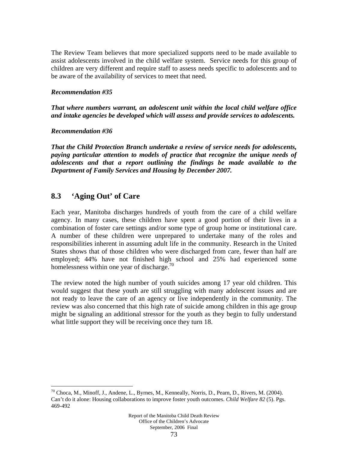The Review Team believes that more specialized supports need to be made available to assist adolescents involved in the child welfare system. Service needs for this group of children are very different and require staff to assess needs specific to adolescents and to be aware of the availability of services to meet that need.

## *Recommendation #35*

*That where numbers warrant, an adolescent unit within the local child welfare office and intake agencies be developed which will assess and provide services to adolescents.* 

## *Recommendation #36*

 $\overline{a}$ 

*That the Child Protection Branch undertake a review of service needs for adolescents, paying particular attention to models of practice that recognize the unique needs of adolescents and that a report outlining the findings be made available to the Department of Family Services and Housing by December 2007.* 

# **8.3 'Aging Out' of Care**

Each year, Manitoba discharges hundreds of youth from the care of a child welfare agency. In many cases, these children have spent a good portion of their lives in a combination of foster care settings and/or some type of group home or institutional care. A number of these children were unprepared to undertake many of the roles and responsibilities inherent in assuming adult life in the community. Research in the United States shows that of those children who were discharged from care, fewer than half are employed; 44% have not finished high school and 25% had experienced some homelessness within one year of discharge.<sup>70</sup>

The review noted the high number of youth suicides among 17 year old children. This would suggest that these youth are still struggling with many adolescent issues and are not ready to leave the care of an agency or live independently in the community. The review was also concerned that this high rate of suicide among children in this age group might be signaling an additional stressor for the youth as they begin to fully understand what little support they will be receiving once they turn 18.

<sup>70</sup> Choca, M., Minoff, J., Andene, L., Byrnes, M., Kenneally, Norris, D., Pearn, D., Rivers, M. (2004). Can't do it alone: Housing collaborations to improve foster youth outcomes. *Child Welfare 82* (5). Pgs. 469-492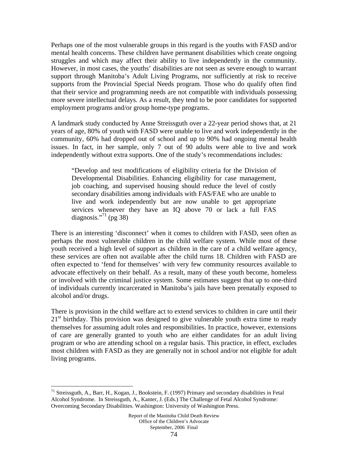Perhaps one of the most vulnerable groups in this regard is the youths with FASD and/or mental health concerns. These children have permanent disabilities which create ongoing struggles and which may affect their ability to live independently in the community. However, in most cases, the youths' disabilities are not seen as severe enough to warrant support through Manitoba's Adult Living Programs, nor sufficiently at risk to receive supports from the Provincial Special Needs program. Those who do qualify often find that their service and programming needs are not compatible with individuals possessing more severe intellectual delays. As a result, they tend to be poor candidates for supported employment programs and/or group home-type programs.

A landmark study conducted by Anne Streissguth over a 22-year period shows that, at 21 years of age, 80% of youth with FASD were unable to live and work independently in the community, 60% had dropped out of school and up to 90% had ongoing mental health issues. In fact, in her sample, only 7 out of 90 adults were able to live and work independently without extra supports. One of the study's recommendations includes:

"Develop and test modifications of eligibility criteria for the Division of Developmental Disabilities. Enhancing eligibility for case management, job coaching, and supervised housing should reduce the level of costly secondary disabilities among individuals with FAS/FAE who are unable to live and work independently but are now unable to get appropriate services whenever they have an IQ above 70 or lack a full FAS diagnosis."<sup>71</sup> (pg 38)

There is an interesting 'disconnect' when it comes to children with FASD, seen often as perhaps the most vulnerable children in the child welfare system. While most of these youth received a high level of support as children in the care of a child welfare agency, these services are often not available after the child turns 18. Children with FASD are often expected to 'fend for themselves' with very few community resources available to advocate effectively on their behalf. As a result, many of these youth become, homeless or involved with the criminal justice system. Some estimates suggest that up to one-third of individuals currently incarcerated in Manitoba's jails have been prenatally exposed to alcohol and/or drugs.

There is provision in the child welfare act to extend services to children in care until their  $21<sup>st</sup>$  birthday. This provision was designed to give vulnerable youth extra time to ready themselves for assuming adult roles and responsibilities. In practice, however, extensions of care are generally granted to youth who are either candidates for an adult living program or who are attending school on a regular basis. This practice, in effect, excludes most children with FASD as they are generally not in school and/or not eligible for adult living programs.

1

<sup>71</sup> Streissguth, A., Barr, H., Kogan, J., Bookstein, F. (1997) Primary and secondary disabilities in Fetal Alcohol Syndrome. In Streissguth, A., Kanter, J. (Eds.) The Challenge of Fetal Alcohol Syndrome: Overcoming Secondary Disabilities. Washington: University of Washington Press.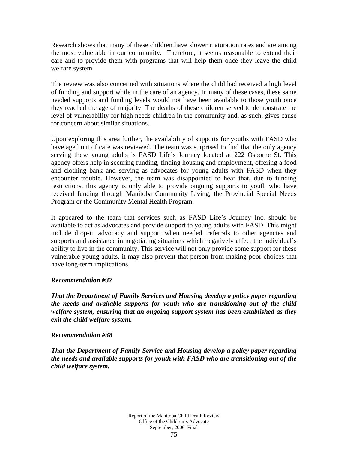Research shows that many of these children have slower maturation rates and are among the most vulnerable in our community. Therefore, it seems reasonable to extend their care and to provide them with programs that will help them once they leave the child welfare system.

The review was also concerned with situations where the child had received a high level of funding and support while in the care of an agency. In many of these cases, these same needed supports and funding levels would not have been available to those youth once they reached the age of majority. The deaths of these children served to demonstrate the level of vulnerability for high needs children in the community and, as such, gives cause for concern about similar situations.

Upon exploring this area further, the availability of supports for youths with FASD who have aged out of care was reviewed. The team was surprised to find that the only agency serving these young adults is FASD Life's Journey located at 222 Osborne St. This agency offers help in securing funding, finding housing and employment, offering a food and clothing bank and serving as advocates for young adults with FASD when they encounter trouble. However, the team was disappointed to hear that, due to funding restrictions, this agency is only able to provide ongoing supports to youth who have received funding through Manitoba Community Living, the Provincial Special Needs Program or the Community Mental Health Program.

It appeared to the team that services such as FASD Life's Journey Inc. should be available to act as advocates and provide support to young adults with FASD. This might include drop-in advocacy and support when needed, referrals to other agencies and supports and assistance in negotiating situations which negatively affect the individual's ability to live in the community. This service will not only provide some support for these vulnerable young adults, it may also prevent that person from making poor choices that have long-term implications.

# *Recommendation #37*

*That the Department of Family Services and Housing develop a policy paper regarding the needs and available supports for youth who are transitioning out of the child welfare system, ensuring that an ongoing support system has been established as they exit the child welfare system.* 

## *Recommendation #38*

*That the Department of Family Service and Housing develop a policy paper regarding the needs and available supports for youth with FASD who are transitioning out of the child welfare system.*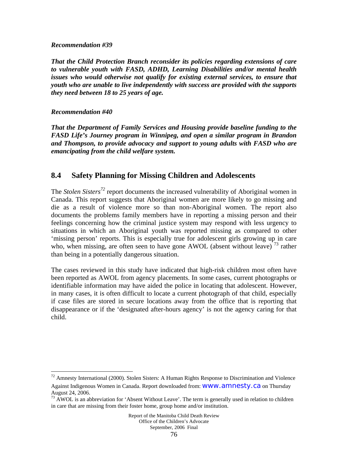#### *Recommendation #39*

*That the Child Protection Branch reconsider its policies regarding extensions of care to vulnerable youth with FASD, ADHD, Learning Disabilities and/or mental health issues who would otherwise not qualify for existing external services, to ensure that youth who are unable to live independently with success are provided with the supports they need between 18 to 25 years of age.* 

# *Recommendation #40*

 $\overline{a}$ 

*That the Department of Family Services and Housing provide baseline funding to the FASD Life's Journey program in Winnipeg, and open a similar program in Brandon and Thompson, to provide advocacy and support to young adults with FASD who are emancipating from the child welfare system.* 

# **8.4 Safety Planning for Missing Children and Adolescents**

The *Stolen Sisters*<sup>72</sup> report documents the increased vulnerability of Aboriginal women in Canada. This report suggests that Aboriginal women are more likely to go missing and die as a result of violence more so than non-Aboriginal women. The report also documents the problems family members have in reporting a missing person and their feelings concerning how the criminal justice system may respond with less urgency to situations in which an Aboriginal youth was reported missing as compared to other 'missing person' reports. This is especially true for adolescent girls growing up in care who, when missing, are often seen to have gone AWOL (absent without leave)<sup>73</sup> rather than being in a potentially dangerous situation.

The cases reviewed in this study have indicated that high-risk children most often have been reported as AWOL from agency placements. In some cases, current photographs or identifiable information may have aided the police in locating that adolescent. However, in many cases, it is often difficult to locate a current photograph of that child, especially if case files are stored in secure locations away from the office that is reporting that disappearance or if the 'designated after-hours agency' is not the agency caring for that child.

 $72$  Amnesty International (2000). Stolen Sisters: A Human Rights Response to Discrimination and Violence

Against Indigenous Women in Canada. Report downloaded from: www.amnesty.ca on Thursday August 24, 2006.

<sup>&</sup>lt;sup>73</sup> AWOL is an abbreviation for 'Absent Without Leave'. The term is generally used in relation to children in care that are missing from their foster home, group home and/or institution.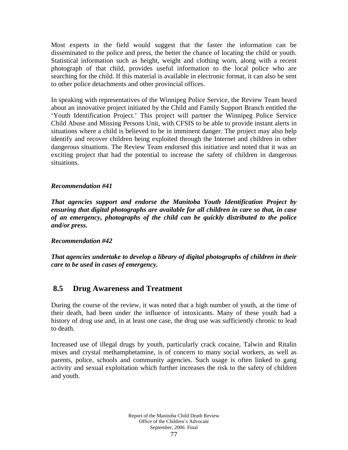Most experts in the field would suggest that the faster the information can be disseminated to the police and press, the better the chance of locating the child or youth. Statistical information such as height, weight and clothing worn, along with a recent photograph of that child, provides useful information to the local police who are searching for the child. If this material is available in electronic format, it can also be sent to other police detachments and other provincial offices.

In speaking with representatives of the Winnipeg Police Service, the Review Team heard about an innovative project initiated by the Child and Family Support Branch entitled the 'Youth Identification Project.' This project will partner the Winnipeg Police Service Child Abuse and Missing Persons Unit, with CFSIS to be able to provide instant alerts in situations where a child is believed to be in imminent danger. The project may also help identify and recover children being exploited through the Internet and children in other dangerous situations. The Review Team endorsed this initiative and noted that it was an exciting project that had the potential to increase the safety of children in dangerous situations.

# *Recommendation #41*

*That agencies support and endorse the Manitoba Youth Identification Project by ensuring that digital photographs are available for all children in care so that, in case of an emergency, photographs of the child can be quickly distributed to the police and/or press.* 

## *Recommendation #42*

*That agencies undertake to develop a library of digital photographs of children in their care to be used in cases of emergency.* 

# **8.5 Drug Awareness and Treatment**

During the course of the review, it was noted that a high number of youth, at the time of their death, had been under the influence of intoxicants. Many of these youth had a history of drug use and, in at least one case, the drug use was sufficiently chronic to lead to death.

Increased use of illegal drugs by youth, particularly crack cocaine, Talwin and Ritalin mixes and crystal methamphetamine, is of concern to many social workers, as well as parents, police, schools and community agencies. Such usage is often linked to gang activity and sexual exploitation which further increases the risk to the safety of children and youth.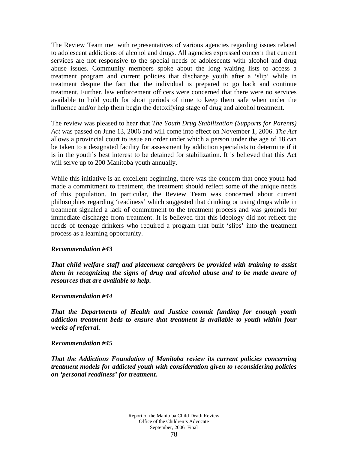The Review Team met with representatives of various agencies regarding issues related to adolescent addictions of alcohol and drugs. All agencies expressed concern that current services are not responsive to the special needs of adolescents with alcohol and drug abuse issues. Community members spoke about the long waiting lists to access a treatment program and current policies that discharge youth after a 'slip' while in treatment despite the fact that the individual is prepared to go back and continue treatment. Further, law enforcement officers were concerned that there were no services available to hold youth for short periods of time to keep them safe when under the influence and/or help them begin the detoxifying stage of drug and alcohol treatment.

The review was pleased to hear that *The Youth Drug Stabilization (Supports for Parents) Act* was passed on June 13, 2006 and will come into effect on November 1, 2006. *The Act* allows a provincial court to issue an order under which a person under the age of 18 can be taken to a designated facility for assessment by addiction specialists to determine if it is in the youth's best interest to be detained for stabilization. It is believed that this Act will serve up to 200 Manitoba youth annually.

While this initiative is an excellent beginning, there was the concern that once youth had made a commitment to treatment, the treatment should reflect some of the unique needs of this population. In particular, the Review Team was concerned about current philosophies regarding 'readiness' which suggested that drinking or using drugs while in treatment signaled a lack of commitment to the treatment process and was grounds for immediate discharge from treatment. It is believed that this ideology did not reflect the needs of teenage drinkers who required a program that built 'slips' into the treatment process as a learning opportunity.

## *Recommendation #43*

*That child welfare staff and placement caregivers be provided with training to assist them in recognizing the signs of drug and alcohol abuse and to be made aware of resources that are available to help.* 

#### *Recommendation #44*

*That the Departments of Health and Justice commit funding for enough youth addiction treatment beds to ensure that treatment is available to youth within four weeks of referral.* 

#### *Recommendation #45*

*That the Addictions Foundation of Manitoba review its current policies concerning treatment models for addicted youth with consideration given to reconsidering policies on 'personal readiness' for treatment.*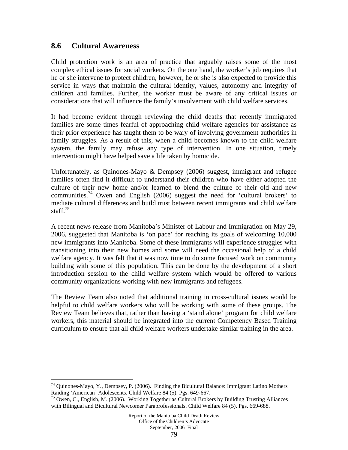# **8.6 Cultural Awareness**

 $\overline{a}$ 

Child protection work is an area of practice that arguably raises some of the most complex ethical issues for social workers. On the one hand, the worker's job requires that he or she intervene to protect children; however, he or she is also expected to provide this service in ways that maintain the cultural identity, values, autonomy and integrity of children and families. Further, the worker must be aware of any critical issues or considerations that will influence the family's involvement with child welfare services.

It had become evident through reviewing the child deaths that recently immigrated families are some times fearful of approaching child welfare agencies for assistance as their prior experience has taught them to be wary of involving government authorities in family struggles. As a result of this, when a child becomes known to the child welfare system, the family may refuse any type of intervention. In one situation, timely intervention might have helped save a life taken by homicide.

Unfortunately, as Quinones-Mayo & Dempsey (2006) suggest, immigrant and refugee families often find it difficult to understand their children who have either adopted the culture of their new home and/or learned to blend the culture of their old and new communities.<sup>74</sup> Owen and English (2006) suggest the need for 'cultural brokers' to mediate cultural differences and build trust between recent immigrants and child welfare staff. $75$ 

A recent news release from Manitoba's Minister of Labour and Immigration on May 29, 2006, suggested that Manitoba is 'on pace' for reaching its goals of welcoming 10,000 new immigrants into Manitoba. Some of these immigrants will experience struggles with transitioning into their new homes and some will need the occasional help of a child welfare agency. It was felt that it was now time to do some focused work on community building with some of this population. This can be done by the development of a short introduction session to the child welfare system which would be offered to various community organizations working with new immigrants and refugees.

The Review Team also noted that additional training in cross-cultural issues would be helpful to child welfare workers who will be working with some of these groups. The Review Team believes that, rather than having a 'stand alone' program for child welfare workers, this material should be integrated into the current Competency Based Training curriculum to ensure that all child welfare workers undertake similar training in the area.

<sup>&</sup>lt;sup>74</sup> Quinones-Mayo, Y., Dempsey, P. (2006). Finding the Bicultural Balance: Immigrant Latino Mothers Raiding 'American' Adolescents. Child Welfare 84 (5). Pgs. 649-667.

 $^{75}$  Owen, C., English, M. (2006). Working Together as Cultural Brokers by Building Trusting Alliances with Bilingual and Bicultural Newcomer Paraprofessionals. Child Welfare 84 (5). Pgs. 669-688.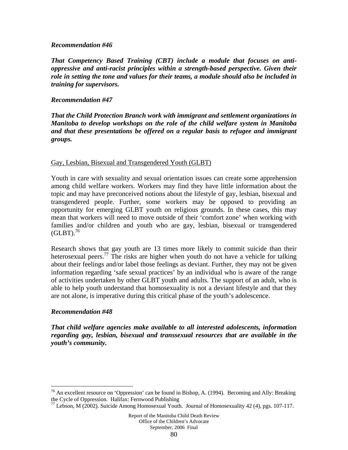#### *Recommendation #46*

*That Competency Based Training (CBT) include a module that focuses on antioppressive and anti-racist principles within a strength-based perspective. Given their role in setting the tone and values for their teams, a module should also be included in training for supervisors.* 

## *Recommendation #47*

*That the Child Protection Branch work with immigrant and settlement organizations in Manitoba to develop workshops on the role of the child welfare system in Manitoba and that these presentations be offered on a regular basis to refugee and immigrant groups.* 

#### Gay, Lesbian, Bisexual and Transgendered Youth (GLBT)

Youth in care with sexuality and sexual orientation issues can create some apprehension among child welfare workers. Workers may find they have little information about the topic and may have preconceived notions about the lifestyle of gay, lesbian, bisexual and transgendered people. Further, some workers may be opposed to providing an opportunity for emerging GLBT youth on religious grounds. In these cases, this may mean that workers will need to move outside of their 'comfort zone' when working with families and/or children and youth who are gay, lesbian, bisexual or transgendered  $(GLBT)$ <sup>76</sup>

Research shows that gay youth are 13 times more likely to commit suicide than their heterosexual peers.<sup>77</sup> The risks are higher when youth do not have a vehicle for talking about their feelings and/or label those feelings as deviant. Further, they may not be given information regarding 'safe sexual practices' by an individual who is aware of the range of activities undertaken by other GLBT youth and adults. The support of an adult, who is able to help youth understand that homosexuality is not a deviant lifestyle and that they are not alone, is imperative during this critical phase of the youth's adolescence.

## *Recommendation #48*

 $\overline{a}$ 

*That child welfare agencies make available to all interested adolescents, information regarding gay, lesbian, bisexual and transsexual resources that are available in the youth's community.* 

 $76$  An excellent resource on 'Oppression' can be found in Bishop, A. (1994). Becoming and Ally: Breaking the Cycle of Oppression. Halifax: Fernwood Publishing

 $^{77}$  Lebson, M (2002). Suicide Among Homosexual Youth. Journal of Homosexuality 42 (4), pgs. 107-117.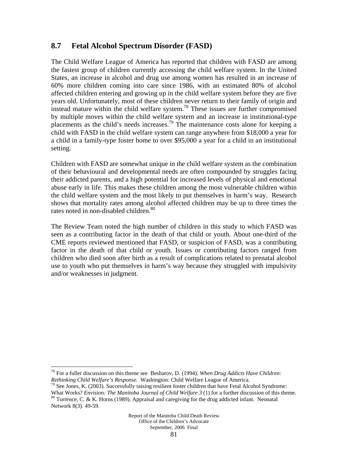# **8.7 Fetal Alcohol Spectrum Disorder (FASD)**

The Child Welfare League of America has reported that children with FASD are among the fastest group of children currently accessing the child welfare system. In the United States, an increase in alcohol and drug use among women has resulted in an increase of 60% more children coming into care since 1986, with an estimated 80% of alcohol affected children entering and growing up in the child welfare system before they are five years old. Unfortunately, most of these children never return to their family of origin and instead mature within the child welfare system.<sup>78</sup> These issues are further compromised by multiple moves within the child welfare system and an increase in institutional-type placements as the child's needs increases.<sup>79</sup> The maintenance costs alone for keeping a child with FASD in the child welfare system can range anywhere from \$18,000 a year for a child in a family-type foster home to over \$95,000 a year for a child in an institutional setting.

Children with FASD are somewhat unique in the child welfare system as the combination of their behavioural and developmental needs are often compounded by struggles facing their addicted parents, and a high potential for increased levels of physical and emotional abuse early in life. This makes these children among the most vulnerable children within the child welfare system and the most likely to put themselves in harm's way. Research shows that mortality rates among alcohol affected children may be up to three times the rates noted in non-disabled children.<sup>80</sup>

The Review Team noted the high number of children in this study to which FASD was seen as a contributing factor in the death of that child or youth. About one-third of the CME reports reviewed mentioned that FASD, or suspicion of FASD, was a contributing factor in the death of that child or youth. Issues or contributing factors ranged from children who died soon after birth as a result of complications related to prenatal alcohol use to youth who put themselves in harm's way because they struggled with impulsivity and/or weaknesses in judgment.

 $\overline{a}$ 

<sup>78</sup> For a fuller discussion on this theme see Besharov, D. (1994). *When Drug Addicts Have Children:* 

*Rethinking Child Welfare's Response.* Washington: Child Welfare League of America.<br><sup>79</sup> See Jones, K. (2003). Successfully raising resilient foster children that have Fetal Alcohol Syndrome:

What Works? *Envision: The Manitoba Journal of Child Welfare 3* (1) for a further discussion of this theme. <sup>80</sup> Torrence, C. & K. Horns (1989). Appraisal and caregiving for the drug addicted infant. Neonatal Network 8(3). 49-59.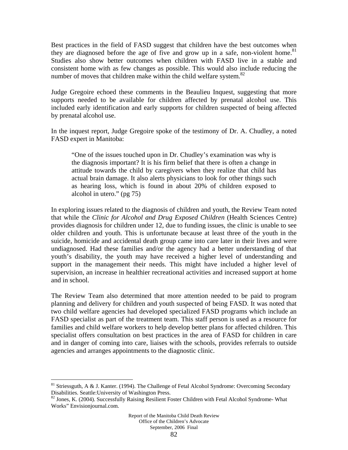Best practices in the field of FASD suggest that children have the best outcomes when they are diagnosed before the age of five and grow up in a safe, non-violent home.<sup>81</sup> Studies also show better outcomes when children with FASD live in a stable and consistent home with as few changes as possible. This would also include reducing the number of moves that children make within the child welfare system. $82$ 

Judge Gregoire echoed these comments in the Beaulieu Inquest, suggesting that more supports needed to be available for children affected by prenatal alcohol use. This included early identification and early supports for children suspected of being affected by prenatal alcohol use.

In the inquest report, Judge Gregoire spoke of the testimony of Dr. A. Chudley, a noted FASD expert in Manitoba:

"One of the issues touched upon in Dr. Chudley's examination was why is the diagnosis important? It is his firm belief that there is often a change in attitude towards the child by caregivers when they realize that child has actual brain damage. It also alerts physicians to look for other things such as hearing loss, which is found in about 20% of children exposed to alcohol in utero." (pg 75)

In exploring issues related to the diagnosis of children and youth, the Review Team noted that while the *Clinic for Alcohol and Drug Exposed Children* (Health Sciences Centre) provides diagnosis for children under 12, due to funding issues, the clinic is unable to see older children and youth. This is unfortunate because at least three of the youth in the suicide, homicide and accidental death group came into care later in their lives and were undiagnosed. Had these families and/or the agency had a better understanding of that youth's disability, the youth may have received a higher level of understanding and support in the management their needs. This might have included a higher level of supervision, an increase in healthier recreational activities and increased support at home and in school.

The Review Team also determined that more attention needed to be paid to program planning and delivery for children and youth suspected of being FASD. It was noted that two child welfare agencies had developed specialized FASD programs which include an FASD specialist as part of the treatment team. This staff person is used as a resource for families and child welfare workers to help develop better plans for affected children. This specialist offers consultation on best practices in the area of FASD for children in care and in danger of coming into care, liaises with the schools, provides referrals to outside agencies and arranges appointments to the diagnostic clinic.

 $\overline{a}$ 

 $81$  Striessguth, A & J. Kanter. (1994). The Challenge of Fetal Alcohol Syndrome: Overcoming Secondary Disabilities. Seattle:University of Washington Press.

<sup>&</sup>lt;sup>82</sup> Jones, K. (2004). Successfully Raising Resilient Foster Children with Fetal Alcohol Syndrome- What Works" Envisionjournal.com.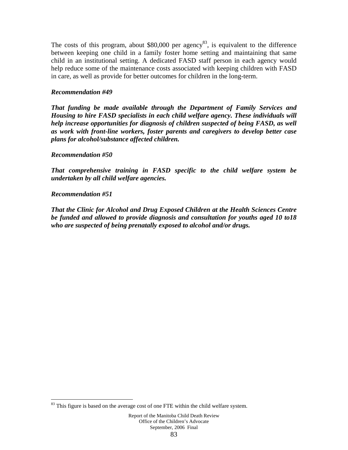The costs of this program, about  $$80,000$  per agency<sup>83</sup>, is equivalent to the difference between keeping one child in a family foster home setting and maintaining that same child in an institutional setting. A dedicated FASD staff person in each agency would help reduce some of the maintenance costs associated with keeping children with FASD in care, as well as provide for better outcomes for children in the long-term.

## *Recommendation #49*

*That funding be made available through the Department of Family Services and Housing to hire FASD specialists in each child welfare agency. These individuals will help increase opportunities for diagnosis of children suspected of being FASD, as well as work with front-line workers, foster parents and caregivers to develop better case plans for alcohol/substance affected children.* 

## *Recommendation #50*

*That comprehensive training in FASD specific to the child welfare system be undertaken by all child welfare agencies.* 

# *Recommendation #51*

 $\overline{a}$ 

*That the Clinic for Alcohol and Drug Exposed Children at the Health Sciences Centre be funded and allowed to provide diagnosis and consultation for youths aged 10 to18 who are suspected of being prenatally exposed to alcohol and/or drugs.* 

<sup>&</sup>lt;sup>83</sup> This figure is based on the average cost of one FTE within the child welfare system.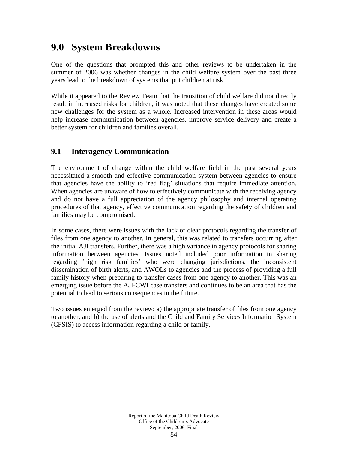# **9.0 System Breakdowns**

One of the questions that prompted this and other reviews to be undertaken in the summer of 2006 was whether changes in the child welfare system over the past three years lead to the breakdown of systems that put children at risk.

While it appeared to the Review Team that the transition of child welfare did not directly result in increased risks for children, it was noted that these changes have created some new challenges for the system as a whole. Increased intervention in these areas would help increase communication between agencies, improve service delivery and create a better system for children and families overall.

# **9.1 Interagency Communication**

The environment of change within the child welfare field in the past several years necessitated a smooth and effective communication system between agencies to ensure that agencies have the ability to 'red flag' situations that require immediate attention. When agencies are unaware of how to effectively communicate with the receiving agency and do not have a full appreciation of the agency philosophy and internal operating procedures of that agency, effective communication regarding the safety of children and families may be compromised.

In some cases, there were issues with the lack of clear protocols regarding the transfer of files from one agency to another. In general, this was related to transfers occurring after the initial AJI transfers. Further, there was a high variance in agency protocols for sharing information between agencies. Issues noted included poor information in sharing regarding 'high risk families' who were changing jurisdictions, the inconsistent dissemination of birth alerts, and AWOLs to agencies and the process of providing a full family history when preparing to transfer cases from one agency to another. This was an emerging issue before the AJI-CWI case transfers and continues to be an area that has the potential to lead to serious consequences in the future.

Two issues emerged from the review: a) the appropriate transfer of files from one agency to another, and b) the use of alerts and the Child and Family Services Information System (CFSIS) to access information regarding a child or family.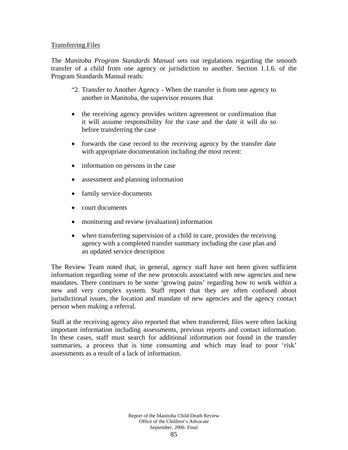## Transferring Files

The *Manitoba Program Standards Manual* sets out regulations regarding the smooth transfer of a child from one agency or jurisdiction to another. Section 1.1.6. of the Program Standards Manual reads:

- "2. Transfer to Another Agency When the transfer is from one agency to another in Manitoba, the supervisor ensures that
- the receiving agency provides written agreement or confirmation that it will assume responsibility for the case and the date it will do so before transferring the case
- forwards the case record to the receiving agency by the transfer date with appropriate documentation including the most recent:
- information on persons in the case
- assessment and planning information
- family service documents
- court documents
- monitoring and review (evaluation) information
- when transferring supervision of a child in care, provides the receiving agency with a completed transfer summary including the case plan and an updated service description

The Review Team noted that, in general, agency staff have not been given sufficient information regarding some of the new protocols associated with new agencies and new mandates. There continues to be some 'growing pains' regarding how to work within a new and very complex system. Staff report that they are often confused about jurisdictional issues, the location and mandate of new agencies and the agency contact person when making a referral.

Staff at the receiving agency also reported that when transferred, files were often lacking important information including assessments, previous reports and contact information. In these cases, staff must search for additional information not found in the transfer summaries, a process that is time consuming and which may lead to poor 'risk' assessments as a result of a lack of information.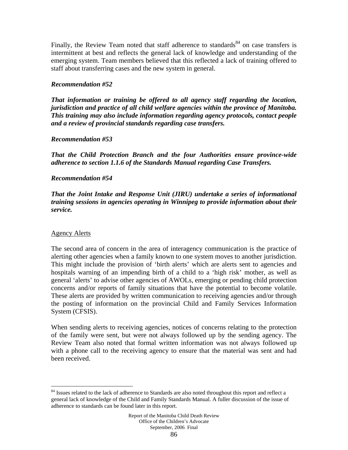Finally, the Review Team noted that staff adherence to standards<sup>84</sup> on case transfers is intermittent at best and reflects the general lack of knowledge and understanding of the emerging system. Team members believed that this reflected a lack of training offered to staff about transferring cases and the new system in general.

# *Recommendation #52*

*That information or training be offered to all agency staff regarding the location, jurisdiction and practice of all child welfare agencies within the province of Manitoba. This training may also include information regarding agency protocols, contact people and a review of provincial standards regarding case transfers.* 

# *Recommendation #53*

*That the Child Protection Branch and the four Authorities ensure province-wide adherence to section 1.1.6 of the Standards Manual regarding Case Transfers.* 

# *Recommendation #54*

*That the Joint Intake and Response Unit (JIRU) undertake a series of informational training sessions in agencies operating in Winnipeg to provide information about their service.* 

## Agency Alerts

 $\overline{a}$ 

The second area of concern in the area of interagency communication is the practice of alerting other agencies when a family known to one system moves to another jurisdiction. This might include the provision of 'birth alerts' which are alerts sent to agencies and hospitals warning of an impending birth of a child to a 'high risk' mother, as well as general 'alerts' to advise other agencies of AWOLs, emerging or pending child protection concerns and/or reports of family situations that have the potential to become volatile. These alerts are provided by written communication to receiving agencies and/or through the posting of information on the provincial Child and Family Services Information System (CFSIS).

When sending alerts to receiving agencies, notices of concerns relating to the protection of the family were sent, but were not always followed up by the sending agency. The Review Team also noted that formal written information was not always followed up with a phone call to the receiving agency to ensure that the material was sent and had been received.

<sup>&</sup>lt;sup>84</sup> Issues related to the lack of adherence to Standards are also noted throughout this report and reflect a general lack of knowledge of the Child and Family Standards Manual. A fuller discussion of the issue of adherence to standards can be found later in this report.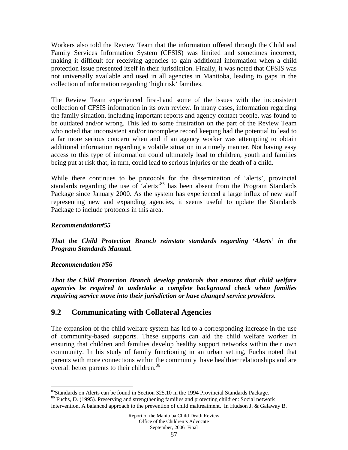Workers also told the Review Team that the information offered through the Child and Family Services Information System (CFSIS) was limited and sometimes incorrect, making it difficult for receiving agencies to gain additional information when a child protection issue presented itself in their jurisdiction. Finally, it was noted that CFSIS was not universally available and used in all agencies in Manitoba, leading to gaps in the collection of information regarding 'high risk' families.

The Review Team experienced first-hand some of the issues with the inconsistent collection of CFSIS information in its own review. In many cases, information regarding the family situation, including important reports and agency contact people, was found to be outdated and/or wrong. This led to some frustration on the part of the Review Team who noted that inconsistent and/or incomplete record keeping had the potential to lead to a far more serious concern when and if an agency worker was attempting to obtain additional information regarding a volatile situation in a timely manner. Not having easy access to this type of information could ultimately lead to children, youth and families being put at risk that, in turn, could lead to serious injuries or the death of a child.

While there continues to be protocols for the dissemination of 'alerts', provincial standards regarding the use of 'alerts'<sup>85</sup> has been absent from the Program Standards Package since January 2000. As the system has experienced a large influx of new staff representing new and expanding agencies, it seems useful to update the Standards Package to include protocols in this area.

# *Recommendation#55*

*That the Child Protection Branch reinstate standards regarding 'Alerts' in the Program Standards Manual.* 

## *Recommendation #56*

*That the Child Protection Branch develop protocols that ensures that child welfare agencies be required to undertake a complete background check when families requiring service move into their jurisdiction or have changed service providers.* 

# **9.2 Communicating with Collateral Agencies**

The expansion of the child welfare system has led to a corresponding increase in the use of community-based supports. These supports can aid the child welfare worker in ensuring that children and families develop healthy support networks within their own community. In his study of family functioning in an urban setting, Fuchs noted that parents with more connections within the community have healthier relationships and are overall better parents to their children.<sup>86</sup>

 $\overline{a}$ <sup>85</sup>Standards on Alerts can be found in Section 325.10 in the 1994 Provincial Standards Package.

<sup>&</sup>lt;sup>86</sup> Fuchs, D. (1995). Preserving and strengthening families and protecting children: Social network intervention, A balanced approach to the prevention of child maltreatment. In Hudson J. & Galaway B.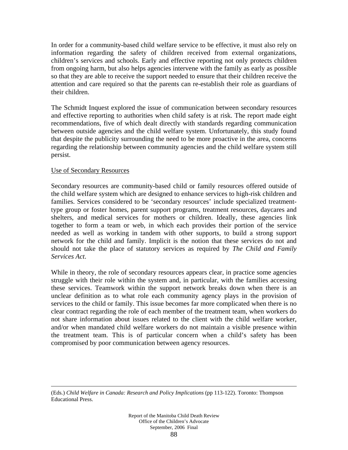In order for a community-based child welfare service to be effective, it must also rely on information regarding the safety of children received from external organizations, children's services and schools. Early and effective reporting not only protects children from ongoing harm, but also helps agencies intervene with the family as early as possible so that they are able to receive the support needed to ensure that their children receive the attention and care required so that the parents can re-establish their role as guardians of their children.

The Schmidt Inquest explored the issue of communication between secondary resources and effective reporting to authorities when child safety is at risk. The report made eight recommendations, five of which dealt directly with standards regarding communication between outside agencies and the child welfare system. Unfortunately, this study found that despite the publicity surrounding the need to be more proactive in the area, concerns regarding the relationship between community agencies and the child welfare system still persist.

#### Use of Secondary Resources

Secondary resources are community-based child or family resources offered outside of the child welfare system which are designed to enhance services to high-risk children and families. Services considered to be 'secondary resources' include specialized treatmenttype group or foster homes, parent support programs, treatment resources, daycares and shelters, and medical services for mothers or children. Ideally, these agencies link together to form a team or web, in which each provides their portion of the service needed as well as working in tandem with other supports, to build a strong support network for the child and family. Implicit is the notion that these services do not and should not take the place of statutory services as required by *The Child and Family Services Act*.

While in theory, the role of secondary resources appears clear, in practice some agencies struggle with their role within the system and, in particular, with the families accessing these services. Teamwork within the support network breaks down when there is an unclear definition as to what role each community agency plays in the provision of services to the child or family. This issue becomes far more complicated when there is no clear contract regarding the role of each member of the treatment team, when workers do not share information about issues related to the client with the child welfare worker, and/or when mandated child welfare workers do not maintain a visible presence within the treatment team. This is of particular concern when a child's safety has been compromised by poor communication between agency resources.

 <sup>(</sup>Eds.) *Child Welfare in Canada: Research and Policy Implications* (pp 113-122). Toronto: Thompson Educational Press.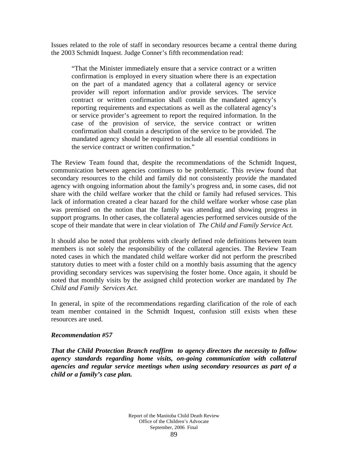Issues related to the role of staff in secondary resources became a central theme during the 2003 Schmidt Inquest. Judge Conner's fifth recommendation read:

"That the Minister immediately ensure that a service contract or a written confirmation is employed in every situation where there is an expectation on the part of a mandated agency that a collateral agency or service provider will report information and/or provide services. The service contract or written confirmation shall contain the mandated agency's reporting requirements and expectations as well as the collateral agency's or service provider's agreement to report the required information. In the case of the provision of service, the service contract or written confirmation shall contain a description of the service to be provided. The mandated agency should be required to include all essential conditions in the service contract or written confirmation."

The Review Team found that, despite the recommendations of the Schmidt Inquest, communication between agencies continues to be problematic. This review found that secondary resources to the child and family did not consistently provide the mandated agency with ongoing information about the family's progress and, in some cases, did not share with the child welfare worker that the child or family had refused services. This lack of information created a clear hazard for the child welfare worker whose case plan was premised on the notion that the family was attending and showing progress in support programs. In other cases, the collateral agencies performed services outside of the scope of their mandate that were in clear violation of *The Child and Family Service Act.*

It should also be noted that problems with clearly defined role definitions between team members is not solely the responsibility of the collateral agencies. The Review Team noted cases in which the mandated child welfare worker did not perform the prescribed statutory duties to meet with a foster child on a monthly basis assuming that the agency providing secondary services was supervising the foster home. Once again, it should be noted that monthly visits by the assigned child protection worker are mandated by *The Child and Family Services Act.*

In general, in spite of the recommendations regarding clarification of the role of each team member contained in the Schmidt Inquest, confusion still exists when these resources are used.

#### *Recommendation #57*

*That the Child Protection Branch reaffirm to agency directors the necessity to follow agency standards regarding home visits, on-going communication with collateral agencies and regular service meetings when using secondary resources as part of a child or a family's case plan.*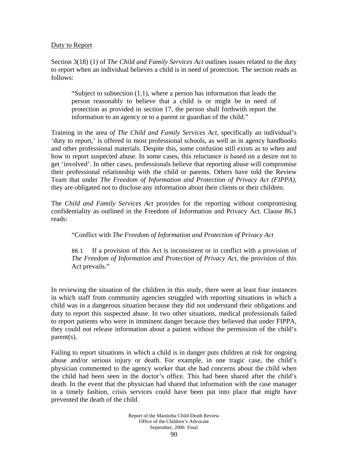## Duty to Report

Section 3(18) (1) of *The Child and Family Services Act* outlines issues related to the duty to report when an individual believes a child is in need of protection. The section reads as follows:

"Subject to subsection (1.1), where a person has information that leads the person reasonably to believe that a child is or might be in need of protection as provided in section 17, the person shall forthwith report the information to an agency or to a parent or guardian of the child."

Training in the area *of The Child and Family Services Act,* specifically an individual's 'duty to report,' is offered in most professional schools, as well as in agency handbooks and other professional materials. Despite this, some confusion still exists as to when and how to report suspected abuse. In some cases, this reluctance is based on a desire not to get 'involved'. In other cases, professionals believe that reporting abuse will compromise their professional relationship with the child or parents. Others have told the Review Team that under *The Freedom of Information and Protection of Privacy Act (FIPPA),* they are obligated not to disclose any information about their clients or their children.

The *Child and Family Services Act* provides for the reporting without compromising confidentiality as outlined in the Freedom of Information and Privacy Act. Clause 86.1 reads:

"Conflict with *The Freedom of Information and Protection of Privacy Act*

86.1 If a provision of this Act is inconsistent or in conflict with a provision of *The Freedom of Information and Protection of Privacy Act*, the provision of this Act prevails."

In reviewing the situation of the children in this study, there were at least four instances in which staff from community agencies struggled with reporting situations in which a child was in a dangerous situation because they did not understand their obligations and duty to report this suspected abuse. In two other situations, medical professionals failed to report patients who were in imminent danger because they believed that under FIPPA, they could not release information about a patient without the permission of the child's parent(s).

Failing to report situations in which a child is in danger puts children at risk for ongoing abuse and/or serious injury or death. For example, in one tragic case, the child's physician commented to the agency worker that she had concerns about the child when the child had been seen in the doctor's office. This had been shared after the child's death. In the event that the physician had shared that information with the case manager in a timely fashion, crisis services could have been put into place that might have prevented the death of the child.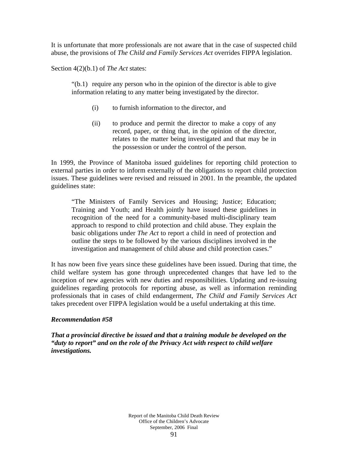It is unfortunate that more professionals are not aware that in the case of suspected child abuse, the provisions of *The Child and Family Services Act* overrides FIPPA legislation.

Section 4(2)(b.1) of *The Act* states:

"(b.1) require any person who in the opinion of the director is able to give information relating to any matter being investigated by the director.

- (i) to furnish information to the director, and
- (ii) to produce and permit the director to make a copy of any record, paper, or thing that, in the opinion of the director, relates to the matter being investigated and that may be in the possession or under the control of the person.

In 1999, the Province of Manitoba issued guidelines for reporting child protection to external parties in order to inform externally of the obligations to report child protection issues. These guidelines were revised and reissued in 2001. In the preamble, the updated guidelines state:

"The Ministers of Family Services and Housing; Justice; Education; Training and Youth; and Health jointly have issued these guidelines in recognition of the need for a community-based multi-disciplinary team approach to respond to child protection and child abuse. They explain the basic obligations under *The Act* to report a child in need of protection and outline the steps to be followed by the various disciplines involved in the investigation and management of child abuse and child protection cases."

It has now been five years since these guidelines have been issued. During that time, the child welfare system has gone through unprecedented changes that have led to the inception of new agencies with new duties and responsibilities. Updating and re-issuing guidelines regarding protocols for reporting abuse, as well as information reminding professionals that in cases of child endangerment, *The Child and Family Services Act* takes precedent over FIPPA legislation would be a useful undertaking at this time.

## *Recommendation #58*

*That a provincial directive be issued and that a training module be developed on the "duty to report" and on the role of the Privacy Act with respect to child welfare investigations.*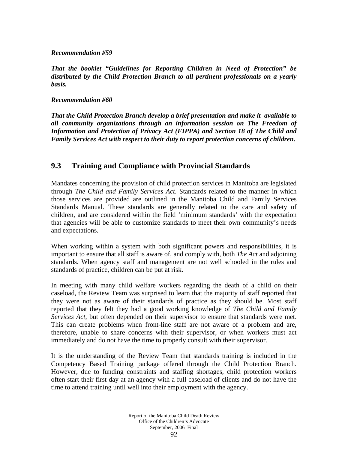## *Recommendation #59*

*That the booklet "Guidelines for Reporting Children in Need of Protection" be distributed by the Child Protection Branch to all pertinent professionals on a yearly basis.* 

## *Recommendation #60*

*That the Child Protection Branch develop a brief presentation and make it available to all community organizations through an information session on The Freedom of Information and Protection of Privacy Act (FIPPA) and Section 18 of The Child and Family Services Act with respect to their duty to report protection concerns of children.* 

# **9.3 Training and Compliance with Provincial Standards**

Mandates concerning the provision of child protection services in Manitoba are legislated through *The Child and Family Services Act*. Standards related to the manner in which those services are provided are outlined in the Manitoba Child and Family Services Standards Manual. These standards are generally related to the care and safety of children, and are considered within the field 'minimum standards' with the expectation that agencies will be able to customize standards to meet their own community's needs and expectations.

When working within a system with both significant powers and responsibilities, it is important to ensure that all staff is aware of, and comply with, both *The Act* and adjoining standards. When agency staff and management are not well schooled in the rules and standards of practice, children can be put at risk.

In meeting with many child welfare workers regarding the death of a child on their caseload, the Review Team was surprised to learn that the majority of staff reported that they were not as aware of their standards of practice as they should be. Most staff reported that they felt they had a good working knowledge of *The Child and Family Services Act,* but often depended on their supervisor to ensure that standards were met. This can create problems when front-line staff are not aware of a problem and are, therefore, unable to share concerns with their supervisor, or when workers must act immediately and do not have the time to properly consult with their supervisor.

It is the understanding of the Review Team that standards training is included in the Competency Based Training package offered through the Child Protection Branch. However, due to funding constraints and staffing shortages, child protection workers often start their first day at an agency with a full caseload of clients and do not have the time to attend training until well into their employment with the agency.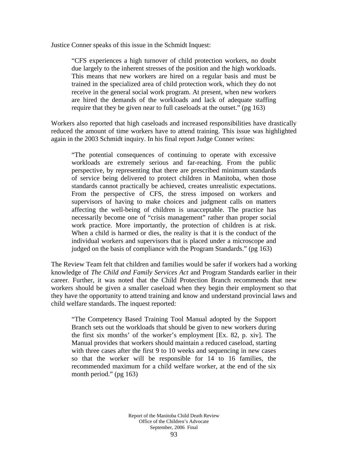Justice Conner speaks of this issue in the Schmidt Inquest:

"CFS experiences a high turnover of child protection workers, no doubt due largely to the inherent stresses of the position and the high workloads. This means that new workers are hired on a regular basis and must be trained in the specialized area of child protection work, which they do not receive in the general social work program. At present, when new workers are hired the demands of the workloads and lack of adequate staffing require that they be given near to full caseloads at the outset." (pg 163)

Workers also reported that high caseloads and increased responsibilities have drastically reduced the amount of time workers have to attend training. This issue was highlighted again in the 2003 Schmidt inquiry. In his final report Judge Conner writes:

"The potential consequences of continuing to operate with excessive workloads are extremely serious and far-reaching. From the public perspective, by representing that there are prescribed minimum standards of service being delivered to protect children in Manitoba, when those standards cannot practically be achieved, creates unrealistic expectations. From the perspective of CFS, the stress imposed on workers and supervisors of having to make choices and judgment calls on matters affecting the well-being of children is unacceptable. The practice has necessarily become one of "crisis management" rather than proper social work practice. More importantly, the protection of children is at risk. When a child is harmed or dies, the reality is that it is the conduct of the individual workers and supervisors that is placed under a microscope and judged on the basis of compliance with the Program Standards." (pg 163)

The Review Team felt that children and families would be safer if workers had a working knowledge of *The Child and Family Services Act* and Program Standards earlier in their career. Further, it was noted that the Child Protection Branch recommends that new workers should be given a smaller caseload when they begin their employment so that they have the opportunity to attend training and know and understand provincial laws and child welfare standards. The inquest reported:

"The Competency Based Training Tool Manual adopted by the Support Branch sets out the workloads that should be given to new workers during the first six months' of the worker's employment [Ex. 82, p. xiv]. The Manual provides that workers should maintain a reduced caseload, starting with three cases after the first 9 to 10 weeks and sequencing in new cases so that the worker will be responsible for 14 to 16 families, the recommended maximum for a child welfare worker, at the end of the six month period." (pg 163)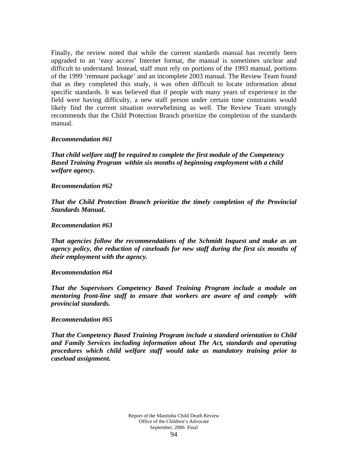Finally, the review noted that while the current standards manual has recently been upgraded to an 'easy access' Internet format, the manual is sometimes unclear and difficult to understand. Instead, staff must rely on portions of the 1993 manual, portions of the 1999 'remnant package' and an incomplete 2003 manual. The Review Team found that as they completed this study, it was often difficult to locate information about specific standards. It was believed that if people with many years of experience in the field were having difficulty, a new staff person under certain time constraints would likely find the current situation overwhelming as well. The Review Team strongly recommends that the Child Protection Branch prioritize the completion of the standards manual.

#### *Recommendation #61*

*That child welfare staff be required to complete the first module of the Competency Based Training Program within six months of beginning employment with a child welfare agency.* 

#### *Recommendation #62*

*That the Child Protection Branch prioritize the timely completion of the Provincial Standards Manual.* 

#### *Recommendation #63*

*That agencies follow the recommendations of the Schmidt Inquest and make as an agency policy, the reduction of caseloads for new staff during the first six months of their employment with the agency.* 

#### *Recommendation #64*

*That the Supervisors Competency Based Training Program include a module on mentoring front-line staff to ensure that workers are aware of and comply with provincial standards.* 

#### *Recommendation #65*

*That the Competency Based Training Program include a standard orientation to Child and Family Services including information about The Act, standards and operating procedures which child welfare staff would take as mandatory training prior to caseload assignment.*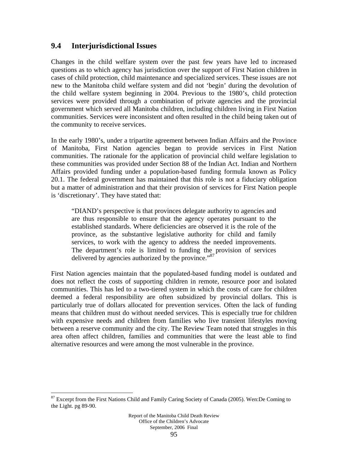# **9.4 Interjurisdictional Issues**

Changes in the child welfare system over the past few years have led to increased questions as to which agency has jurisdiction over the support of First Nation children in cases of child protection, child maintenance and specialized services. These issues are not new to the Manitoba child welfare system and did not 'begin' during the devolution of the child welfare system beginning in 2004. Previous to the 1980's, child protection services were provided through a combination of private agencies and the provincial government which served all Manitoba children, including children living in First Nation communities. Services were inconsistent and often resulted in the child being taken out of the community to receive services.

In the early 1980's, under a tripartite agreement between Indian Affairs and the Province of Manitoba, First Nation agencies began to provide services in First Nation communities. The rationale for the application of provincial child welfare legislation to these communities was provided under Section 88 of the Indian Act. Indian and Northern Affairs provided funding under a population-based funding formula known as Policy 20.1. The federal government has maintained that this role is not a fiduciary obligation but a matter of administration and that their provision of services for First Nation people is 'discretionary'. They have stated that:

"DIAND's perspective is that provinces delegate authority to agencies and are thus responsible to ensure that the agency operates pursuant to the established standards. Where deficiencies are observed it is the role of the province, as the substantive legislative authority for child and family services, to work with the agency to address the needed improvements. The department's role is limited to funding the provision of services delivered by agencies authorized by the province."<sup>87</sup>

First Nation agencies maintain that the populated-based funding model is outdated and does not reflect the costs of supporting children in remote, resource poor and isolated communities. This has led to a two-tiered system in which the costs of care for children deemed a federal responsibility are often subsidized by provincial dollars. This is particularly true of dollars allocated for prevention services. Often the lack of funding means that children must do without needed services. This is especially true for children with expensive needs and children from families who live transient lifestyles moving between a reserve community and the city. The Review Team noted that struggles in this area often affect children, families and communities that were the least able to find alternative resources and were among the most vulnerable in the province.

1

<sup>&</sup>lt;sup>87</sup> Excerpt from the First Nations Child and Family Caring Society of Canada (2005). Wen:De Coming to the Light. pg 89-90.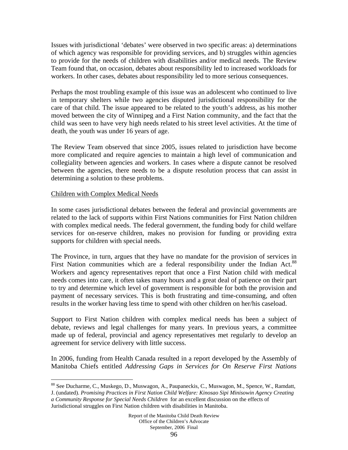Issues with jurisdictional 'debates' were observed in two specific areas: a) determinations of which agency was responsible for providing services, and b) struggles within agencies to provide for the needs of children with disabilities and/or medical needs. The Review Team found that, on occasion, debates about responsibility led to increased workloads for workers. In other cases, debates about responsibility led to more serious consequences.

Perhaps the most troubling example of this issue was an adolescent who continued to live in temporary shelters while two agencies disputed jurisdictional responsibility for the care of that child. The issue appeared to be related to the youth's address, as his mother moved between the city of Winnipeg and a First Nation community, and the fact that the child was seen to have very high needs related to his street level activities. At the time of death, the youth was under 16 years of age.

The Review Team observed that since 2005, issues related to jurisdiction have become more complicated and require agencies to maintain a high level of communication and collegiality between agencies and workers. In cases where a dispute cannot be resolved between the agencies, there needs to be a dispute resolution process that can assist in determining a solution to these problems.

## Children with Complex Medical Needs

<u>.</u>

In some cases jurisdictional debates between the federal and provincial governments are related to the lack of supports within First Nations communities for First Nation children with complex medical needs. The federal government, the funding body for child welfare services for on-reserve children, makes no provision for funding or providing extra supports for children with special needs.

The Province, in turn, argues that they have no mandate for the provision of services in First Nation communities which are a federal responsibility under the Indian Act.<sup>88</sup> Workers and agency representatives report that once a First Nation child with medical needs comes into care, it often takes many hours and a great deal of patience on their part to try and determine which level of government is responsible for both the provision and payment of necessary services. This is both frustrating and time-consuming, and often results in the worker having less time to spend with other children on her/his caseload.

Support to First Nation children with complex medical needs has been a subject of debate, reviews and legal challenges for many years. In previous years, a committee made up of federal, provincial and agency representatives met regularly to develop an agreement for service delivery with little success.

In 2006, funding from Health Canada resulted in a report developed by the Assembly of Manitoba Chiefs entitled *Addressing Gaps in Services for On Reserve First Nations* 

J. (undated). *Promising Practices in First Nation Child Welfare: Kinosao Sipi Minisowin Agency Creating a Community Response for Special Needs Children* for an excellent discussion on the effects of

<sup>&</sup>lt;sup>88</sup> See Ducharme, C., Muskego, D., Muswagon, A., Paupaneckis, C., Muswagon, M., Spence, W., Ramdatt,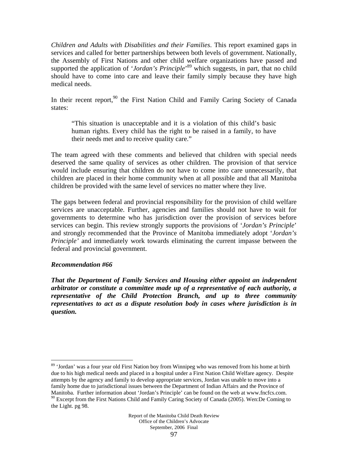*Children and Adults with Disabilities and their Families*. This report examined gaps in services and called for better partnerships between both levels of government. Nationally, the Assembly of First Nations and other child welfare organizations have passed and supported the application of '*Jordan's Principle*<sup>,89</sup> which suggests, in part, that no child should have to come into care and leave their family simply because they have high medical needs.

In their recent report,<sup>90</sup> the First Nation Child and Family Caring Society of Canada states:

"This situation is unacceptable and it is a violation of this child's basic human rights. Every child has the right to be raised in a family, to have their needs met and to receive quality care."

The team agreed with these comments and believed that children with special needs deserved the same quality of services as other children. The provision of that service would include ensuring that children do not have to come into care unnecessarily, that children are placed in their home community when at all possible and that all Manitoba children be provided with the same level of services no matter where they live.

The gaps between federal and provincial responsibility for the provision of child welfare services are unacceptable. Further, agencies and families should not have to wait for governments to determine who has jurisdiction over the provision of services before services can begin. This review strongly supports the provisions of '*Jordan's Principle*' and strongly recommended that the Province of Manitoba immediately adopt '*Jordan's Principle'* and immediately work towards eliminating the current impasse between the federal and provincial government.

## *Recommendation #66*

*That the Department of Family Services and Housing either appoint an independent arbitrator or constitute a committee made up of a representative of each authority, a representative of the Child Protection Branch, and up to three community representatives to act as a dispute resolution body in cases where jurisdiction is in question.* 

<sup>&</sup>lt;u>.</u> <sup>89</sup> 'Jordan' was a four year old First Nation boy from Winnipeg who was removed from his home at birth due to his high medical needs and placed in a hospital under a First Nation Child Welfare agency. Despite attempts by the agency and family to develop appropriate services, Jordan was unable to move into a family home due to jurisdictional issues between the Department of Indian Affairs and the Province of Manitoba. Further information about 'Jordan's Principle' can be found on the web at www.fncfcs.com. <sup>90</sup> Excerpt from the First Nations Child and Family Caring Society of Canada (2005). Wen:De Coming to the Light. pg 98.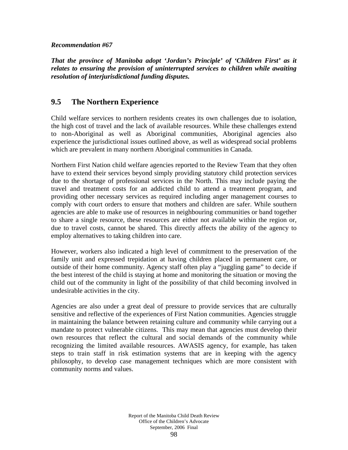#### *Recommendation #67*

*That the province of Manitoba adopt 'Jordan's Principle' of 'Children First' as it relates to ensuring the provision of uninterrupted services to children while awaiting resolution of interjurisdictional funding disputes.* 

# **9.5 The Northern Experience**

Child welfare services to northern residents creates its own challenges due to isolation, the high cost of travel and the lack of available resources. While these challenges extend to non-Aboriginal as well as Aboriginal communities, Aboriginal agencies also experience the jurisdictional issues outlined above, as well as widespread social problems which are prevalent in many northern Aboriginal communities in Canada.

Northern First Nation child welfare agencies reported to the Review Team that they often have to extend their services beyond simply providing statutory child protection services due to the shortage of professional services in the North. This may include paying the travel and treatment costs for an addicted child to attend a treatment program, and providing other necessary services as required including anger management courses to comply with court orders to ensure that mothers and children are safer. While southern agencies are able to make use of resources in neighbouring communities or band together to share a single resource, these resources are either not available within the region or, due to travel costs, cannot be shared. This directly affects the ability of the agency to employ alternatives to taking children into care.

However, workers also indicated a high level of commitment to the preservation of the family unit and expressed trepidation at having children placed in permanent care, or outside of their home community. Agency staff often play a "juggling game" to decide if the best interest of the child is staying at home and monitoring the situation or moving the child out of the community in light of the possibility of that child becoming involved in undesirable activities in the city.

Agencies are also under a great deal of pressure to provide services that are culturally sensitive and reflective of the experiences of First Nation communities. Agencies struggle in maintaining the balance between retaining culture and community while carrying out a mandate to protect vulnerable citizens. This may mean that agencies must develop their own resources that reflect the cultural and social demands of the community while recognizing the limited available resources. AWASIS agency, for example, has taken steps to train staff in risk estimation systems that are in keeping with the agency philosophy, to develop case management techniques which are more consistent with community norms and values.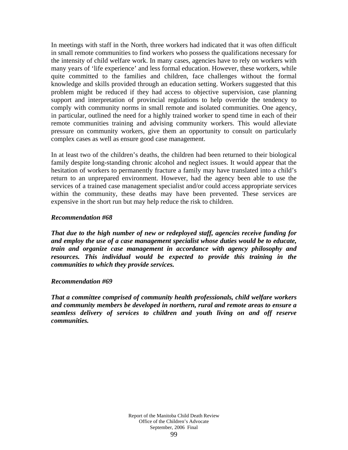In meetings with staff in the North, three workers had indicated that it was often difficult in small remote communities to find workers who possess the qualifications necessary for the intensity of child welfare work. In many cases, agencies have to rely on workers with many years of 'life experience' and less formal education. However, these workers, while quite committed to the families and children, face challenges without the formal knowledge and skills provided through an education setting. Workers suggested that this problem might be reduced if they had access to objective supervision, case planning support and interpretation of provincial regulations to help override the tendency to comply with community norms in small remote and isolated communities. One agency, in particular, outlined the need for a highly trained worker to spend time in each of their remote communities training and advising community workers. This would alleviate pressure on community workers, give them an opportunity to consult on particularly complex cases as well as ensure good case management.

In at least two of the children's deaths, the children had been returned to their biological family despite long-standing chronic alcohol and neglect issues. It would appear that the hesitation of workers to permanently fracture a family may have translated into a child's return to an unprepared environment. However, had the agency been able to use the services of a trained case management specialist and/or could access appropriate services within the community, these deaths may have been prevented. These services are expensive in the short run but may help reduce the risk to children.

## *Recommendation #68*

*That due to the high number of new or redeployed staff, agencies receive funding for and employ the use of a case management specialist whose duties would be to educate, train and organize case management in accordance with agency philosophy and resources. This individual would be expected to provide this training in the communities to which they provide services.* 

## *Recommendation #69*

*That a committee comprised of community health professionals, child welfare workers and community members be developed in northern, rural and remote areas to ensure a seamless delivery of services to children and youth living on and off reserve communities.*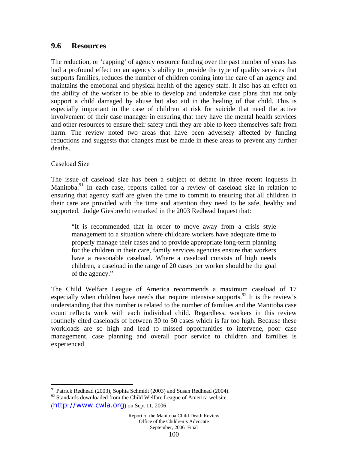# **9.6 Resources**

The reduction, or 'capping' of agency resource funding over the past number of years has had a profound effect on an agency's ability to provide the type of quality services that supports families, reduces the number of children coming into the care of an agency and maintains the emotional and physical health of the agency staff. It also has an effect on the ability of the worker to be able to develop and undertake case plans that not only support a child damaged by abuse but also aid in the healing of that child. This is especially important in the case of children at risk for suicide that need the active involvement of their case manager in ensuring that they have the mental health services and other resources to ensure their safety until they are able to keep themselves safe from harm. The review noted two areas that have been adversely affected by funding reductions and suggests that changes must be made in these areas to prevent any further deaths.

# Caseload Size

The issue of caseload size has been a subject of debate in three recent inquests in Manitoba.<sup>91</sup> In each case, reports called for a review of caseload size in relation to ensuring that agency staff are given the time to commit to ensuring that all children in their care are provided with the time and attention they need to be safe, healthy and supported. Judge Giesbrecht remarked in the 2003 Redhead Inquest that:

"It is recommended that in order to move away from a crisis style management to a situation where childcare workers have adequate time to properly manage their cases and to provide appropriate long-term planning for the children in their care, family services agencies ensure that workers have a reasonable caseload. Where a caseload consists of high needs children, a caseload in the range of 20 cases per worker should be the goal of the agency."

The Child Welfare League of America recommends a maximum caseload of 17 especially when children have needs that require intensive supports.<sup>92</sup> It is the review's understanding that this number is related to the number of families and the Manitoba case count reflects work with each individual child. Regardless, workers in this review routinely cited caseloads of between 30 to 50 cases which is far too high. Because these workloads are so high and lead to missed opportunities to intervene, poor case management, case planning and overall poor service to children and families is experienced.

 $\overline{a}$ 

<sup>&</sup>lt;sup>91</sup> Patrick Redhead (2003), Sophia Schmidt (2003) and Susan Redhead (2004).

<sup>&</sup>lt;sup>92</sup> Standards downloaded from the Child Welfare League of America website

<sup>(</sup>http://www.cwla.org) on Sept 11, 2006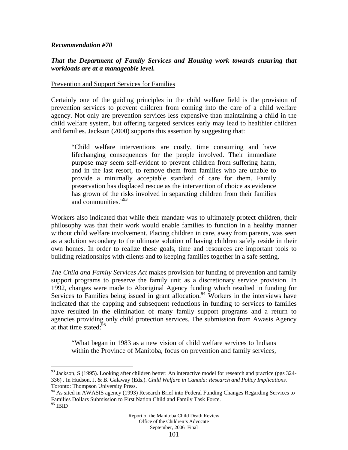#### *Recommendation #70*

 $\overline{a}$ 

#### *That the Department of Family Services and Housing work towards ensuring that workloads are at a manageable level.*

#### Prevention and Support Services for Families

Certainly one of the guiding principles in the child welfare field is the provision of prevention services to prevent children from coming into the care of a child welfare agency. Not only are prevention services less expensive than maintaining a child in the child welfare system, but offering targeted services early may lead to healthier children and families. Jackson (2000) supports this assertion by suggesting that:

"Child welfare interventions are costly, time consuming and have lifechanging consequences for the people involved. Their immediate purpose may seem self-evident to prevent children from suffering harm, and in the last resort, to remove them from families who are unable to provide a minimally acceptable standard of care for them. Family preservation has displaced rescue as the intervention of choice as evidence has grown of the risks involved in separating children from their families and communities."93

Workers also indicated that while their mandate was to ultimately protect children, their philosophy was that their work would enable families to function in a healthy manner without child welfare involvement. Placing children in care, away from parents, was seen as a solution secondary to the ultimate solution of having children safely reside in their own homes. In order to realize these goals, time and resources are important tools to building relationships with clients and to keeping families together in a safe setting.

*The Child and Family Services Act* makes provision for funding of prevention and family support programs to preserve the family unit as a discretionary service provision. In 1992, changes were made to Aboriginal Agency funding which resulted in funding for Services to Families being issued in grant allocation.<sup>94</sup> Workers in the interviews have indicated that the capping and subsequent reductions in funding to services to families have resulted in the elimination of many family support programs and a return to agencies providing only child protection services. The submission from Awasis Agency at that time stated: $95$ 

"What began in 1983 as a new vision of child welfare services to Indians within the Province of Manitoba, focus on prevention and family services,

 $93$  Jackson, S (1995). Looking after children better: An interactive model for research and practice (pgs 324-336) . In Hudson, J. & B. Galaway (Eds.). *Child Welfare in Canada: Research and Policy Implications.* Toronto: Thompson University Press.

<sup>&</sup>lt;sup>94</sup> As sited in AWASIS agency (1993) Research Brief into Federal Funding Changes Regarding Services to Families Dollars Submission to First Nation Child and Family Task Force.  $^{95}$  IBID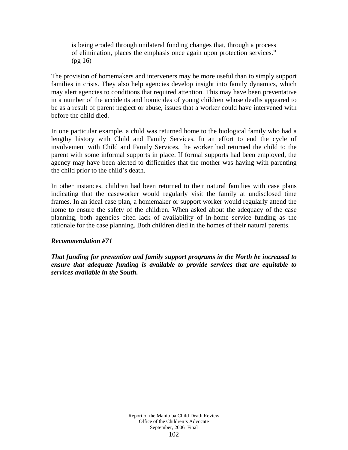is being eroded through unilateral funding changes that, through a process of elimination, places the emphasis once again upon protection services." (pg 16)

The provision of homemakers and interveners may be more useful than to simply support families in crisis. They also help agencies develop insight into family dynamics, which may alert agencies to conditions that required attention. This may have been preventative in a number of the accidents and homicides of young children whose deaths appeared to be as a result of parent neglect or abuse, issues that a worker could have intervened with before the child died.

In one particular example, a child was returned home to the biological family who had a lengthy history with Child and Family Services. In an effort to end the cycle of involvement with Child and Family Services, the worker had returned the child to the parent with some informal supports in place. If formal supports had been employed, the agency may have been alerted to difficulties that the mother was having with parenting the child prior to the child's death.

In other instances, children had been returned to their natural families with case plans indicating that the caseworker would regularly visit the family at undisclosed time frames. In an ideal case plan, a homemaker or support worker would regularly attend the home to ensure the safety of the children. When asked about the adequacy of the case planning, both agencies cited lack of availability of in-home service funding as the rationale for the case planning. Both children died in the homes of their natural parents.

## *Recommendation #71*

*That funding for prevention and family support programs in the North be increased to ensure that adequate funding is available to provide services that are equitable to services available in the South.*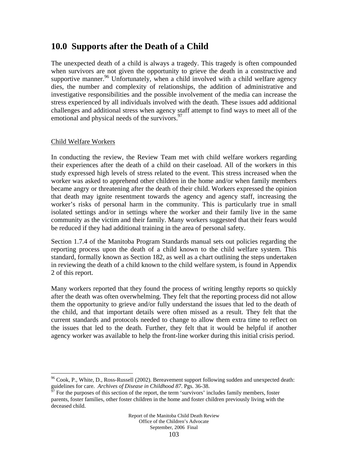# **10.0 Supports after the Death of a Child**

The unexpected death of a child is always a tragedy. This tragedy is often compounded when survivors are not given the opportunity to grieve the death in a constructive and supportive manner.<sup>96</sup> Unfortunately, when a child involved with a child welfare agency dies, the number and complexity of relationships, the addition of administrative and investigative responsibilities and the possible involvement of the media can increase the stress experienced by all individuals involved with the death. These issues add additional challenges and additional stress when agency staff attempt to find ways to meet all of the emotional and physical needs of the survivors.<sup>97</sup>

## Child Welfare Workers

 $\overline{a}$ 

In conducting the review, the Review Team met with child welfare workers regarding their experiences after the death of a child on their caseload. All of the workers in this study expressed high levels of stress related to the event. This stress increased when the worker was asked to apprehend other children in the home and/or when family members became angry or threatening after the death of their child. Workers expressed the opinion that death may ignite resentment towards the agency and agency staff, increasing the worker's risks of personal harm in the community. This is particularly true in small isolated settings and/or in settings where the worker and their family live in the same community as the victim and their family. Many workers suggested that their fears would be reduced if they had additional training in the area of personal safety.

Section 1.7.4 of the Manitoba Program Standards manual sets out policies regarding the reporting process upon the death of a child known to the child welfare system. This standard, formally known as Section 182, as well as a chart outlining the steps undertaken in reviewing the death of a child known to the child welfare system, is found in Appendix 2 of this report.

Many workers reported that they found the process of writing lengthy reports so quickly after the death was often overwhelming. They felt that the reporting process did not allow them the opportunity to grieve and/or fully understand the issues that led to the death of the child, and that important details were often missed as a result. They felt that the current standards and protocols needed to change to allow them extra time to reflect on the issues that led to the death. Further, they felt that it would be helpful if another agency worker was available to help the front-line worker during this initial crisis period.

 $96$  Cook, P., White, D., Ross-Russell (2002). Bereavement support following sudden and unexpected death: guidelines for care. *Archives of Disease in Childhood 87*. Pgs. 36-38.<br><sup>97</sup> For the purposes of this section of the report, the term 'survivors' includes family members, foster

parents, foster families, other foster children in the home and foster children previously living with the deceased child.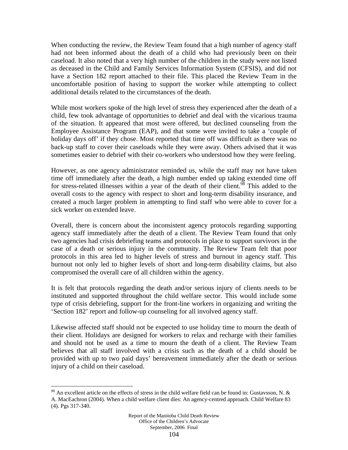When conducting the review, the Review Team found that a high number of agency staff had not been informed about the death of a child who had previously been on their caseload. It also noted that a very high number of the children in the study were not listed as deceased in the Child and Family Services Information System (CFSIS), and did not have a Section 182 report attached to their file. This placed the Review Team in the uncomfortable position of having to support the worker while attempting to collect additional details related to the circumstances of the death.

While most workers spoke of the high level of stress they experienced after the death of a child, few took advantage of opportunities to debrief and deal with the vicarious trauma of the situation. It appeared that most were offered, but declined counseling from the Employee Assistance Program (EAP), and that some were invited to take a 'couple of holiday days off' if they chose. Most reported that time off was difficult as there was no back-up staff to cover their caseloads while they were away. Others advised that it was sometimes easier to debrief with their co-workers who understood how they were feeling.

However, as one agency administrator reminded us, while the staff may not have taken time off immediately after the death, a high number ended up taking extended time off for stress-related illnesses within a year of the death of their client.<sup>98</sup> This added to the overall costs to the agency with respect to short and long-term disability insurance, and created a much larger problem in attempting to find staff who were able to cover for a sick worker on extended leave.

Overall, there is concern about the inconsistent agency protocols regarding supporting agency staff immediately after the death of a client. The Review Team found that only two agencies had crisis debriefing teams and protocols in place to support survivors in the case of a death or serious injury in the community. The Review Team felt that poor protocols in this area led to higher levels of stress and burnout in agency staff. This burnout not only led to higher levels of short and long-term disability claims, but also compromised the overall care of all children within the agency.

It is felt that protocols regarding the death and/or serious injury of clients needs to be instituted and supported throughout the child welfare sector. This would include some type of crisis debriefing, support for the front-line workers in organizing and writing the 'Section 182' report and follow-up counseling for all involved agency staff.

Likewise affected staff should not be expected to use holiday time to mourn the death of their client. Holidays are designed for workers to relax and recharge with their families and should not be used as a time to mourn the death of a client. The Review Team believes that all staff involved with a crisis such as the death of a child should be provided with up to two paid days' bereavement immediately after the death or serious injury of a child on their caseload.

 $\overline{a}$ 

<sup>98</sup> An excellent article on the effects of stress in the child welfare field can be found in: Gustavsson, N. & A. MacEachron (2004). When a child welfare client dies: An agency-centred approach. Child Welfare 83 (4). Pgs 317-340.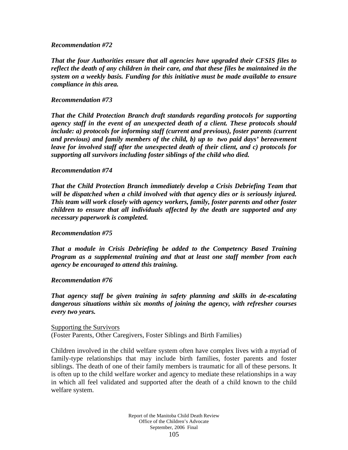#### *Recommendation #72*

*That the four Authorities ensure that all agencies have upgraded their CFSIS files to reflect the death of any children in their care, and that these files be maintained in the system on a weekly basis. Funding for this initiative must be made available to ensure compliance in this area.* 

#### *Recommendation #73*

*That the Child Protection Branch draft standards regarding protocols for supporting agency staff in the event of an unexpected death of a client. These protocols should include: a) protocols for informing staff (current and previous), foster parents (current and previous) and family members of the child, b) up to two paid days' bereavement leave for involved staff after the unexpected death of their client, and c) protocols for supporting all survivors including foster siblings of the child who died.* 

#### *Recommendation #74*

*That the Child Protection Branch immediately develop a Crisis Debriefing Team that will be dispatched when a child involved with that agency dies or is seriously injured. This team will work closely with agency workers, family, foster parents and other foster children to ensure that all individuals affected by the death are supported and any necessary paperwork is completed.* 

#### *Recommendation #75*

*That a module in Crisis Debriefing be added to the Competency Based Training Program as a supplemental training and that at least one staff member from each agency be encouraged to attend this training.* 

## *Recommendation #76*

*That agency staff be given training in safety planning and skills in de-escalating dangerous situations within six months of joining the agency, with refresher courses every two years.* 

Supporting the Survivors (Foster Parents, Other Caregivers, Foster Siblings and Birth Families)

Children involved in the child welfare system often have complex lives with a myriad of family-type relationships that may include birth families, foster parents and foster siblings. The death of one of their family members is traumatic for all of these persons. It is often up to the child welfare worker and agency to mediate these relationships in a way in which all feel validated and supported after the death of a child known to the child welfare system.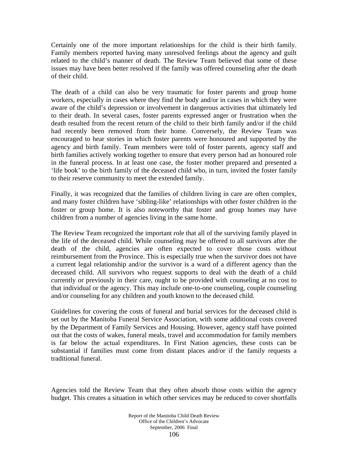Certainly one of the more important relationships for the child is their birth family. Family members reported having many unresolved feelings about the agency and guilt related to the child's manner of death. The Review Team believed that some of these issues may have been better resolved if the family was offered counseling after the death of their child.

The death of a child can also be very traumatic for foster parents and group home workers, especially in cases where they find the body and/or in cases in which they were aware of the child's depression or involvement in dangerous activities that ultimately led to their death. In several cases, foster parents expressed anger or frustration when the death resulted from the recent return of the child to their birth family and/or if the child had recently been removed from their home. Conversely, the Review Team was encouraged to hear stories in which foster parents were honoured and supported by the agency and birth family. Team members were told of foster parents, agency staff and birth families actively working together to ensure that every person had an honoured role in the funeral process. In at least one case, the foster mother prepared and presented a 'life book' to the birth family of the deceased child who, in turn, invited the foster family to their reserve community to meet the extended family.

Finally, it was recognized that the families of children living in care are often complex, and many foster children have 'sibling-like' relationships with other foster children in the foster or group home. It is also noteworthy that foster and group homes may have children from a number of agencies living in the same home.

The Review Team recognized the important role that all of the surviving family played in the life of the deceased child. While counseling may be offered to all survivors after the death of the child, agencies are often expected to cover those costs without reimbursement from the Province. This is especially true when the survivor does not have a current legal relationship and/or the survivor is a ward of a different agency than the deceased child. All survivors who request supports to deal with the death of a child currently or previously in their care, ought to be provided with counseling at no cost to that individual or the agency. This may include one-to-one counseling, couple counseling and/or counseling for any children and youth known to the deceased child.

Guidelines for covering the costs of funeral and burial services for the deceased child is set out by the Manitoba Funeral Service Association, with some additional costs covered by the Department of Family Services and Housing. However, agency staff have pointed out that the costs of wakes, funeral meals, travel and accommodation for family members is far below the actual expenditures. In First Nation agencies, these costs can be substantial if families must come from distant places and/or if the family requests a traditional funeral.

Agencies told the Review Team that they often absorb those costs within the agency budget. This creates a situation in which other services may be reduced to cover shortfalls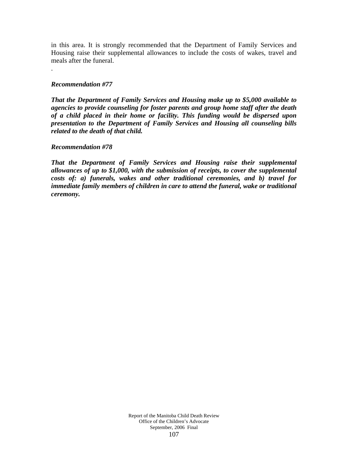in this area. It is strongly recommended that the Department of Family Services and Housing raise their supplemental allowances to include the costs of wakes, travel and meals after the funeral.

## *Recommendation #77*

.

*That the Department of Family Services and Housing make up to \$5,000 available to agencies to provide counseling for foster parents and group home staff after the death of a child placed in their home or facility. This funding would be dispersed upon presentation to the Department of Family Services and Housing all counseling bills related to the death of that child.*

#### *Recommendation #78*

*That the Department of Family Services and Housing raise their supplemental allowances of up to \$1,000, with the submission of receipts, to cover the supplemental costs of: a) funerals, wakes and other traditional ceremonies, and b) travel for immediate family members of children in care to attend the funeral, wake or traditional ceremony.*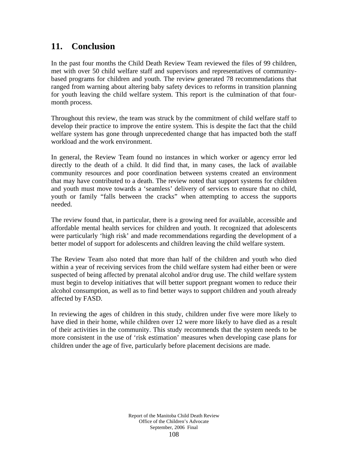# **11. Conclusion**

In the past four months the Child Death Review Team reviewed the files of 99 children, met with over 50 child welfare staff and supervisors and representatives of communitybased programs for children and youth. The review generated 78 recommendations that ranged from warning about altering baby safety devices to reforms in transition planning for youth leaving the child welfare system. This report is the culmination of that fourmonth process.

Throughout this review, the team was struck by the commitment of child welfare staff to develop their practice to improve the entire system. This is despite the fact that the child welfare system has gone through unprecedented change that has impacted both the staff workload and the work environment.

In general, the Review Team found no instances in which worker or agency error led directly to the death of a child. It did find that, in many cases, the lack of available community resources and poor coordination between systems created an environment that may have contributed to a death. The review noted that support systems for children and youth must move towards a 'seamless' delivery of services to ensure that no child, youth or family "falls between the cracks" when attempting to access the supports needed.

The review found that, in particular, there is a growing need for available, accessible and affordable mental health services for children and youth. It recognized that adolescents were particularly 'high risk' and made recommendations regarding the development of a better model of support for adolescents and children leaving the child welfare system.

The Review Team also noted that more than half of the children and youth who died within a year of receiving services from the child welfare system had either been or were suspected of being affected by prenatal alcohol and/or drug use. The child welfare system must begin to develop initiatives that will better support pregnant women to reduce their alcohol consumption, as well as to find better ways to support children and youth already affected by FASD.

In reviewing the ages of children in this study, children under five were more likely to have died in their home, while children over 12 were more likely to have died as a result of their activities in the community. This study recommends that the system needs to be more consistent in the use of 'risk estimation' measures when developing case plans for children under the age of five, particularly before placement decisions are made.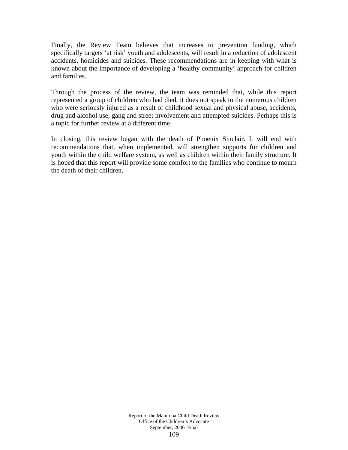Finally, the Review Team believes that increases to prevention funding, which specifically targets 'at risk' youth and adolescents, will result in a reduction of adolescent accidents, homicides and suicides. These recommendations are in keeping with what is known about the importance of developing a 'healthy community' approach for children and families.

Through the process of the review, the team was reminded that, while this report represented a group of children who had died, it does not speak to the numerous children who were seriously injured as a result of childhood sexual and physical abuse, accidents, drug and alcohol use, gang and street involvement and attempted suicides. Perhaps this is a topic for further review at a different time.

In closing, this review began with the death of Phoenix Sinclair. It will end with recommendations that, when implemented, will strengthen supports for children and youth within the child welfare system, as well as children within their family structure. It is hoped that this report will provide some comfort to the families who continue to mourn the death of their children.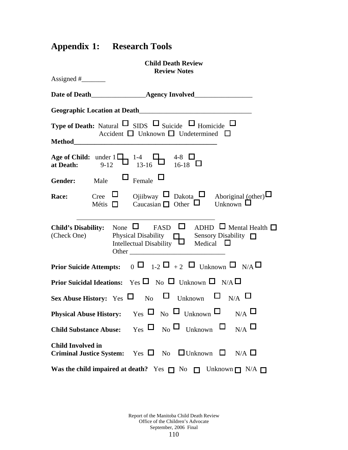# **Appendix 1: Research Tools**

| <b>Child Death Review</b><br><b>Review Notes</b>                                                                                                                                                            |
|-------------------------------------------------------------------------------------------------------------------------------------------------------------------------------------------------------------|
| Assigned $#$ <sub>_____________</sub>                                                                                                                                                                       |
|                                                                                                                                                                                                             |
|                                                                                                                                                                                                             |
| <b>Type of Death:</b> Natural $\Box$ SIDS $\Box$ Suicide $\Box$ Homicide $\Box$<br>Accident $\Box$ Unknown $\Box$ Undetermined $\Box$                                                                       |
|                                                                                                                                                                                                             |
| Age of Child: under $1\Box$ 1-4 $\Box$ 4-8 $\Box$<br>at Death: 9-12 $13-16\Box$ 16-18 $\Box$                                                                                                                |
| <b>Gender:</b> Male $\Box$ Female $\Box$                                                                                                                                                                    |
| Cree $\Box$ Ojiibway $\Box$ Dakota $\Box$ Aboriginal (other) $\Box$<br>Métis $\Box$ Caucasian $\Box$ Other $\Box$ Unknown $\Box$<br>Race:                                                                   |
| <b>Child's Disability:</b> None $\Box$ FASD $\Box$ ADHD $\Box$ Mental Health $\Box$<br>Physical Disability $\Box$ Sensory Disability $\Box$<br>(Check One)<br>Intellectual Disability $\Box$ Medical $\Box$ |
| <b>Prior Suicide Attempts:</b> $0 \Box 1-2 \Box +2 \Box$ Unknown $\Box N/A \Box$                                                                                                                            |
| <b>Prior Suicidal Ideations:</b> Yes $\Box$ No $\Box$ Unknown $\Box$ N/A $\Box$                                                                                                                             |
| Sex Abuse History: Yes $\square$ No $\square$ Unknown $\square$ N/A $\square$                                                                                                                               |
| <b>Physical Abuse History:</b> Yes $\Box$ No $\Box$ Unknown $\Box$ N/A $\Box$                                                                                                                               |
| Child Substance Abuse: Yes $\Box$ No $\Box$ Unknown $\Box$ N/A $\Box$                                                                                                                                       |
| <b>Child Involved in</b><br><b>Criminal Justice System:</b> Yes $\Box$ No $\Box$ Unknown $\Box$ N/A $\Box$                                                                                                  |
| Was the child impaired at death? Yes $\Box$ No $\Box$ Unknown $\Box$ N/A $\Box$                                                                                                                             |

Report of the Manitoba Child Death Review Office of the Children's Advocate September, 2006 Final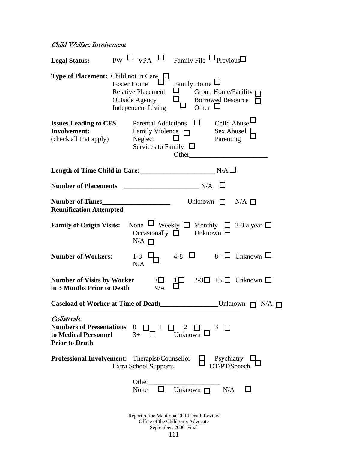#### Child Welfare Involvement

| <b>Legal Status:</b>                                                                                   |                    | $_{\rm PW}$ $\square$ $_{\rm VPA}$ $\square$ $_{\rm Family\, File}$ $\square$ $_{\rm Previous}$ |                |                                                            |                                    |                                                 |                                                        |  |
|--------------------------------------------------------------------------------------------------------|--------------------|-------------------------------------------------------------------------------------------------|----------------|------------------------------------------------------------|------------------------------------|-------------------------------------------------|--------------------------------------------------------|--|
| <b>Type of Placement:</b> Child not in Care                                                            | <b>Foster Home</b> | <b>Relative Placement</b><br><b>Outside Agency</b><br><b>Independent Living</b>                 |                | $\Box$<br>I I<br>□                                         | Family Home $\Box$<br>Other $\Box$ |                                                 | Group Home/Facility $\Box$<br><b>Borrowed Resource</b> |  |
| <b>Issues Leading to CFS</b><br><b>Involvement:</b><br>(check all that apply)                          |                    | <b>Parental Addictions</b><br>Family Violence $\Box$<br>Neglect<br>Services to Family $\Box$    |                | Other                                                      | $\Box$                             | Child Abuse<br>Sex Abuse $\square$<br>Parenting |                                                        |  |
|                                                                                                        |                    |                                                                                                 |                |                                                            |                                    |                                                 |                                                        |  |
| <b>Number of Placements</b>                                                                            |                    |                                                                                                 |                |                                                            | N/A                                |                                                 |                                                        |  |
| <b>Number of Times</b><br><b>Reunification Attempted</b>                                               |                    |                                                                                                 |                |                                                            | Unknown                            | $\Box$                                          | $N/A$ $\Box$                                           |  |
| <b>Family of Origin Visits:</b>                                                                        |                    | None $\Box$ Weekly $\Box$ Monthly<br>Occasionally $\square$<br>$N/A$ $\Box$                     |                |                                                            | Unknown                            |                                                 | $\Box$ 2-3 a year $\Box$                               |  |
| <b>Number of Workers:</b>                                                                              |                    | $1 - 3$<br>N/A                                                                                  |                |                                                            |                                    |                                                 | 4-8 $\Box$ 8+ $\Box$ Unknown $\Box$                    |  |
| <b>Number of Visits by Worker</b><br>in 3 Months Prior to Death                                        |                    |                                                                                                 | $0\Box$<br>N/A |                                                            |                                    |                                                 | $2-3$ +3 $\Box$ Unknown $\Box$                         |  |
| <b>Caseload of Worker at Time of Death</b>                                                             |                    |                                                                                                 |                |                                                            |                                    |                                                 | Unknown<br>T N/A                                       |  |
| <b>Collaterals</b><br><b>Numbers of Presentations</b><br>to Medical Personnel<br><b>Prior to Death</b> |                    | $\overline{0}$<br>$3+$                                                                          | 1              | 2<br>Unknown                                               |                                    | 3                                               |                                                        |  |
| <b>Professional Involvement:</b> Therapist/Counsellor                                                  |                    | <b>Extra School Supports</b>                                                                    |                |                                                            |                                    | Psychiatry<br>OT/PT/Speech                      |                                                        |  |
|                                                                                                        |                    | Other<br>None                                                                                   |                | Unknown $\Box$                                             |                                    | N/A                                             |                                                        |  |
|                                                                                                        |                    | Report of the Manitoba Child Death Review                                                       |                | Office of the Children's Advocate<br>September, 2006 Final |                                    |                                                 |                                                        |  |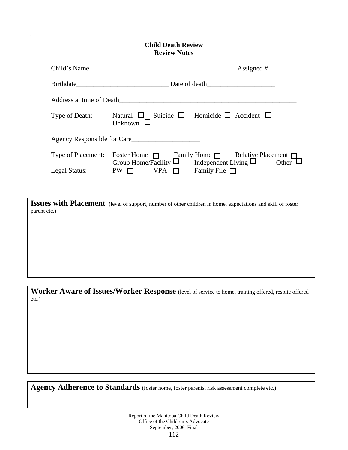| <b>Child Death Review</b><br><b>Review Notes</b> |                                                                                                                               |  |  |  |  |
|--------------------------------------------------|-------------------------------------------------------------------------------------------------------------------------------|--|--|--|--|
|                                                  |                                                                                                                               |  |  |  |  |
|                                                  |                                                                                                                               |  |  |  |  |
|                                                  | Address at time of Death                                                                                                      |  |  |  |  |
| Type of Death:                                   | Natural $\Box$ Suicide $\Box$ Homicide $\Box$ Accident $\Box$<br>Unknown $\Box$                                               |  |  |  |  |
|                                                  | Agency Responsible for Care                                                                                                   |  |  |  |  |
| Type of Placement:                               | Foster Home $\Box$ Family Home $\Box$ Relative Placement $\Box$<br>Group Home/Facility $\Box$ Independent Living $\Box$ Other |  |  |  |  |
| Legal Status:                                    | $PW \nabla$ VPA $\Pi$ Family File $\Pi$                                                                                       |  |  |  |  |

**Issues with Placement** (level of support, number of other children in home, expectations and skill of foster parent etc.)

**Worker Aware of Issues/Worker Response** (level of service to home, training offered, respite offered etc.)

Agency Adherence to Standards (foster home, foster parents, risk assessment complete etc.)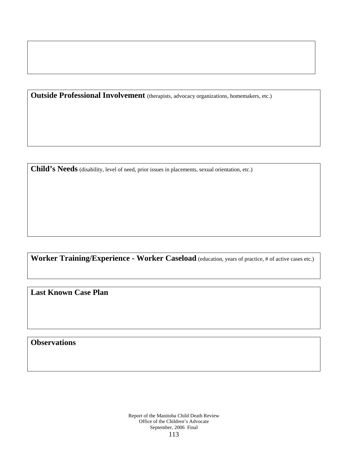**Outside Professional Involvement** (therapists, advocacy organizations, homemakers, etc.)

**Child's Needs** (disability, level of need, prior issues in placements, sexual orientation, etc.)

**Worker Training/Experience - Worker Caseload** (education, years of practice, # of active cases etc.)

**Last Known Case Plan** 

**Observations**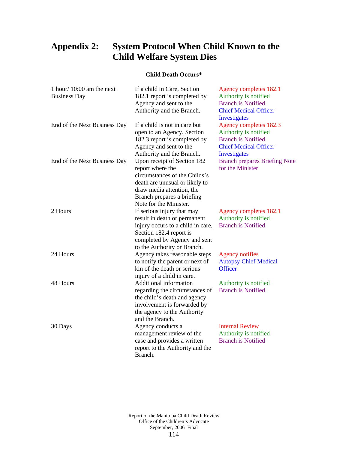## **Appendix 2: System Protocol When Child Known to the Child Welfare System Dies**

#### **Child Death Occurs\***

| 1 hour/ $10:00$ am the next<br><b>Business Day</b> | If a child in Care, Section<br>182.1 report is completed by<br>Agency and sent to the<br>Authority and the Branch.                                                                                                                              | Agency completes 182.1<br>Authority is notified<br><b>Branch is Notified</b><br><b>Chief Medical Officer</b><br>Investigates |
|----------------------------------------------------|-------------------------------------------------------------------------------------------------------------------------------------------------------------------------------------------------------------------------------------------------|------------------------------------------------------------------------------------------------------------------------------|
| End of the Next Business Day                       | If a child is not in care but<br>open to an Agency, Section<br>182.3 report is completed by<br>Agency and sent to the                                                                                                                           | Agency completes 182.3<br>Authority is notified<br><b>Branch is Notified</b><br><b>Chief Medical Officer</b>                 |
| End of the Next Business Day                       | Authority and the Branch.<br>Upon receipt of Section 182<br>report where the<br>circumstances of the Childs's<br>death are unusual or likely to                                                                                                 | <b>Investigates</b><br><b>Branch prepares Briefing Note</b><br>for the Minister                                              |
| 2 Hours                                            | draw media attention, the<br>Branch prepares a briefing<br>Note for the Minister.<br>If serious injury that may<br>result in death or permanent<br>injury occurs to a child in care,<br>Section 182.4 report is<br>completed by Agency and sent | Agency completes 182.1<br>Authority is notified<br><b>Branch is Notified</b>                                                 |
| 24 Hours                                           | to the Authority or Branch.<br>Agency takes reasonable steps<br>to notify the parent or next of<br>kin of the death or serious                                                                                                                  | <b>Agency notifies</b><br><b>Autopsy Chief Medical</b><br><b>Officer</b>                                                     |
| 48 Hours                                           | injury of a child in care.<br>Additional information<br>regarding the circumstances of<br>the child's death and agency<br>involvement is forwarded by<br>the agency to the Authority                                                            | Authority is notified<br><b>Branch is Notified</b>                                                                           |
| 30 Days                                            | and the Branch.<br>Agency conducts a<br>management review of the<br>case and provides a written<br>report to the Authority and the<br>Branch.                                                                                                   | <b>Internal Review</b><br>Authority is notified<br><b>Branch is Notified</b>                                                 |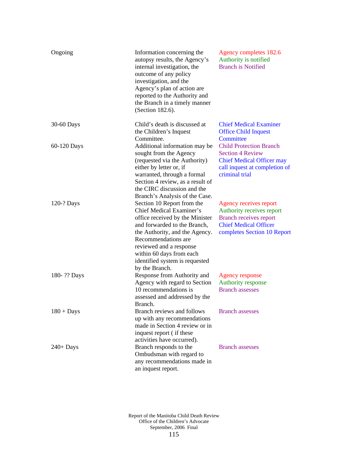| Ongoing      | Information concerning the<br>autopsy results, the Agency's<br>internal investigation, the<br>outcome of any policy<br>investigation, and the<br>Agency's plan of action are<br>reported to the Authority and<br>the Branch in a timely manner<br>(Section 182.6).                                   | Agency completes 182.6<br>Authority is notified<br><b>Branch is Notified</b>                                                                        |
|--------------|------------------------------------------------------------------------------------------------------------------------------------------------------------------------------------------------------------------------------------------------------------------------------------------------------|-----------------------------------------------------------------------------------------------------------------------------------------------------|
| 30-60 Days   | Child's death is discussed at<br>the Children's Inquest<br>Committee.                                                                                                                                                                                                                                | <b>Chief Medical Examiner</b><br><b>Office Child Inquest</b><br>Committee                                                                           |
| 60-120 Days  | Additional information may be<br>sought from the Agency<br>(requested via the Authority)<br>either by letter or, if<br>warranted, through a formal<br>Section 4 review, as a result of<br>the CIRC discussion and the<br>Branch's Analysis of the Case.                                              | <b>Child Protection Branch</b><br><b>Section 4 Review</b><br><b>Chief Medical Officer may</b><br>call inquest at completion of<br>criminal trial    |
| 120-? Days   | Section 10 Report from the<br><b>Chief Medical Examiner's</b><br>office received by the Minister<br>and forwarded to the Branch,<br>the Authority, and the Agency.<br>Recommendations are<br>reviewed and a response<br>within 60 days from each<br>identified system is requested<br>by the Branch. | Agency receives report<br>Authority receives report<br><b>Branch receives report</b><br><b>Chief Medical Officer</b><br>completes Section 10 Report |
| 180-?? Days  | Response from Authority and<br>Agency with regard to Section<br>10 recommendations is<br>assessed and addressed by the<br>Branch.                                                                                                                                                                    | <b>Agency response</b><br>Authority response<br><b>Branch assesses</b>                                                                              |
| $180 +$ Days | Branch reviews and follows<br>up with any recommendations<br>made in Section 4 review or in<br>inquest report (if these<br>activities have occurred).                                                                                                                                                | <b>Branch assesses</b>                                                                                                                              |
| $240+$ Days  | Branch responds to the<br>Ombudsman with regard to<br>any recommendations made in<br>an inquest report.                                                                                                                                                                                              | <b>Branch assesses</b>                                                                                                                              |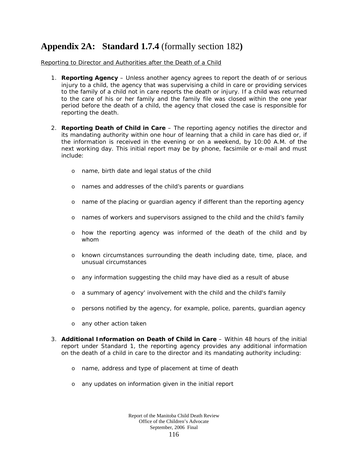### **Appendix 2A: Standard 1.7.4** (formally section 182**)**

#### Reporting to Director and Authorities after the Death of a Child

- 1. **Reporting Agency** Unless another agency agrees to report the death of or serious injury to a child, the agency that was supervising a child in care or providing services to the family of a child not in care reports the death or injury. If a child was returned to the care of his or her family and the family file was closed within the one year period before the death of a child, the agency that closed the case is responsible for reporting the death.
- 2. **Reporting Death of Child in Care** The reporting agency notifies the director and its mandating authority within one hour of learning that a child in care has died or, if the information is received in the evening or on a weekend, by 10:00 A.M. of the next working day. This initial report may be by phone, facsimile or e-mail and must include:
	- o name, birth date and legal status of the child
	- o names and addresses of the child's parents or guardians
	- o name of the placing or guardian agency if different than the reporting agency
	- o names of workers and supervisors assigned to the child and the child's family
	- o how the reporting agency was informed of the death of the child and by whom
	- o known circumstances surrounding the death including date, time, place, and unusual circumstances
	- o any information suggesting the child may have died as a result of abuse
	- o a summary of agency' involvement with the child and the child's family
	- o persons notified by the agency, for example, police, parents, guardian agency
	- o any other action taken
- 3. **Additional Information on Death of Child in Care** Within 48 hours of the initial report under Standard 1, the reporting agency provides any additional information on the death of a child in care to the director and its mandating authority including:
	- o name, address and type of placement at time of death
	- o any updates on information given in the initial report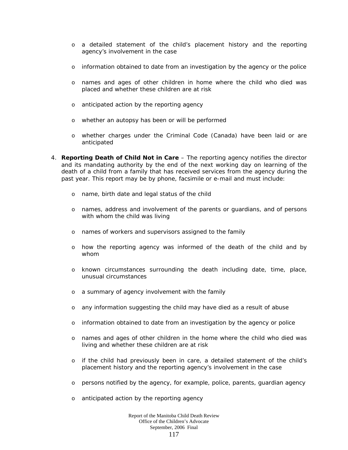- o a detailed statement of the child's placement history and the reporting agency's involvement in the case
- o information obtained to date from an investigation by the agency or the police
- o names and ages of other children in home where the child who died was placed and whether these children are at risk
- o anticipated action by the reporting agency
- o whether an autopsy has been or will be performed
- o whether charges under the *Criminal Code* (Canada) have been laid or are anticipated
- 4. **Reporting Death of Child Not in Care** The reporting agency notifies the director and its mandating authority by the end of the next working day on learning of the death of a child from a family that has received services from the agency during the past year. This report may be by phone, facsimile or e-mail and must include:
	- o name, birth date and legal status of the child
	- o names, address and involvement of the parents or guardians, and of persons with whom the child was living
	- o names of workers and supervisors assigned to the family
	- o how the reporting agency was informed of the death of the child and by whom
	- o known circumstances surrounding the death including date, time, place, unusual circumstances
	- o a summary of agency involvement with the family
	- o any information suggesting the child may have died as a result of abuse
	- o information obtained to date from an investigation by the agency or police
	- o names and ages of other children in the home where the child who died was living and whether these children are at risk
	- o if the child had previously been in care, a detailed statement of the child's placement history and the reporting agency's involvement in the case
	- o persons notified by the agency, for example, police, parents, guardian agency
	- o anticipated action by the reporting agency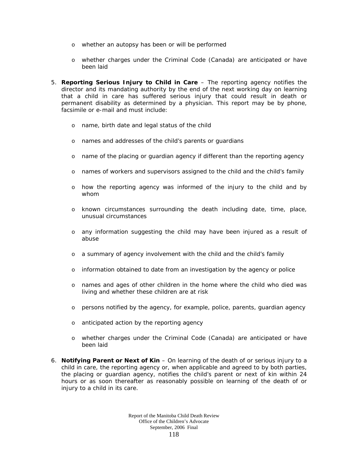- o whether an autopsy has been or will be performed
- o whether charges under the *Criminal Code* (Canada) are anticipated or have been laid
- 5. **Reporting Serious Injury to Child in Care** The reporting agency notifies the director and its mandating authority by the end of the next working day on learning that a child in care has suffered serious injury that could result in death or permanent disability as determined by a physician. This report may be by phone, facsimile or e-mail and must include:
	- o name, birth date and legal status of the child
	- o names and addresses of the child's parents or guardians
	- o name of the placing or guardian agency if different than the reporting agency
	- o names of workers and supervisors assigned to the child and the child's family
	- o how the reporting agency was informed of the injury to the child and by whom
	- o known circumstances surrounding the death including date, time, place, unusual circumstances
	- o any information suggesting the child may have been injured as a result of abuse
	- o a summary of agency involvement with the child and the child's family
	- o information obtained to date from an investigation by the agency or police
	- o names and ages of other children in the home where the child who died was living and whether these children are at risk
	- o persons notified by the agency, for example, police, parents, guardian agency
	- o anticipated action by the reporting agency
	- o whether charges under the *Criminal Code* (Canada) are anticipated or have been laid
- 6. **Notifying Parent or Next of Kin** On learning of the death of or serious injury to a child in care, the reporting agency or, when applicable and agreed to by both parties, the placing or guardian agency, notifies the child's parent or next of kin within 24 hours or as soon thereafter as reasonably possible on learning of the death of or injury to a child in its care.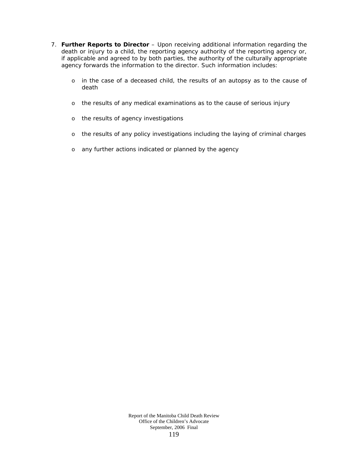- 7. **Further Reports to Director** Upon receiving additional information regarding the death or injury to a child, the reporting agency authority of the reporting agency or, if applicable and agreed to by both parties, the authority of the culturally appropriate agency forwards the information to the director. Such information includes:
	- o in the case of a deceased child, the results of an autopsy as to the cause of death
	- o the results of any medical examinations as to the cause of serious injury
	- o the results of agency investigations
	- o the results of any policy investigations including the laying of criminal charges
	- o any further actions indicated or planned by the agency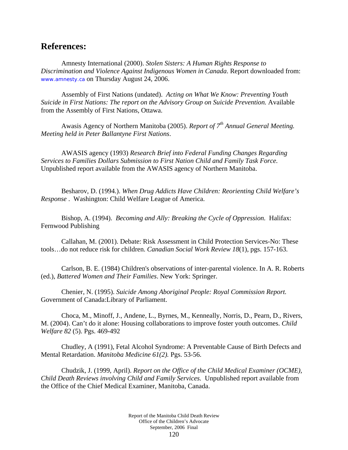### **References:**

Amnesty International (2000). *Stolen Sisters: A Human Rights Response to Discrimination and Violence Against Indigenous Women in Canada*. Report downloaded from: www.amnesty.ca on Thursday August 24, 2006.

Assembly of First Nations (undated). *Acting on What We Know: Preventing Youth Suicide in First Nations: The report on the Advisory Group on Suicide Prevention.* Available from the Assembly of First Nations, Ottawa.

 Awasis Agency of Northern Manitoba (2005). *Report of 7th Annual General Meeting. Meeting held in Peter Ballantyne First Nations*.

 AWASIS agency (1993) *Research Brief into Federal Funding Changes Regarding Services to Families Dollars Submission to First Nation Child and Family Task Force.* Unpublished report available from the AWASIS agency of Northern Manitoba.

 Besharov, D. (1994.). *When Drug Addicts Have Children: Reorienting Child Welfare's Response* . Washington: Child Welfare League of America.

Bishop, A. (1994). *Becoming and Ally: Breaking the Cycle of Oppression.* Halifax: Fernwood Publishing

 Callahan, M. (2001). Debate: Risk Assessment in Child Protection Services-No: These tools…do not reduce risk for children. *Canadian Social Work Review 18*(1), pgs. 157-163.

Carlson, B. E. (1984) Children's observations of inter-parental violence. In A. R. Roberts (ed.), *Battered Women and Their Families*. New York: Springer.

Chenier, N. (1995). *Suicide Among Aboriginal People: Royal Commission Report.*  Government of Canada:Library of Parliament.

Choca, M., Minoff, J., Andene, L., Byrnes, M., Kenneally, Norris, D., Pearn, D., Rivers, M. (2004). Can't do it alone: Housing collaborations to improve foster youth outcomes. *Child Welfare 82* (5). Pgs. 469-492

Chudley, A (1991), Fetal Alcohol Syndrome: A Preventable Cause of Birth Defects and Mental Retardation. *Manitoba Medicine 61(2).* Pgs. 53-56.

Chudzik, J. (1999, April). *Report on the Office of the Child Medical Examiner (OCME), Child Death Reviews involving Child and Family Services.* Unpublished report available from the Office of the Chief Medical Examiner, Manitoba, Canada.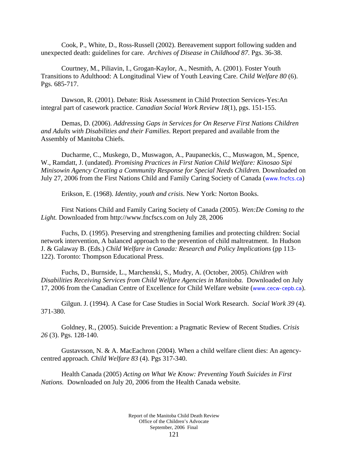Cook, P., White, D., Ross-Russell (2002). Bereavement support following sudden and unexpected death: guidelines for care. *Archives of Disease in Childhood 87*. Pgs. 36-38.

Courtney, M., Piliavin, I., Grogan-Kaylor, A., Nesmith, A. (2001). Foster Youth Transitions to Adulthood: A Longitudinal View of Youth Leaving Care. *Child Welfare 80* (6). Pgs. 685-717.

Dawson, R. (2001). Debate: Risk Assessment in Child Protection Services-Yes:An integral part of casework practice. *Canadian Social Work Review 18*(1), pgs. 151-155.

Demas, D. (2006). *Addressing Gaps in Services for On Reserve First Nations Children and Adults with Disabilities and their Families*. Report prepared and available from the Assembly of Manitoba Chiefs.

 Ducharme, C., Muskego, D., Muswagon, A., Paupaneckis, C., Muswagon, M., Spence, W., Ramdatt, J. (undated). *Promising Practices in First Nation Child Welfare: Kinosao Sipi Minisowin Agency Creating a Community Response for Special Needs Children.* Downloaded on July 27, 2006 from the First Nations Child and Family Caring Society of Canada (www.fncfcs.ca)

Erikson, E. (1968). *Identity, youth and crisis*. New York: Norton Books.

First Nations Child and Family Caring Society of Canada (2005). *Wen:De Coming to the Light.* Downloaded from http://www.fncfscs.com on July 28, 2006

Fuchs, D. (1995). Preserving and strengthening families and protecting children: Social network intervention, A balanced approach to the prevention of child maltreatment. In Hudson J. & Galaway B. (Eds.) *Child Welfare in Canada: Research and Policy Implications* (pp 113- 122). Toronto: Thompson Educational Press.

Fuchs, D., Burnside, L., Marchenski, S., Mudry, A. (October, 2005). *Children with Disabilities Receiving Services from Child Welfare Agencies in Manitoba.* Downloaded on July 17, 2006 from the Canadian Centre of Excellence for Child Welfare website (www.cecw-cepb.ca).

Gilgun. J. (1994). A Case for Case Studies in Social Work Research. *Social Work 39* (4). 371-380.

Goldney, R., (2005). Suicide Prevention: a Pragmatic Review of Recent Studies. *Crisis 26* (3). Pgs. 128-140.

Gustavsson, N. & A. MacEachron (2004). When a child welfare client dies: An agencycentred approach*. Child Welfare 83* (4). Pgs 317-340.

Health Canada (2005) *Acting on What We Know: Preventing Youth Suicides in First Nations.* Downloaded on July 20, 2006 from the Health Canada website.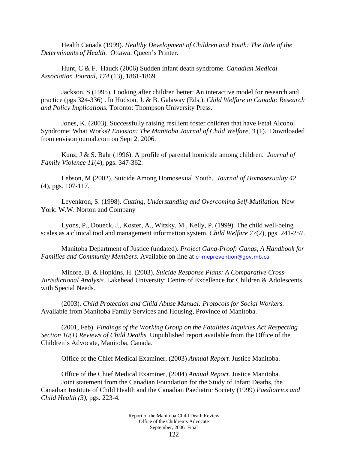Health Canada (1999). *Healthy Development of Children and Youth: The Role of the Determinants of Health.* Ottawa: Queen's Printer.

Hunt, C & F. Hauck (2006) Sudden infant death syndrome. *Canadian Medical Association Journal, 174* (13), 1861-1869.

Jackson, S (1995). Looking after children better: An interactive model for research and practice (pgs 324-336) . In Hudson, J. & B. Galaway (Eds.). *Child Welfare in Canada: Research and Policy Implications.* Toronto: Thompson University Press.

Jones, K. (2003). Successfully raising resilient foster children that have Fetal Alcohol Syndrome: What Works? *Envision: The Manitoba Journal of Child Welfare, 3* (1). Downloaded from envisonjournal.com on Sept 2, 2006.

Kunz, J & S. Bahr (1996). A profile of parental homicide among children. *Journal of Family Violence 11*(4), pgs. 347-362.

Lebson, M (2002). Suicide Among Homosexual Youth. *Journal of Homosexuality 42* (4), pgs. 107-117.

Levenkron, S. (1998). *Cutting, Understanding and Overcoming Self-Mutilation.* New York: W.W. Norton and Company

Lyons, P., Doueck, J., Koster, A., Witzky, M., Kelly, P. (1999). The child well-being scales as a clinical tool and management information system. *Child Welfare 77*(2), pgs. 241-257.

Manitoba Department of Justice (undated). *Project Gang-Proof: Gangs, A Handbook for Families and Community Members.* Available on line at crimeprevention@gov.mb.ca

Minore, B. & Hopkins, H. (2003). *Suicide Response Plans: A Comparative Cross-Jurisdictional Analysis.* Lakehead University: Centre of Excellence for Children & Adolescents with Special Needs.

(2003). *Child Protection and Child Abuse Manual: Protocols for Social Workers.* Available from Manitoba Family Services and Housing, Province of Manitoba.

(2001, Feb). *Findings of the Working Group on the Fatalities Inquiries Act Respecting Section 10(1) Reviews of Child Deaths.* Unpublished report available from the Office of the Children's Advocate, Manitoba, Canada.

Office of the Chief Medical Examiner, (2003) *Annual Report.* Justice Manitoba.

Office of the Chief Medical Examiner, (2004) *Annual Report.* Justice Manitoba. Joint statement from the Canadian Foundation for the Study of Infant Deaths, the Canadian Institute of Child Health and the Canadian Paediatric Society (1999) *Paediatrics and Child Health (3),* pgs. 223-4*.*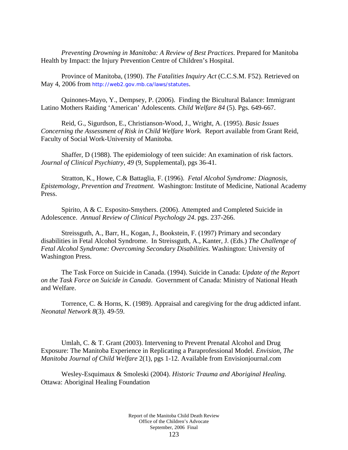*Preventing Drowning in Manitoba: A Review of Best Practices*. Prepared for Manitoba Health by Impact: the Injury Prevention Centre of Children's Hospital.

Province of Manitoba, (1990). *The Fatalities Inquiry Act* (C.C.S.M. F52). Retrieved on May 4, 2006 from http://web2.gov.mb.ca/laws/statutes.

Quinones-Mayo, Y., Dempsey, P. (2006). Finding the Bicultural Balance: Immigrant Latino Mothers Raiding 'American' Adolescents. *Child Welfare 84* (5). Pgs. 649-667.

Reid, G., Sigurdson, E., Christianson-Wood, J., Wright, A. (1995). *Basic Issues Concerning the Assessment of Risk in Child Welfare Work.* Report available from Grant Reid, Faculty of Social Work-University of Manitoba.

Shaffer, D (1988). The epidemiology of teen suicide: An examination of risk factors. *Journal of Clinical Psychiatry, 49* (9, Supplemental), pgs 36-41.

 Stratton, K., Howe, C.& Battaglia, F. (1996). *Fetal Alcohol Syndrome: Diagnosis, Epistemology, Prevention and Treatment.* Washington: Institute of Medicine, National Academy Press.

 Spirito, A & C. Esposito-Smythers. (2006). Attempted and Completed Suicide in Adolescence. *Annual Review of Clinical Psychology 24*. pgs. 237-266.

Streissguth, A., Barr, H., Kogan, J., Bookstein, F. (1997) Primary and secondary disabilities in Fetal Alcohol Syndrome. In Streissguth, A., Kanter, J. (Eds.) *The Challenge of Fetal Alcohol Syndrome: Overcoming Secondary Disabilities.* Washington: University of Washington Press.

The Task Force on Suicide in Canada. (1994). Suicide in Canada: *Update of the Report on the Task Force on Suicide in Canada*. Government of Canada: Ministry of National Heath and Welfare.

 Torrence, C. & Horns, K. (1989). Appraisal and caregiving for the drug addicted infant. *Neonatal Network 8*(3). 49-59.

Umlah, C. & T. Grant (2003). Intervening to Prevent Prenatal Alcohol and Drug Exposure: The Manitoba Experience in Replicating a Paraprofessional Model. *Envision, The Manitoba Journal of Child Welfare* 2(1), pgs 1-12. Available from Envisionjournal.com

Wesley-Esquimaux & Smoleski (2004). *Historic Trauma and Aboriginal Healing.* Ottawa: Aboriginal Healing Foundation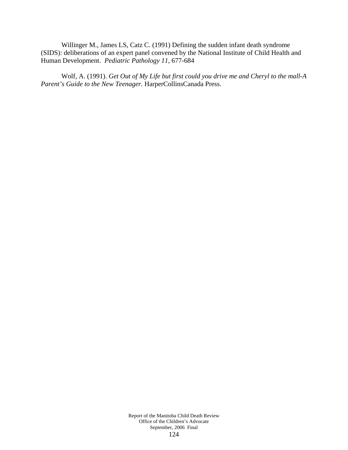Willinger M., James LS, Catz C. (1991) Defining the sudden infant death syndrome (SIDS): deliberations of an expert panel convened by the National Institute of Child Health and Human Development. *Pediatric Pathology 11*, 677-684

Wolf, A. (1991). *Get Out of My Life but first could you drive me and Cheryl to the mall-A Parent's Guide to the New Teenager.* HarperCollinsCanada Press.

> Report of the Manitoba Child Death Review Office of the Children's Advocate September, 2006 Final 124